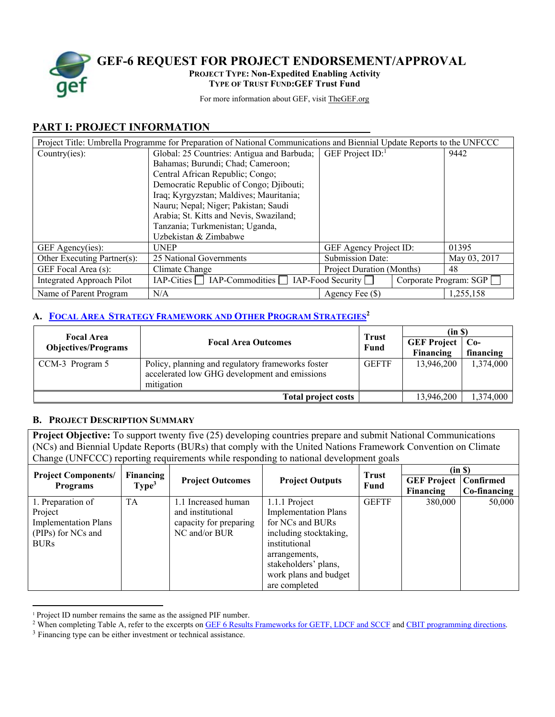

**GEF-6 REQUEST FOR PROJECT ENDORSEMENT/APPROVAL** 

**PROJECT TYPE: Non-Expedited Enabling Activity**

**TYPE OF TRUST FUND:GEF Trust Fund** 

For more information about GEF, visit TheGEF.org

# **PART I: PROJECT INFORMATION**

| Project Title: Umbrella Programme for Preparation of National Communications and Biennial Update Reports to the UNFCCC |                                                    |                                  |  |                        |
|------------------------------------------------------------------------------------------------------------------------|----------------------------------------------------|----------------------------------|--|------------------------|
| Country(ies):                                                                                                          | Global: 25 Countries: Antigua and Barbuda;         | GEF Project $ID$ :               |  | 9442                   |
|                                                                                                                        | Bahamas; Burundi; Chad; Cameroon;                  |                                  |  |                        |
|                                                                                                                        | Central African Republic; Congo;                   |                                  |  |                        |
|                                                                                                                        | Democratic Republic of Congo; Djibouti;            |                                  |  |                        |
|                                                                                                                        | Iraq; Kyrgyzstan; Maldives; Mauritania;            |                                  |  |                        |
|                                                                                                                        | Nauru; Nepal; Niger; Pakistan; Saudi               |                                  |  |                        |
|                                                                                                                        | Arabia; St. Kitts and Nevis, Swaziland;            |                                  |  |                        |
|                                                                                                                        | Tanzania; Turkmenistan; Uganda,                    |                                  |  |                        |
|                                                                                                                        | Uzbekistan & Zimbabwe                              |                                  |  |                        |
| GEF Agency(ies):                                                                                                       | <b>UNEP</b>                                        | GEF Agency Project ID:           |  | 01395                  |
| Other Executing Partner(s):                                                                                            | 25 National Governments                            | <b>Submission Date:</b>          |  | May 03, 2017           |
| GEF Focal Area (s):                                                                                                    | Climate Change                                     | <b>Project Duration (Months)</b> |  | 48                     |
| <b>Integrated Approach Pilot</b>                                                                                       | $IAP-Cities$ $IAP-Commodities$ $IAP-Food$ Security |                                  |  | Corporate Program: SGP |
| Name of Parent Program                                                                                                 | N/A                                                | Agency Fee (\$)                  |  | 1,255,158              |

# **A. FOCAL AREA STRATEGY FRAMEWORK AND OTHER PROGRAM STRATEGIES2**

| <b>Focal Area</b>          |                                                                                                                  | <b>Trust</b><br>Fund | (in S)             |           |  |
|----------------------------|------------------------------------------------------------------------------------------------------------------|----------------------|--------------------|-----------|--|
| <b>Objectives/Programs</b> | <b>Focal Area Outcomes</b>                                                                                       |                      | <b>GEF Project</b> | $Co-$     |  |
|                            |                                                                                                                  |                      | Financing          | financing |  |
| CCM-3 Program 5            | Policy, planning and regulatory frameworks foster<br>accelerated low GHG development and emissions<br>mitigation | <b>GEFTF</b>         | 13,946,200         | 1,374,000 |  |
|                            | <b>Total project costs</b>                                                                                       |                      | 13,946,200         | 1,374,000 |  |

### **B. PROJECT DESCRIPTION SUMMARY**

**Project Objective:** To support twenty five (25) developing countries prepare and submit National Communications (NCs) and Biennial Update Reports (BURs) that comply with the United Nations Framework Convention on Climate Change (UNFCCC) reporting requirements while responding to national development goals

|                                               |                                |                         |                             | <b>Trust</b> | (in S)  |        |                                             |              |
|-----------------------------------------------|--------------------------------|-------------------------|-----------------------------|--------------|---------|--------|---------------------------------------------|--------------|
| <b>Project Components/</b><br><b>Programs</b> | Financing<br>Type <sup>3</sup> | <b>Project Outcomes</b> | <b>Project Outputs</b>      |              | Fund    |        | <b>GEF Project   Confirmed</b><br>Financing | Co-financing |
| 1. Preparation of                             | <b>TA</b>                      | 1.1 Increased human     | 1.1.1 Project               | <b>GEFTF</b> | 380,000 | 50,000 |                                             |              |
| Project                                       |                                | and institutional       | <b>Implementation Plans</b> |              |         |        |                                             |              |
| <b>Implementation Plans</b>                   |                                | capacity for preparing  | for NCs and BURs            |              |         |        |                                             |              |
| (PIPs) for NCs and                            |                                | NC and/or BUR           | including stocktaking,      |              |         |        |                                             |              |
| <b>BURs</b>                                   |                                |                         | institutional               |              |         |        |                                             |              |
|                                               |                                |                         | arrangements,               |              |         |        |                                             |              |
|                                               |                                |                         | stakeholders' plans,        |              |         |        |                                             |              |
|                                               |                                |                         | work plans and budget       |              |         |        |                                             |              |
|                                               |                                |                         | are completed               |              |         |        |                                             |              |

<sup>&</sup>lt;sup>1</sup> Project ID number remains the same as the assigned PIF number.<br><sup>2</sup> When completing Table A, refer to the excerpts on <u>GEF 6 Results Frameworks for GETF, LDCF and SCCF</u> and CBIT programming directions.<br><sup>3</sup> Financing ty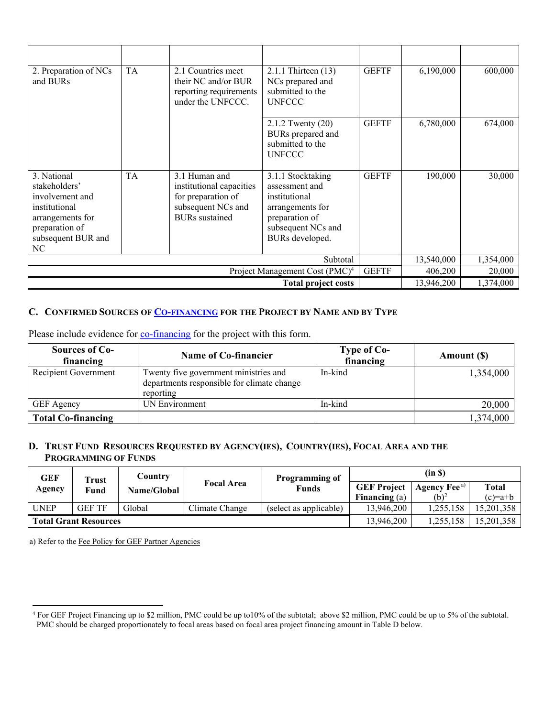| 2. Preparation of NCs<br>and BURs                                                                                                  | <b>TA</b>                                             | 2.1 Countries meet<br>their NC and/or BUR<br>reporting requirements<br>under the UNFCCC.                       | 2.1.1 Thirteen (13)<br>NCs prepared and<br>submitted to the<br><b>UNFCCC</b>                                                        | <b>GEFTF</b> | 6,190,000 | 600,000 |
|------------------------------------------------------------------------------------------------------------------------------------|-------------------------------------------------------|----------------------------------------------------------------------------------------------------------------|-------------------------------------------------------------------------------------------------------------------------------------|--------------|-----------|---------|
|                                                                                                                                    |                                                       |                                                                                                                | 2.1.2 Twenty (20)<br>BURs prepared and<br>submitted to the<br><b>UNFCCC</b>                                                         | <b>GEFTF</b> | 6,780,000 | 674,000 |
| 3. National<br>stakeholders'<br>involvement and<br>institutional<br>arrangements for<br>preparation of<br>subsequent BUR and<br>NC | <b>TA</b>                                             | 3.1 Human and<br>institutional capacities<br>for preparation of<br>subsequent NCs and<br><b>BURs</b> sustained | 3.1.1 Stocktaking<br>assessment and<br>institutional<br>arrangements for<br>preparation of<br>subsequent NCs and<br>BURs developed. | <b>GEFTF</b> | 190,000   | 30,000  |
| Subtotal                                                                                                                           |                                                       |                                                                                                                |                                                                                                                                     | 13,540,000   | 1,354,000 |         |
| Project Management Cost (PMC) <sup>4</sup>                                                                                         |                                                       |                                                                                                                |                                                                                                                                     | <b>GEFTF</b> | 406,200   | 20,000  |
|                                                                                                                                    | 13,946,200<br>1,374,000<br><b>Total project costs</b> |                                                                                                                |                                                                                                                                     |              |           |         |

### **C. CONFIRMED SOURCES OF CO-FINANCING FOR THE PROJECT BY NAME AND BY TYPE**

| Sources of Co-<br>financing | Name of Co-financier                                                                             | Type of Co-<br>financing | Amount (\$) |
|-----------------------------|--------------------------------------------------------------------------------------------------|--------------------------|-------------|
| Recipient Government        | Twenty five government ministries and<br>departments responsible for climate change<br>reporting | In-kind                  | 1,354,000   |
| <b>GEF</b> Agency           | UN Environment                                                                                   | In-kind                  | 20,000      |
| <b>Total Co-financing</b>   |                                                                                                  |                          | 1,374,000   |

Please include evidence for co-financing for the project with this form.

# **D. TRUST FUND RESOURCES REQUESTED BY AGENCY(IES), COUNTRY(IES), FOCAL AREA AND THE PROGRAMMING OF FUNDS**

| <b>GEF</b>                   | Trust         | Country     |                   | <b>Programming of</b>  |                    | (in S)                   |              |
|------------------------------|---------------|-------------|-------------------|------------------------|--------------------|--------------------------|--------------|
| Agency                       | Fund          | Name/Global | <b>Focal Area</b> | Funds                  | <b>GEF Project</b> | Agency Fee <sup>a)</sup> | <b>Total</b> |
|                              |               |             |                   |                        | Financing $(a)$    | $(b)^2$                  | $(c)=a+b$    |
| <b>UNEP</b>                  | <b>GEF TF</b> | Global      | Climate Change    | (select as applicable) | 13,946,200         | 1.255.158                | 15,201,358   |
| <b>Total Grant Resources</b> |               |             | 13,946,200        | 1,255,158              | 15,201,358         |                          |              |

a) Refer to the Fee Policy for GEF Partner Agencies

 4 For GEF Project Financing up to \$2 million, PMC could be up to10% of the subtotal; above \$2 million, PMC could be up to 5% of the subtotal. PMC should be charged proportionately to focal areas based on focal area project financing amount in Table D below.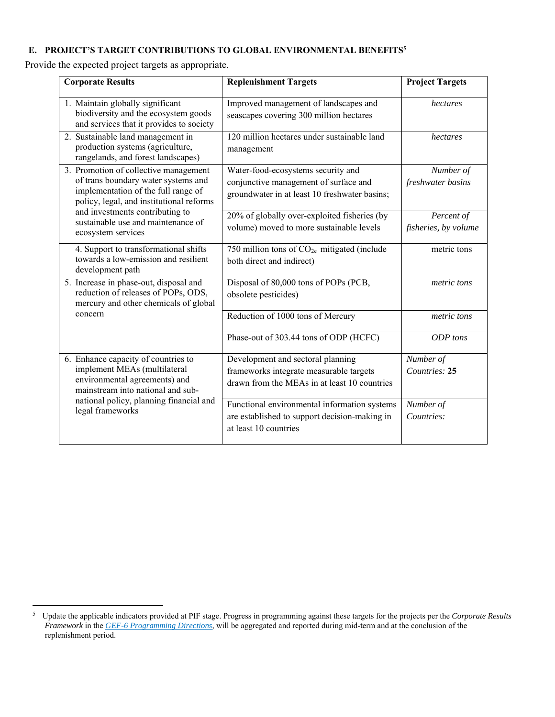### **E. PROJECT'S TARGET CONTRIBUTIONS TO GLOBAL ENVIRONMENTAL BENEFITS5**

Provide the expected project targets as appropriate.

| <b>Corporate Results</b>                                                                                                                                        | <b>Replenishment Targets</b>                                                                                                 | <b>Project Targets</b>             |
|-----------------------------------------------------------------------------------------------------------------------------------------------------------------|------------------------------------------------------------------------------------------------------------------------------|------------------------------------|
| 1. Maintain globally significant<br>biodiversity and the ecosystem goods<br>and services that it provides to society                                            | Improved management of landscapes and<br>seascapes covering 300 million hectares                                             | hectares                           |
| 2. Sustainable land management in<br>production systems (agriculture,<br>rangelands, and forest landscapes)                                                     | 120 million hectares under sustainable land<br>management                                                                    | hectares                           |
| 3. Promotion of collective management<br>of trans boundary water systems and<br>implementation of the full range of<br>policy, legal, and institutional reforms | Water-food-ecosystems security and<br>conjunctive management of surface and<br>groundwater in at least 10 freshwater basins; | Number of<br>freshwater basins     |
| and investments contributing to<br>sustainable use and maintenance of<br>ecosystem services                                                                     | 20% of globally over-exploited fisheries (by<br>volume) moved to more sustainable levels                                     | Percent of<br>fisheries, by volume |
| 4. Support to transformational shifts<br>towards a low-emission and resilient<br>development path                                                               | 750 million tons of CO <sub>2e</sub> mitigated (include<br>both direct and indirect)                                         | metric tons                        |
| 5. Increase in phase-out, disposal and<br>reduction of releases of POPs, ODS,<br>mercury and other chemicals of global                                          | Disposal of 80,000 tons of POPs (PCB,<br>obsolete pesticides)                                                                | metric tons                        |
| concern                                                                                                                                                         | Reduction of 1000 tons of Mercury                                                                                            | metric tons                        |
|                                                                                                                                                                 | Phase-out of 303.44 tons of ODP (HCFC)                                                                                       | ODP tons                           |
| 6. Enhance capacity of countries to<br>implement MEAs (multilateral<br>environmental agreements) and<br>mainstream into national and sub-                       | Development and sectoral planning<br>frameworks integrate measurable targets<br>drawn from the MEAs in at least 10 countries | Number of<br>Countries: 25         |
| national policy, planning financial and<br>legal frameworks                                                                                                     | Functional environmental information systems<br>are established to support decision-making in<br>at least 10 countries       | Number of<br>Countries:            |

 5 Update the applicable indicators provided at PIF stage. Progress in programming against these targets for the projects per the *Corporate Results Framework* in the *GEF-6 Programming Directions,* will be aggregated and reported during mid-term and at the conclusion of the replenishment period.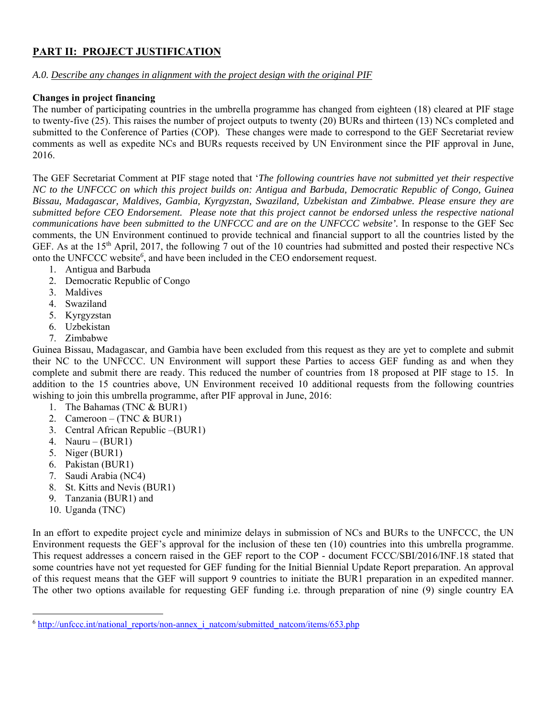# **PART II: PROJECT JUSTIFICATION**

### *A.0. Describe any changes in alignment with the project design with the original PIF*

### **Changes in project financing**

The number of participating countries in the umbrella programme has changed from eighteen (18) cleared at PIF stage to twenty-five (25). This raises the number of project outputs to twenty (20) BURs and thirteen (13) NCs completed and submitted to the Conference of Parties (COP). These changes were made to correspond to the GEF Secretariat review comments as well as expedite NCs and BURs requests received by UN Environment since the PIF approval in June, 2016.

The GEF Secretariat Comment at PIF stage noted that '*The following countries have not submitted yet their respective NC to the UNFCCC on which this project builds on: Antigua and Barbuda, Democratic Republic of Congo, Guinea Bissau, Madagascar, Maldives, Gambia, Kyrgyzstan, Swaziland, Uzbekistan and Zimbabwe. Please ensure they are submitted before CEO Endorsement. Please note that this project cannot be endorsed unless the respective national communications have been submitted to the UNFCCC and are on the UNFCCC website'.* In response to the GEF Sec comments, the UN Environment continued to provide technical and financial support to all the countries listed by the GEF. As at the 15<sup>th</sup> April, 2017, the following  $\overline{7}$  out of the 10 countries had submitted and posted their respective NCs onto the UNFCCC website*<sup>6</sup>* , and have been included in the CEO endorsement request.

- 1. Antigua and Barbuda
- 2. Democratic Republic of Congo
- 3. Maldives
- 4. Swaziland
- 5. Kyrgyzstan
- 6. Uzbekistan
- 7. Zimbabwe

Guinea Bissau, Madagascar, and Gambia have been excluded from this request as they are yet to complete and submit their NC to the UNFCCC. UN Environment will support these Parties to access GEF funding as and when they complete and submit there are ready. This reduced the number of countries from 18 proposed at PIF stage to 15. In addition to the 15 countries above, UN Environment received 10 additional requests from the following countries wishing to join this umbrella programme, after PIF approval in June, 2016:

- 1. The Bahamas (TNC & BUR1)
- 2. Cameroon (TNC & BUR1)
- 3. Central African Republic –(BUR1)
- 4. Nauru  $(BUR1)$
- 5. Niger (BUR1)
- 6. Pakistan (BUR1)
- 7. Saudi Arabia (NC4)
- 8. St. Kitts and Nevis (BUR1)
- 9. Tanzania (BUR1) and

10. Uganda (TNC)

In an effort to expedite project cycle and minimize delays in submission of NCs and BURs to the UNFCCC, the UN Environment requests the GEF's approval for the inclusion of these ten (10) countries into this umbrella programme. This request addresses a concern raised in the GEF report to the COP - document FCCC/SBI/2016/INF.18 stated that some countries have not yet requested for GEF funding for the Initial Biennial Update Report preparation. An approval of this request means that the GEF will support 9 countries to initiate the BUR1 preparation in an expedited manner. The other two options available for requesting GEF funding i.e. through preparation of nine (9) single country EA

<sup>&</sup>lt;sup>6</sup> http://unfccc.int/national\_reports/non-annex\_i\_natcom/submitted\_natcom/items/653.php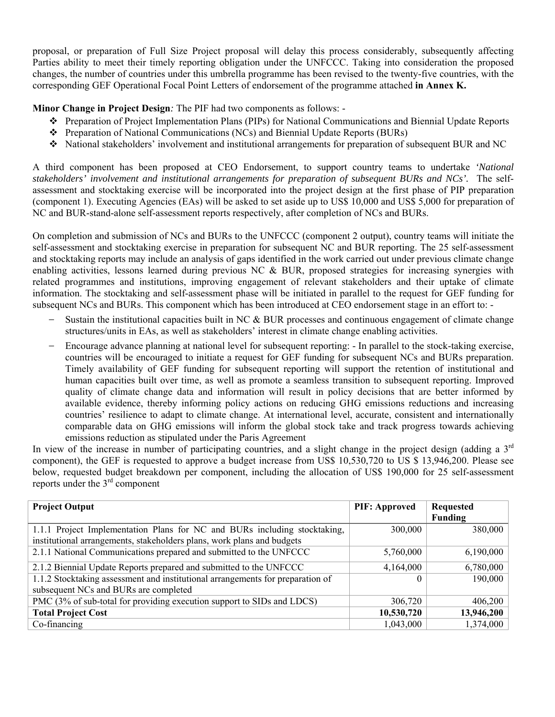proposal, or preparation of Full Size Project proposal will delay this process considerably, subsequently affecting Parties ability to meet their timely reporting obligation under the UNFCCC. Taking into consideration the proposed changes, the number of countries under this umbrella programme has been revised to the twenty-five countries, with the corresponding GEF Operational Focal Point Letters of endorsement of the programme attached **in Annex K.**

**Minor Change in Project Design***:* The PIF had two components as follows: -

- Preparation of Project Implementation Plans (PIPs) for National Communications and Biennial Update Reports
- Preparation of National Communications (NCs) and Biennial Update Reports (BURs)
- National stakeholders' involvement and institutional arrangements for preparation of subsequent BUR and NC

A third component has been proposed at CEO Endorsement, to support country teams to undertake *'National stakeholders' involvement and institutional arrangements for preparation of subsequent BURs and NCs'.* The selfassessment and stocktaking exercise will be incorporated into the project design at the first phase of PIP preparation (component 1). Executing Agencies (EAs) will be asked to set aside up to US\$ 10,000 and US\$ 5,000 for preparation of NC and BUR-stand-alone self-assessment reports respectively, after completion of NCs and BURs.

On completion and submission of NCs and BURs to the UNFCCC (component 2 output), country teams will initiate the self-assessment and stocktaking exercise in preparation for subsequent NC and BUR reporting. The 25 self-assessment and stocktaking reports may include an analysis of gaps identified in the work carried out under previous climate change enabling activities, lessons learned during previous NC & BUR, proposed strategies for increasing synergies with related programmes and institutions, improving engagement of relevant stakeholders and their uptake of climate information. The stocktaking and self-assessment phase will be initiated in parallel to the request for GEF funding for subsequent NCs and BURs. This component which has been introduced at CEO endorsement stage in an effort to: -

- Sustain the institutional capacities built in NC & BUR processes and continuous engagement of climate change structures/units in EAs, as well as stakeholders' interest in climate change enabling activities.
- Encourage advance planning at national level for subsequent reporting: In parallel to the stock-taking exercise, countries will be encouraged to initiate a request for GEF funding for subsequent NCs and BURs preparation. Timely availability of GEF funding for subsequent reporting will support the retention of institutional and human capacities built over time, as well as promote a seamless transition to subsequent reporting. Improved quality of climate change data and information will result in policy decisions that are better informed by available evidence, thereby informing policy actions on reducing GHG emissions reductions and increasing countries' resilience to adapt to climate change. At international level, accurate, consistent and internationally comparable data on GHG emissions will inform the global stock take and track progress towards achieving emissions reduction as stipulated under the Paris Agreement

In view of the increase in number of participating countries, and a slight change in the project design (adding a 3<sup>rd</sup> component), the GEF is requested to approve a budget increase from US\$ 10,530,720 to US \$ 13,946,200. Please see below, requested budget breakdown per component, including the allocation of US\$ 190,000 for 25 self-assessment reports under the 3rd component

| <b>Project Output</b>                                                          | <b>PIF: Approved</b> | <b>Requested</b><br>Funding |
|--------------------------------------------------------------------------------|----------------------|-----------------------------|
| 1.1.1 Project Implementation Plans for NC and BURs including stocktaking,      | 300,000              | 380,000                     |
| institutional arrangements, stakeholders plans, work plans and budgets         |                      |                             |
| 2.1.1 National Communications prepared and submitted to the UNFCCC             | 5,760,000            | 6,190,000                   |
| 2.1.2 Biennial Update Reports prepared and submitted to the UNFCCC             | 4,164,000            | 6,780,000                   |
| 1.1.2 Stocktaking assessment and institutional arrangements for preparation of |                      | 190,000                     |
| subsequent NCs and BURs are completed                                          |                      |                             |
| PMC (3% of sub-total for providing execution support to SIDs and LDCS)         | 306,720              | 406,200                     |
| <b>Total Project Cost</b>                                                      | 10,530,720           | 13,946,200                  |
| Co-financing                                                                   | 1,043,000            | 1,374,000                   |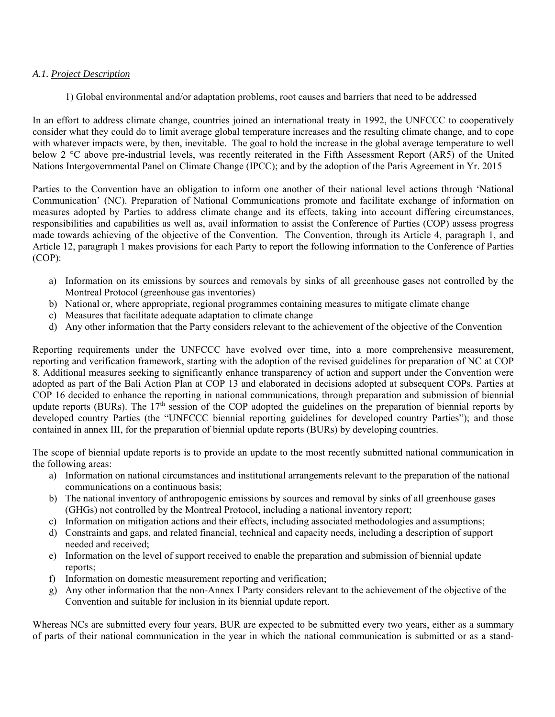#### *A.1. Project Description*

1) Global environmental and/or adaptation problems, root causes and barriers that need to be addressed

In an effort to address climate change, countries joined an international treaty in 1992, the UNFCCC to cooperatively consider what they could do to limit average global temperature increases and the resulting climate change, and to cope with whatever impacts were, by then, inevitable. The goal to hold the increase in the global average temperature to well below 2 °C above pre-industrial levels, was recently reiterated in the Fifth Assessment Report (AR5) of the United Nations Intergovernmental Panel on Climate Change (IPCC); and by the adoption of the Paris Agreement in Yr. 2015

Parties to the Convention have an obligation to inform one another of their national level actions through 'National Communication' (NC). Preparation of National Communications promote and facilitate exchange of information on measures adopted by Parties to address climate change and its effects, taking into account differing circumstances, responsibilities and capabilities as well as, avail information to assist the Conference of Parties (COP) assess progress made towards achieving of the objective of the Convention. The Convention, through its Article 4, paragraph 1, and Article 12, paragraph 1 makes provisions for each Party to report the following information to the Conference of Parties (COP):

- a) Information on its emissions by sources and removals by sinks of all greenhouse gases not controlled by the Montreal Protocol (greenhouse gas inventories)
- b) National or, where appropriate, regional programmes containing measures to mitigate climate change
- c) Measures that facilitate adequate adaptation to climate change
- d) Any other information that the Party considers relevant to the achievement of the objective of the Convention

Reporting requirements under the UNFCCC have evolved over time, into a more comprehensive measurement, reporting and verification framework, starting with the adoption of the revised guidelines for preparation of NC at COP 8. Additional measures seeking to significantly enhance transparency of action and support under the Convention were adopted as part of the Bali Action Plan at COP 13 and elaborated in decisions adopted at subsequent COPs. Parties at COP 16 decided to enhance the reporting in national communications, through preparation and submission of biennial update reports (BURs). The  $17<sup>th</sup>$  session of the COP adopted the guidelines on the preparation of biennial reports by developed country Parties (the "UNFCCC biennial reporting guidelines for developed country Parties"); and those contained in annex III, for the preparation of biennial update reports (BURs) by developing countries.

The scope of biennial update reports is to provide an update to the most recently submitted national communication in the following areas:

- a) Information on national circumstances and institutional arrangements relevant to the preparation of the national communications on a continuous basis;
- b) The national inventory of anthropogenic emissions by sources and removal by sinks of all greenhouse gases (GHGs) not controlled by the Montreal Protocol, including a national inventory report;
- c) Information on mitigation actions and their effects, including associated methodologies and assumptions;
- d) Constraints and gaps, and related financial, technical and capacity needs, including a description of support needed and received;
- e) Information on the level of support received to enable the preparation and submission of biennial update reports;
- f) Information on domestic measurement reporting and verification;
- g) Any other information that the non-Annex I Party considers relevant to the achievement of the objective of the Convention and suitable for inclusion in its biennial update report.

Whereas NCs are submitted every four years, BUR are expected to be submitted every two years, either as a summary of parts of their national communication in the year in which the national communication is submitted or as a stand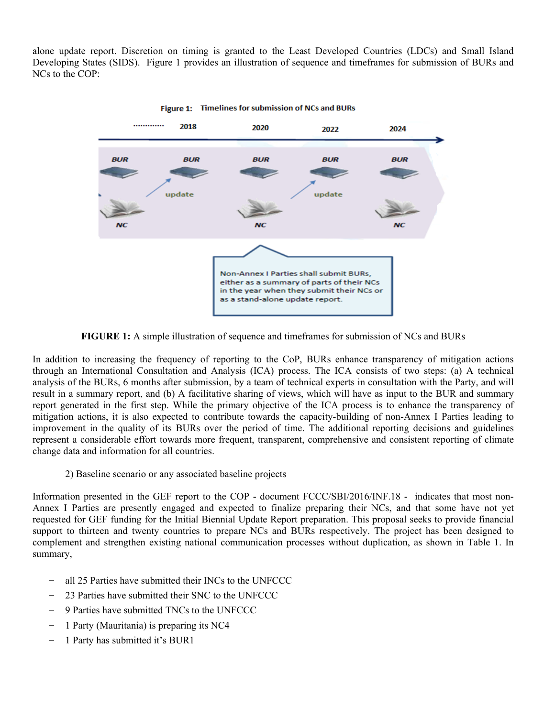alone update report. Discretion on timing is granted to the Least Developed Countries (LDCs) and Small Island Developing States (SIDS). Figure 1 provides an illustration of sequence and timeframes for submission of BURs and NCs to the COP:



Figure 1: Timelines for submission of NCs and BURs

**FIGURE 1:** A simple illustration of sequence and timeframes for submission of NCs and BURs

In addition to increasing the frequency of reporting to the CoP, BURs enhance transparency of mitigation actions through an International Consultation and Analysis (ICA) process. The ICA consists of two steps: (a) A technical analysis of the BURs, 6 months after submission, by a team of technical experts in consultation with the Party, and will result in a summary report, and (b) A facilitative sharing of views, which will have as input to the BUR and summary report generated in the first step. While the primary objective of the ICA process is to enhance the transparency of mitigation actions, it is also expected to contribute towards the capacity-building of non-Annex I Parties leading to improvement in the quality of its BURs over the period of time. The additional reporting decisions and guidelines represent a considerable effort towards more frequent, transparent, comprehensive and consistent reporting of climate change data and information for all countries.

2) Baseline scenario or any associated baseline projects

Information presented in the GEF report to the COP - document FCCC/SBI/2016/INF.18 - indicates that most non-Annex I Parties are presently engaged and expected to finalize preparing their NCs, and that some have not yet requested for GEF funding for the Initial Biennial Update Report preparation. This proposal seeks to provide financial support to thirteen and twenty countries to prepare NCs and BURs respectively. The project has been designed to complement and strengthen existing national communication processes without duplication, as shown in Table 1. In summary,

- all 25 Parties have submitted their INCs to the UNFCCC
- 23 Parties have submitted their SNC to the UNFCCC
- 9 Parties have submitted TNCs to the UNFCCC
- 1 Party (Mauritania) is preparing its NC4
- 1 Party has submitted it's BUR1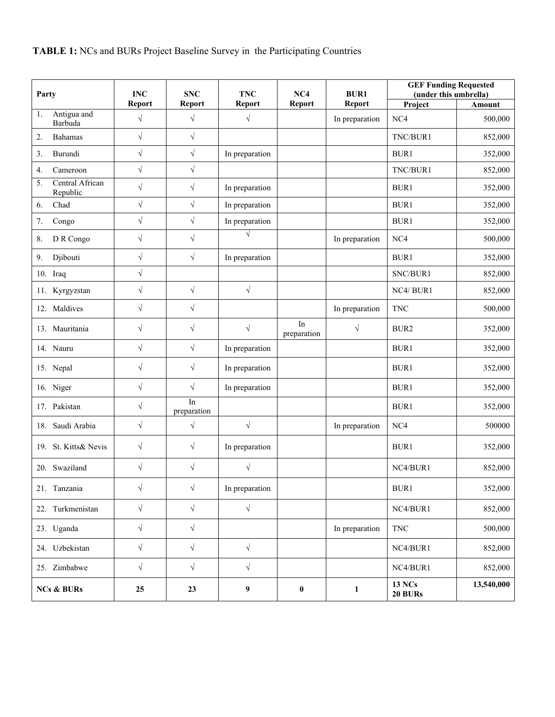| Party                             | <b>INC</b> | <b>SNC</b>        | <b>TNC</b>       | NC4               | <b>BUR1</b>    | <b>GEF Funding Requested</b><br>(under this umbrella) |            |
|-----------------------------------|------------|-------------------|------------------|-------------------|----------------|-------------------------------------------------------|------------|
|                                   | Report     | <b>Report</b>     | <b>Report</b>    | Report            | Report         | Project                                               | Amount     |
| Antigua and<br>1.<br>Barbuda      | $\sqrt{}$  | $\sqrt{ }$        | $\sqrt{}$        |                   | In preparation | NC4                                                   | 500,000    |
| 2.<br><b>Bahamas</b>              | $\sqrt{ }$ | $\sqrt{2}$        |                  |                   |                | TNC/BUR1                                              | 852,000    |
| Burundi<br>3.                     | $\sqrt{}$  | $\sqrt{}$         | In preparation   |                   |                | BUR1                                                  | 352,000    |
| Cameroon<br>4.                    | $\sqrt{}$  | $\sqrt{}$         |                  |                   |                | TNC/BUR1                                              | 852,000    |
| Central African<br>5.<br>Republic | $\sqrt{}$  | $\sqrt{}$         | In preparation   |                   |                | BUR1                                                  | 352,000    |
| Chad<br>6.                        | $\sqrt{ }$ | $\sqrt{ }$        | In preparation   |                   |                | BUR1                                                  | 352,000    |
| 7.<br>Congo                       | $\sqrt{2}$ | $\sqrt{}$         | In preparation   |                   |                | BUR1                                                  | 352,000    |
| D R Congo<br>8.                   | $\sqrt{}$  | $\sqrt{}$         | $\sqrt{}$        |                   | In preparation | NC4                                                   | 500,000    |
| Djibouti<br>9.                    | $\sqrt{}$  | $\sqrt{}$         | In preparation   |                   |                | BUR1                                                  | 352,000    |
| 10. Iraq                          | $\sqrt{}$  |                   |                  |                   |                | SNC/BUR1                                              | 852,000    |
| 11. Kyrgyzstan                    | $\sqrt{}$  | $\sqrt{ }$        | $\sqrt{}$        |                   |                | NC4/BUR1                                              | 852,000    |
| 12. Maldives                      | $\sqrt{}$  | $\sqrt{}$         |                  |                   | In preparation | <b>TNC</b>                                            | 500,000    |
| 13. Mauritania                    | $\sqrt{}$  | $\sqrt{ }$        | $\sqrt{}$        | In<br>preparation | $\sqrt{ }$     | BUR2                                                  | 352,000    |
| 14. Nauru                         | $\sqrt{}$  | $\sqrt{}$         | In preparation   |                   |                | BUR1                                                  | 352,000    |
| 15. Nepal                         | $\sqrt{}$  | $\sqrt{}$         | In preparation   |                   |                | BUR1                                                  | 352,000    |
| 16. Niger                         | $\sqrt{}$  | $\sqrt{ }$        | In preparation   |                   |                | BUR1                                                  | 352,000    |
| 17. Pakistan                      | $\sqrt{}$  | In<br>preparation |                  |                   |                | BUR1                                                  | 352,000    |
| 18. Saudi Arabia                  | $\sqrt{}$  | $\sqrt{}$         | $\sqrt{}$        |                   | In preparation | NC4                                                   | 500000     |
| 19. St. Kitts& Nevis              | $\sqrt{}$  | $\sqrt{}$         | In preparation   |                   |                | BUR1                                                  | 352,000    |
| 20. Swaziland                     | $\sqrt{}$  | $\sqrt{}$         | $\sqrt{}$        |                   |                | NC4/BUR1                                              | 852,000    |
| 21. Tanzania                      | $\sqrt{}$  | $\sqrt{}$         | In preparation   |                   |                | BUR1                                                  | 352,000    |
| 22. Turkmenistan                  | $\sqrt{}$  | $\sqrt{ }$        | $\sqrt{}$        |                   |                | NC4/BUR1                                              | 852,000    |
| 23. Uganda                        | $\sqrt{}$  | $\sqrt{ }$        |                  |                   | In preparation | $\operatorname{TNC}$                                  | 500,000    |
| 24. Uzbekistan                    | $\sqrt{}$  | $\sqrt{}$         | $\sqrt{}$        |                   |                | NC4/BUR1                                              | 852,000    |
| 25. Zimbabwe                      | $\sqrt{ }$ | $\sqrt{ }$        | $\sqrt{}$        |                   |                | NC4/BUR1                                              | 852,000    |
| <b>NCs &amp; BURs</b>             | 25         | 23                | $\boldsymbol{9}$ | $\boldsymbol{0}$  | $\mathbf{1}$   | <b>13 NCs</b><br>20 BURs                              | 13,540,000 |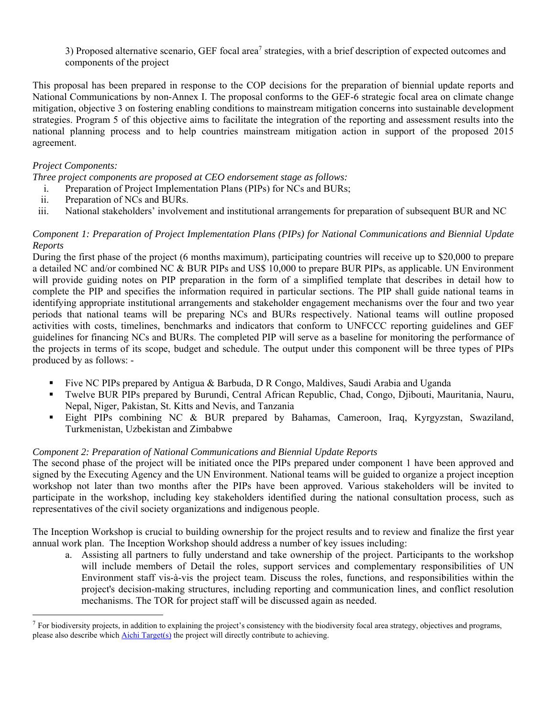3) Proposed alternative scenario, GEF focal area<sup>7</sup> strategies, with a brief description of expected outcomes and components of the project

This proposal has been prepared in response to the COP decisions for the preparation of biennial update reports and National Communications by non-Annex I. The proposal conforms to the GEF-6 strategic focal area on climate change mitigation, objective 3 on fostering enabling conditions to mainstream mitigation concerns into sustainable development strategies. Program 5 of this objective aims to facilitate the integration of the reporting and assessment results into the national planning process and to help countries mainstream mitigation action in support of the proposed 2015 agreement.

#### *Project Components:*

*Three project components are proposed at CEO endorsement stage as follows:* 

- i. Preparation of Project Implementation Plans (PIPs) for NCs and BURs;
- ii. Preparation of NCs and BURs.

iii. National stakeholders' involvement and institutional arrangements for preparation of subsequent BUR and NC

### *Component 1: Preparation of Project Implementation Plans (PIPs) for National Communications and Biennial Update Reports*

During the first phase of the project (6 months maximum), participating countries will receive up to \$20,000 to prepare a detailed NC and/or combined NC & BUR PIPs and US\$ 10,000 to prepare BUR PIPs, as applicable. UN Environment will provide guiding notes on PIP preparation in the form of a simplified template that describes in detail how to complete the PIP and specifies the information required in particular sections. The PIP shall guide national teams in identifying appropriate institutional arrangements and stakeholder engagement mechanisms over the four and two year periods that national teams will be preparing NCs and BURs respectively. National teams will outline proposed activities with costs, timelines, benchmarks and indicators that conform to UNFCCC reporting guidelines and GEF guidelines for financing NCs and BURs. The completed PIP will serve as a baseline for monitoring the performance of the projects in terms of its scope, budget and schedule. The output under this component will be three types of PIPs produced by as follows: -

- Five NC PIPs prepared by Antigua & Barbuda, D R Congo, Maldives, Saudi Arabia and Uganda
- Twelve BUR PIPs prepared by Burundi, Central African Republic, Chad, Congo, Djibouti, Mauritania, Nauru, Nepal, Niger, Pakistan, St. Kitts and Nevis, and Tanzania
- Eight PIPs combining NC & BUR prepared by Bahamas, Cameroon, Iraq, Kyrgyzstan, Swaziland, Turkmenistan, Uzbekistan and Zimbabwe

### *Component 2: Preparation of National Communications and Biennial Update Reports*

The second phase of the project will be initiated once the PIPs prepared under component 1 have been approved and signed by the Executing Agency and the UN Environment. National teams will be guided to organize a project inception workshop not later than two months after the PIPs have been approved. Various stakeholders will be invited to participate in the workshop, including key stakeholders identified during the national consultation process, such as representatives of the civil society organizations and indigenous people.

The Inception Workshop is crucial to building ownership for the project results and to review and finalize the first year annual work plan. The Inception Workshop should address a number of key issues including:

a. Assisting all partners to fully understand and take ownership of the project. Participants to the workshop will include members of Detail the roles, support services and complementary responsibilities of UN Environment staff vis-à-vis the project team. Discuss the roles, functions, and responsibilities within the project's decision-making structures, including reporting and communication lines, and conflict resolution mechanisms. The TOR for project staff will be discussed again as needed.

 $^7$  For biodiversity projects, in addition to explaining the project's consistency with the biodiversity focal area strategy, objectives and programs, please also describe which **Aichi Target(s)** the project will directly contribute to achieving.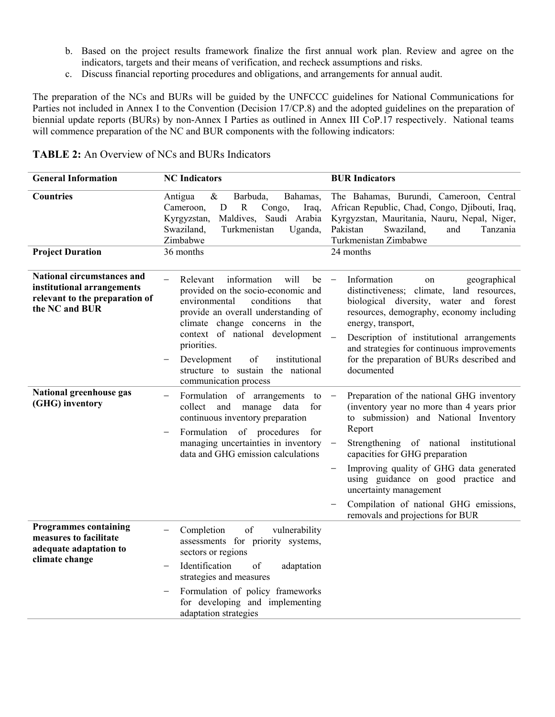- b. Based on the project results framework finalize the first annual work plan. Review and agree on the indicators, targets and their means of verification, and recheck assumptions and risks.
- c. Discuss financial reporting procedures and obligations, and arrangements for annual audit.

The preparation of the NCs and BURs will be guided by the UNFCCC guidelines for National Communications for Parties not included in Annex I to the Convention (Decision 17/CP.8) and the adopted guidelines on the preparation of biennial update reports (BURs) by non-Annex I Parties as outlined in Annex III CoP.17 respectively. National teams will commence preparation of the NC and BUR components with the following indicators:

| Countries<br>Antigua<br>$\&$<br>Barbuda,<br>Bahamas,<br>$\mathbf D$<br>$\mathbb{R}$<br>Cameroon,<br>Congo,<br>Iraq,<br>Kyrgyzstan,<br>Maldives, Saudi Arabia<br>Swaziland,<br>Turkmenistan<br>Pakistan<br>Uganda,<br>Zimbabwe<br>36 months<br>24 months<br><b>Project Duration</b><br><b>National circumstances and</b><br>will<br>Relevant<br>information<br>be<br>institutional arrangements | The Bahamas, Burundi, Cameroon, Central                                                                                                                                                                                                                                                                                                                                                                           |
|------------------------------------------------------------------------------------------------------------------------------------------------------------------------------------------------------------------------------------------------------------------------------------------------------------------------------------------------------------------------------------------------|-------------------------------------------------------------------------------------------------------------------------------------------------------------------------------------------------------------------------------------------------------------------------------------------------------------------------------------------------------------------------------------------------------------------|
|                                                                                                                                                                                                                                                                                                                                                                                                | African Republic, Chad, Congo, Djibouti, Iraq,<br>Kyrgyzstan, Mauritania, Nauru, Nepal, Niger,<br>Swaziland,<br>and<br>Tanzania<br>Turkmenistan Zimbabwe                                                                                                                                                                                                                                                          |
|                                                                                                                                                                                                                                                                                                                                                                                                |                                                                                                                                                                                                                                                                                                                                                                                                                   |
| provided on the socio-economic and<br>relevant to the preparation of<br>environmental<br>conditions<br>that<br>the NC and BUR<br>provide an overall understanding of<br>climate change concerns in the<br>context of national development<br>$\frac{1}{2}$<br>priorities.<br>Development<br>institutional<br>οf<br>structure to sustain the national<br>communication process                  | Information<br>geographical<br>on<br>distinctiveness; climate, land resources,<br>biological diversity, water and forest<br>resources, demography, economy including<br>energy, transport,<br>Description of institutional arrangements<br>and strategies for continuous improvements<br>for the preparation of BURs described and<br>documented                                                                  |
| National greenhouse gas<br>Formulation of arrangements to<br>$\overline{\phantom{m}}$<br>(GHG) inventory<br>collect<br>manage<br>data<br>and<br>for<br>continuous inventory preparation<br>of procedures<br>Formulation<br>for<br>$\overline{\phantom{0}}$<br>managing uncertainties in inventory<br>$\overline{\phantom{0}}$<br>data and GHG emission calculations<br>$\qquad \qquad -$       | Preparation of the national GHG inventory<br>(inventory year no more than 4 years prior<br>to submission) and National Inventory<br>Report<br>Strengthening of national institutional<br>capacities for GHG preparation<br>Improving quality of GHG data generated<br>using guidance on good practice and<br>uncertainty management<br>Compilation of national GHG emissions,<br>removals and projections for BUR |
| <b>Programmes containing</b><br>of<br>vulnerability<br>Completion<br>measures to facilitate<br>assessments for priority systems,<br>adequate adaptation to<br>sectors or regions<br>climate change<br>Identification<br>of<br>adaptation<br>strategies and measures<br>Formulation of policy frameworks<br>for developing and implementing                                                     |                                                                                                                                                                                                                                                                                                                                                                                                                   |

### **TABLE 2:** An Overview of NCs and BURs Indicators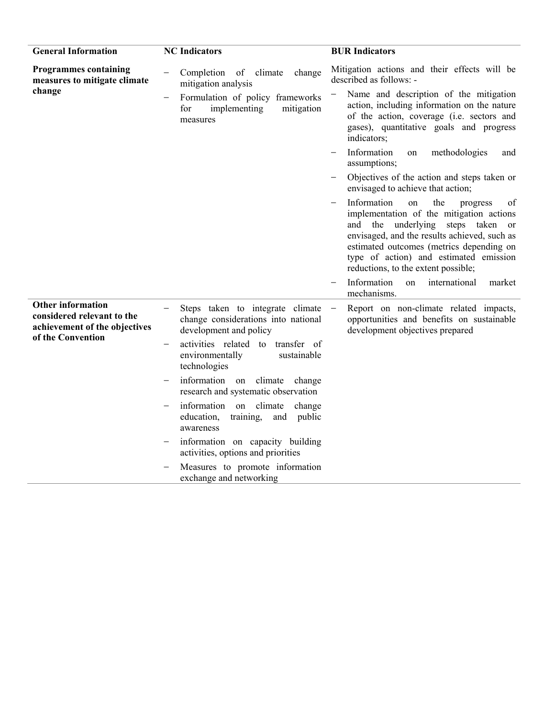| <b>General Information</b>                                                              | <b>NC</b> Indicators                                                                                               | <b>BUR Indicators</b>                                                                                                                                                                                                                                                                                    |
|-----------------------------------------------------------------------------------------|--------------------------------------------------------------------------------------------------------------------|----------------------------------------------------------------------------------------------------------------------------------------------------------------------------------------------------------------------------------------------------------------------------------------------------------|
| <b>Programmes containing</b><br>measures to mitigate climate                            | Completion of climate<br>change<br>mitigation analysis                                                             | Mitigation actions and their effects will be<br>described as follows: -                                                                                                                                                                                                                                  |
| change                                                                                  | Formulation of policy frameworks<br>for<br>implementing<br>mitigation<br>measures                                  | Name and description of the mitigation<br>action, including information on the nature<br>of the action, coverage (i.e. sectors and<br>gases), quantitative goals and progress<br>indicators;                                                                                                             |
|                                                                                         |                                                                                                                    | Information<br>methodologies<br>on<br>and<br>assumptions;                                                                                                                                                                                                                                                |
|                                                                                         |                                                                                                                    | Objectives of the action and steps taken or<br>envisaged to achieve that action;                                                                                                                                                                                                                         |
|                                                                                         |                                                                                                                    | Information<br>the<br>of<br>on<br>progress<br>implementation of the mitigation actions<br>and the underlying steps taken or<br>envisaged, and the results achieved, such as<br>estimated outcomes (metrics depending on<br>type of action) and estimated emission<br>reductions, to the extent possible; |
|                                                                                         |                                                                                                                    | Information<br>international<br>on<br>market<br>mechanisms.                                                                                                                                                                                                                                              |
| <b>Other information</b><br>considered relevant to the<br>achievement of the objectives | Steps taken to integrate climate<br>change considerations into national<br>development and policy                  | Report on non-climate related impacts,<br>$\overline{\phantom{0}}$<br>opportunities and benefits on sustainable<br>development objectives prepared                                                                                                                                                       |
| of the Convention                                                                       | activities related to<br>transfer of<br>$\overline{\phantom{0}}$<br>environmentally<br>sustainable<br>technologies |                                                                                                                                                                                                                                                                                                          |
|                                                                                         | information on climate change<br>research and systematic observation                                               |                                                                                                                                                                                                                                                                                                          |
|                                                                                         | information on climate<br>change<br>education,<br>training,<br>and public<br>awareness                             |                                                                                                                                                                                                                                                                                                          |
|                                                                                         | information on capacity building<br>activities, options and priorities                                             |                                                                                                                                                                                                                                                                                                          |
|                                                                                         | Measures to promote information<br>exchange and networking                                                         |                                                                                                                                                                                                                                                                                                          |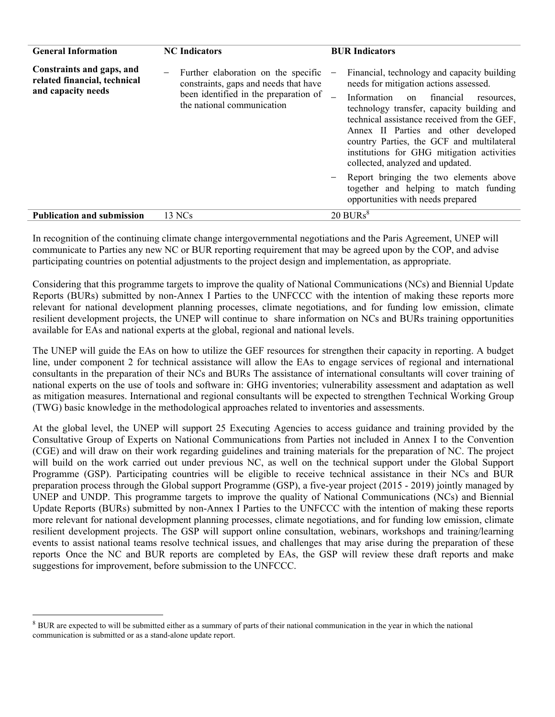| <b>General Information</b>                                                      | <b>NC</b> Indicators                                                                                                                                                     | <b>BUR Indicators</b>                                                                                                                                                                                                                                                                                                                                                                                                                                                                                                       |
|---------------------------------------------------------------------------------|--------------------------------------------------------------------------------------------------------------------------------------------------------------------------|-----------------------------------------------------------------------------------------------------------------------------------------------------------------------------------------------------------------------------------------------------------------------------------------------------------------------------------------------------------------------------------------------------------------------------------------------------------------------------------------------------------------------------|
| Constraints and gaps, and<br>related financial, technical<br>and capacity needs | Further elaboration on the specific<br>$\qquad \qquad -$<br>constraints, gaps and needs that have<br>been identified in the preparation of<br>the national communication | Financial, technology and capacity building<br>needs for mitigation actions assessed.<br>Information on financial<br>resources.<br>technology transfer, capacity building and<br>technical assistance received from the GEF,<br>Annex II Parties and other developed<br>country Parties, the GCF and multilateral<br>institutions for GHG mitigation activities<br>collected, analyzed and updated.<br>Report bringing the two elements above<br>together and helping to match funding<br>opportunities with needs prepared |
| <b>Publication and submission</b>                                               | 13 NCs                                                                                                                                                                   | $20$ BURs <sup>8</sup>                                                                                                                                                                                                                                                                                                                                                                                                                                                                                                      |

In recognition of the continuing climate change intergovernmental negotiations and the Paris Agreement, UNEP will communicate to Parties any new NC or BUR reporting requirement that may be agreed upon by the COP, and advise participating countries on potential adjustments to the project design and implementation, as appropriate.

Considering that this programme targets to improve the quality of National Communications (NCs) and Biennial Update Reports (BURs) submitted by non-Annex I Parties to the UNFCCC with the intention of making these reports more relevant for national development planning processes, climate negotiations, and for funding low emission, climate resilient development projects, the UNEP will continue to share information on NCs and BURs training opportunities available for EAs and national experts at the global, regional and national levels.

The UNEP will guide the EAs on how to utilize the GEF resources for strengthen their capacity in reporting. A budget line, under component 2 for technical assistance will allow the EAs to engage services of regional and international consultants in the preparation of their NCs and BURs The assistance of international consultants will cover training of national experts on the use of tools and software in: GHG inventories; vulnerability assessment and adaptation as well as mitigation measures. International and regional consultants will be expected to strengthen Technical Working Group (TWG) basic knowledge in the methodological approaches related to inventories and assessments.

At the global level, the UNEP will support 25 Executing Agencies to access guidance and training provided by the Consultative Group of Experts on National Communications from Parties not included in Annex I to the Convention (CGE) and will draw on their work regarding guidelines and training materials for the preparation of NC. The project will build on the work carried out under previous NC, as well on the technical support under the Global Support Programme (GSP). Participating countries will be eligible to receive technical assistance in their NCs and BUR preparation process through the Global support Programme (GSP), a five-year project (2015 - 2019) jointly managed by UNEP and UNDP. This programme targets to improve the quality of National Communications (NCs) and Biennial Update Reports (BURs) submitted by non-Annex I Parties to the UNFCCC with the intention of making these reports more relevant for national development planning processes, climate negotiations, and for funding low emission, climate resilient development projects. The GSP will support online consultation, webinars, workshops and training/learning events to assist national teams resolve technical issues, and challenges that may arise during the preparation of these reports Once the NC and BUR reports are completed by EAs, the GSP will review these draft reports and make suggestions for improvement, before submission to the UNFCCC.

<sup>&</sup>lt;sup>8</sup> BUR are expected to will be submitted either as a summary of parts of their national communication in the year in which the national communication is submitted or as a stand-alone update report.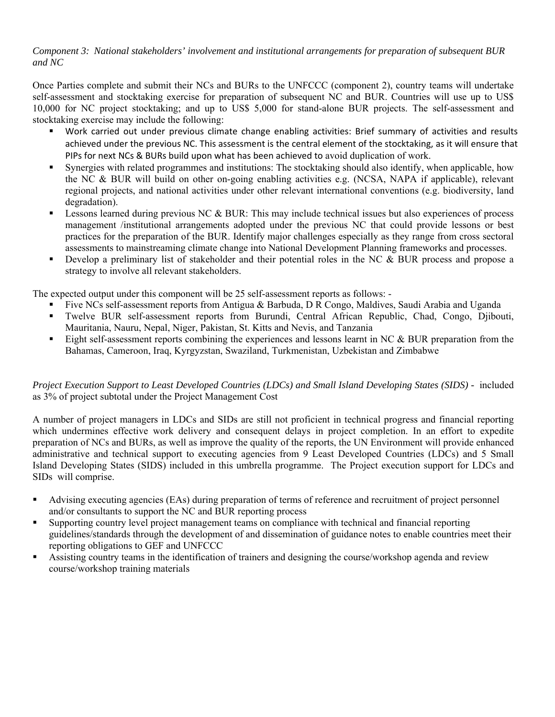### *Component 3: National stakeholders' involvement and institutional arrangements for preparation of subsequent BUR and NC*

Once Parties complete and submit their NCs and BURs to the UNFCCC (component 2), country teams will undertake self-assessment and stocktaking exercise for preparation of subsequent NC and BUR. Countries will use up to US\$ 10,000 for NC project stocktaking; and up to US\$ 5,000 for stand-alone BUR projects. The self-assessment and stocktaking exercise may include the following:

- Work carried out under previous climate change enabling activities: Brief summary of activities and results achieved under the previous NC. This assessment is the central element of the stocktaking, as it will ensure that PIPs for next NCs & BURs build upon what has been achieved to avoid duplication of work.
- Synergies with related programmes and institutions: The stocktaking should also identify, when applicable, how the NC & BUR will build on other on-going enabling activities e.g. (NCSA, NAPA if applicable), relevant regional projects, and national activities under other relevant international conventions (e.g. biodiversity, land degradation).
- Lessons learned during previous NC & BUR: This may include technical issues but also experiences of process management /institutional arrangements adopted under the previous NC that could provide lessons or best practices for the preparation of the BUR. Identify major challenges especially as they range from cross sectoral assessments to mainstreaming climate change into National Development Planning frameworks and processes.
- Develop a preliminary list of stakeholder and their potential roles in the NC & BUR process and propose a strategy to involve all relevant stakeholders.

The expected output under this component will be 25 self-assessment reports as follows: -

- Five NCs self-assessment reports from Antigua & Barbuda, D R Congo, Maldives, Saudi Arabia and Uganda
- Twelve BUR self-assessment reports from Burundi, Central African Republic, Chad, Congo, Djibouti, Mauritania, Nauru, Nepal, Niger, Pakistan, St. Kitts and Nevis, and Tanzania
- Eight self-assessment reports combining the experiences and lessons learnt in NC & BUR preparation from the Bahamas, Cameroon, Iraq, Kyrgyzstan, Swaziland, Turkmenistan, Uzbekistan and Zimbabwe

### *Project Execution Support to Least Developed Countries (LDCs) and Small Island Developing States (SIDS) -* included as 3% of project subtotal under the Project Management Cost

A number of project managers in LDCs and SIDs are still not proficient in technical progress and financial reporting which undermines effective work delivery and consequent delays in project completion. In an effort to expedite preparation of NCs and BURs, as well as improve the quality of the reports, the UN Environment will provide enhanced administrative and technical support to executing agencies from 9 Least Developed Countries (LDCs) and 5 Small Island Developing States (SIDS) included in this umbrella programme. The Project execution support for LDCs and SIDs will comprise.

- Advising executing agencies (EAs) during preparation of terms of reference and recruitment of project personnel and/or consultants to support the NC and BUR reporting process
- Supporting country level project management teams on compliance with technical and financial reporting guidelines/standards through the development of and dissemination of guidance notes to enable countries meet their reporting obligations to GEF and UNFCCC
- Assisting country teams in the identification of trainers and designing the course/workshop agenda and review course/workshop training materials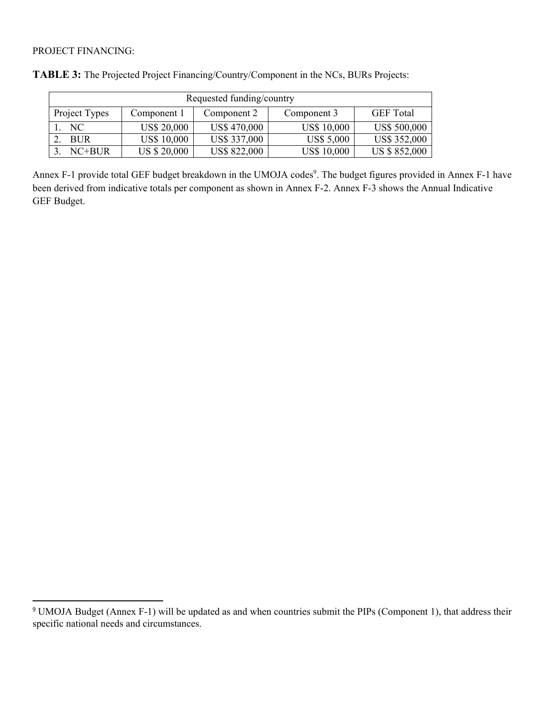### PROJECT FINANCING:

| Requested funding/country |                     |                     |                    |                     |  |
|---------------------------|---------------------|---------------------|--------------------|---------------------|--|
| Project Types             | Component 1         | Component 2         | Component 3        | <b>GEF</b> Total    |  |
| NC.                       | <b>US\$ 20,000</b>  | US\$470,000         | <b>US\$ 10,000</b> | <b>US\$ 500,000</b> |  |
| <b>BUR</b>                | <b>US\$ 10,000</b>  | US\$ 337,000        | <b>US\$ 5,000</b>  | US\$ 352,000        |  |
| $NC+BUR$                  | <b>US \$ 20,000</b> | <b>US\$ 822,000</b> | <b>US\$ 10,000</b> | US \$852,000        |  |

Annex F-1 provide total GEF budget breakdown in the UMOJA codes<sup>9</sup>. The budget figures provided in Annex F-1 have been derived from indicative totals per component as shown in Annex F-2. Annex F-3 shows the Annual Indicative GEF Budget.

<sup>&</sup>lt;sup>9</sup> UMOJA Budget (Annex F-1) will be updated as and when countries submit the PIPs (Component 1), that address their specific national needs and circumstances.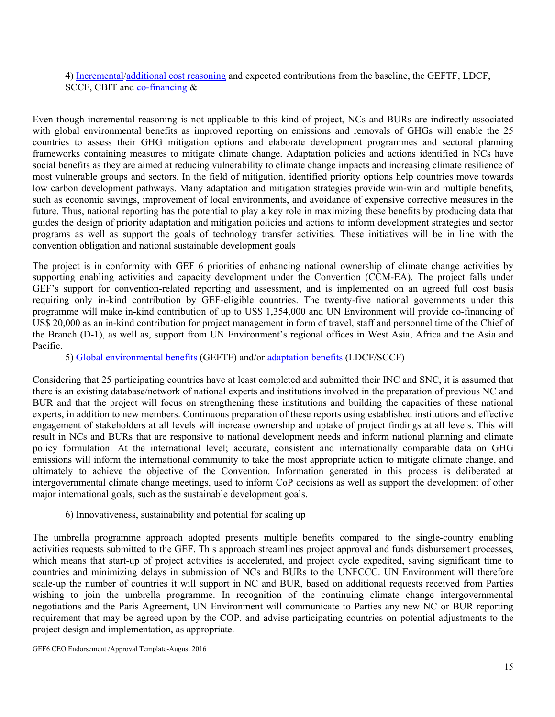4) Incremental/additional cost reasoning and expected contributions from the baseline, the GEFTF, LDCF, SCCF, CBIT and co-financing &

Even though incremental reasoning is not applicable to this kind of project, NCs and BURs are indirectly associated with global environmental benefits as improved reporting on emissions and removals of GHGs will enable the 25 countries to assess their GHG mitigation options and elaborate development programmes and sectoral planning frameworks containing measures to mitigate climate change. Adaptation policies and actions identified in NCs have social benefits as they are aimed at reducing vulnerability to climate change impacts and increasing climate resilience of most vulnerable groups and sectors. In the field of mitigation, identified priority options help countries move towards low carbon development pathways. Many adaptation and mitigation strategies provide win-win and multiple benefits, such as economic savings, improvement of local environments, and avoidance of expensive corrective measures in the future. Thus, national reporting has the potential to play a key role in maximizing these benefits by producing data that guides the design of priority adaptation and mitigation policies and actions to inform development strategies and sector programs as well as support the goals of technology transfer activities. These initiatives will be in line with the convention obligation and national sustainable development goals

The project is in conformity with GEF 6 priorities of enhancing national ownership of climate change activities by supporting enabling activities and capacity development under the Convention (CCM-EA). The project falls under GEF's support for convention-related reporting and assessment, and is implemented on an agreed full cost basis requiring only in-kind contribution by GEF-eligible countries. The twenty-five national governments under this programme will make in-kind contribution of up to US\$ 1,354,000 and UN Environment will provide co-financing of US\$ 20,000 as an in-kind contribution for project management in form of travel, staff and personnel time of the Chief of the Branch (D-1), as well as, support from UN Environment's regional offices in West Asia, Africa and the Asia and Pacific.

#### 5) Global environmental benefits (GEFTF) and/or adaptation benefits (LDCF/SCCF)

Considering that 25 participating countries have at least completed and submitted their INC and SNC, it is assumed that there is an existing database/network of national experts and institutions involved in the preparation of previous NC and BUR and that the project will focus on strengthening these institutions and building the capacities of these national experts, in addition to new members. Continuous preparation of these reports using established institutions and effective engagement of stakeholders at all levels will increase ownership and uptake of project findings at all levels. This will result in NCs and BURs that are responsive to national development needs and inform national planning and climate policy formulation. At the international level; accurate, consistent and internationally comparable data on GHG emissions will inform the international community to take the most appropriate action to mitigate climate change, and ultimately to achieve the objective of the Convention. Information generated in this process is deliberated at intergovernmental climate change meetings, used to inform CoP decisions as well as support the development of other major international goals, such as the sustainable development goals.

#### 6) Innovativeness, sustainability and potential for scaling up

The umbrella programme approach adopted presents multiple benefits compared to the single-country enabling activities requests submitted to the GEF. This approach streamlines project approval and funds disbursement processes, which means that start-up of project activities is accelerated, and project cycle expedited, saving significant time to countries and minimizing delays in submission of NCs and BURs to the UNFCCC. UN Environment will therefore scale-up the number of countries it will support in NC and BUR, based on additional requests received from Parties wishing to join the umbrella programme. In recognition of the continuing climate change intergovernmental negotiations and the Paris Agreement, UN Environment will communicate to Parties any new NC or BUR reporting requirement that may be agreed upon by the COP, and advise participating countries on potential adjustments to the project design and implementation, as appropriate.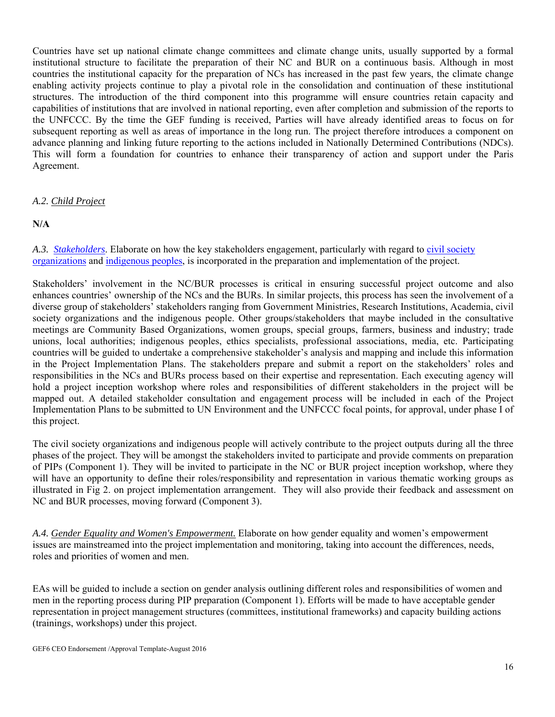Countries have set up national climate change committees and climate change units, usually supported by a formal institutional structure to facilitate the preparation of their NC and BUR on a continuous basis. Although in most countries the institutional capacity for the preparation of NCs has increased in the past few years, the climate change enabling activity projects continue to play a pivotal role in the consolidation and continuation of these institutional structures. The introduction of the third component into this programme will ensure countries retain capacity and capabilities of institutions that are involved in national reporting, even after completion and submission of the reports to the UNFCCC. By the time the GEF funding is received, Parties will have already identified areas to focus on for subsequent reporting as well as areas of importance in the long run. The project therefore introduces a component on advance planning and linking future reporting to the actions included in Nationally Determined Contributions (NDCs). This will form a foundation for countries to enhance their transparency of action and support under the Paris Agreement.

### *A.2. Child Project*

**N/A** 

A.3. *Stakeholders*. Elaborate on how the key stakeholders engagement, particularly with regard to *civil society* organizations and indigenous peoples, is incorporated in the preparation and implementation of the project.

Stakeholders' involvement in the NC/BUR processes is critical in ensuring successful project outcome and also enhances countries' ownership of the NCs and the BURs. In similar projects, this process has seen the involvement of a diverse group of stakeholders' stakeholders ranging from Government Ministries, Research Institutions, Academia, civil society organizations and the indigenous people. Other groups/stakeholders that maybe included in the consultative meetings are Community Based Organizations, women groups, special groups, farmers, business and industry; trade unions, local authorities; indigenous peoples, ethics specialists, professional associations, media, etc. Participating countries will be guided to undertake a comprehensive stakeholder's analysis and mapping and include this information in the Project Implementation Plans. The stakeholders prepare and submit a report on the stakeholders' roles and responsibilities in the NCs and BURs process based on their expertise and representation. Each executing agency will hold a project inception workshop where roles and responsibilities of different stakeholders in the project will be mapped out. A detailed stakeholder consultation and engagement process will be included in each of the Project Implementation Plans to be submitted to UN Environment and the UNFCCC focal points, for approval, under phase I of this project.

The civil society organizations and indigenous people will actively contribute to the project outputs during all the three phases of the project. They will be amongst the stakeholders invited to participate and provide comments on preparation of PIPs (Component 1). They will be invited to participate in the NC or BUR project inception workshop, where they will have an opportunity to define their roles/responsibility and representation in various thematic working groups as illustrated in Fig 2. on project implementation arrangement. They will also provide their feedback and assessment on NC and BUR processes, moving forward (Component 3).

*A.4. Gender Equality and Women's Empowerment.* Elaborate on how gender equality and women's empowerment issues are mainstreamed into the project implementation and monitoring, taking into account the differences, needs, roles and priorities of women and men.

EAs will be guided to include a section on gender analysis outlining different roles and responsibilities of women and men in the reporting process during PIP preparation (Component 1). Efforts will be made to have acceptable gender representation in project management structures (committees, institutional frameworks) and capacity building actions (trainings, workshops) under this project.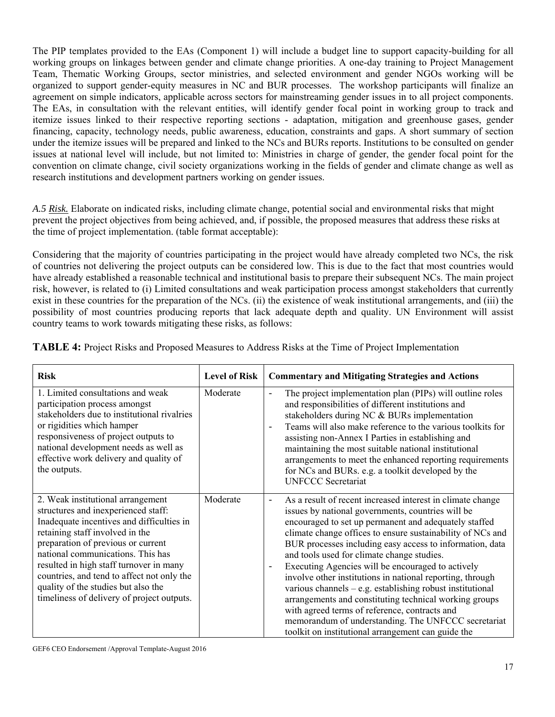The PIP templates provided to the EAs (Component 1) will include a budget line to support capacity-building for all working groups on linkages between gender and climate change priorities. A one-day training to Project Management Team, Thematic Working Groups, sector ministries, and selected environment and gender NGOs working will be organized to support gender-equity measures in NC and BUR processes. The workshop participants will finalize an agreement on simple indicators, applicable across sectors for mainstreaming gender issues in to all project components. The EAs, in consultation with the relevant entities, will identify gender focal point in working group to track and itemize issues linked to their respective reporting sections - adaptation, mitigation and greenhouse gases, gender financing, capacity, technology needs, public awareness, education, constraints and gaps. A short summary of section under the itemize issues will be prepared and linked to the NCs and BURs reports. Institutions to be consulted on gender issues at national level will include, but not limited to: Ministries in charge of gender, the gender focal point for the convention on climate change, civil society organizations working in the fields of gender and climate change as well as research institutions and development partners working on gender issues.

*A.5 Risk.* Elaborate on indicated risks, including climate change, potential social and environmental risks that might prevent the project objectives from being achieved, and, if possible, the proposed measures that address these risks at the time of project implementation. (table format acceptable):

Considering that the majority of countries participating in the project would have already completed two NCs, the risk of countries not delivering the project outputs can be considered low. This is due to the fact that most countries would have already established a reasonable technical and institutional basis to prepare their subsequent NCs. The main project risk, however, is related to (i) Limited consultations and weak participation process amongst stakeholders that currently exist in these countries for the preparation of the NCs. (ii) the existence of weak institutional arrangements, and (iii) the possibility of most countries producing reports that lack adequate depth and quality. UN Environment will assist country teams to work towards mitigating these risks, as follows:

| <b>Risk</b>                                                                                                                                                                                                                                                                                                                                                                                                       | <b>Level of Risk</b> | <b>Commentary and Mitigating Strategies and Actions</b>                                                                                                                                                                                                                                                                                                                                                                                                                                                                                                                                                                                                                                                                                                   |
|-------------------------------------------------------------------------------------------------------------------------------------------------------------------------------------------------------------------------------------------------------------------------------------------------------------------------------------------------------------------------------------------------------------------|----------------------|-----------------------------------------------------------------------------------------------------------------------------------------------------------------------------------------------------------------------------------------------------------------------------------------------------------------------------------------------------------------------------------------------------------------------------------------------------------------------------------------------------------------------------------------------------------------------------------------------------------------------------------------------------------------------------------------------------------------------------------------------------------|
| 1. Limited consultations and weak<br>participation process amongst<br>stakeholders due to institutional rivalries<br>or rigidities which hamper<br>responsiveness of project outputs to<br>national development needs as well as<br>effective work delivery and quality of<br>the outputs.                                                                                                                        | Moderate             | The project implementation plan (PIPs) will outline roles<br>$\overline{\phantom{a}}$<br>and responsibilities of different institutions and<br>stakeholders during NC & BURs implementation<br>Teams will also make reference to the various toolkits for<br>assisting non-Annex I Parties in establishing and<br>maintaining the most suitable national institutional<br>arrangements to meet the enhanced reporting requirements<br>for NCs and BURs. e.g. a toolkit developed by the<br><b>UNFCCC Secretariat</b>                                                                                                                                                                                                                                      |
| 2. Weak institutional arrangement<br>structures and inexperienced staff:<br>Inadequate incentives and difficulties in<br>retaining staff involved in the<br>preparation of previous or current<br>national communications. This has<br>resulted in high staff turnover in many<br>countries, and tend to affect not only the<br>quality of the studies but also the<br>timeliness of delivery of project outputs. | Moderate             | As a result of recent increased interest in climate change<br>issues by national governments, countries will be<br>encouraged to set up permanent and adequately staffed<br>climate change offices to ensure sustainability of NCs and<br>BUR processes including easy access to information, data<br>and tools used for climate change studies.<br>Executing Agencies will be encouraged to actively<br>involve other institutions in national reporting, through<br>various channels $-$ e.g. establishing robust institutional<br>arrangements and constituting technical working groups<br>with agreed terms of reference, contracts and<br>memorandum of understanding. The UNFCCC secretariat<br>toolkit on institutional arrangement can guide the |

**TABLE 4:** Project Risks and Proposed Measures to Address Risks at the Time of Project Implementation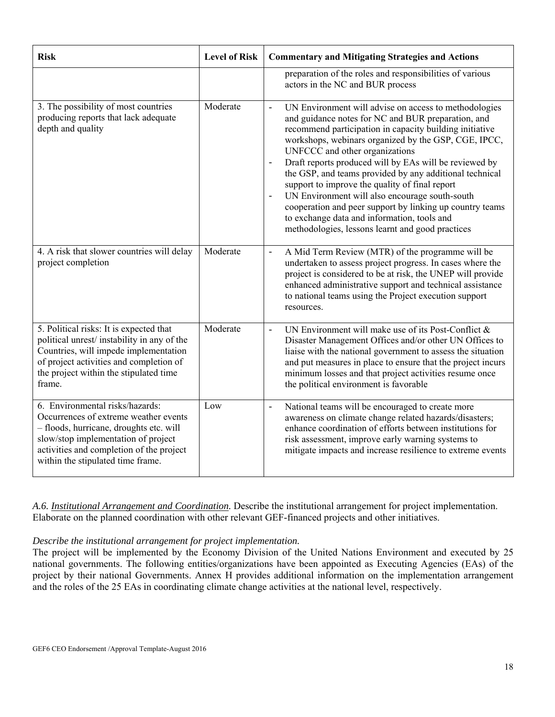| <b>Risk</b>                                                                                                                                                                                                                                 | <b>Level of Risk</b> | <b>Commentary and Mitigating Strategies and Actions</b>                                                                                                                                                                                                                                                                                                                                                                                                                                                                                                                                                                                                                                          |
|---------------------------------------------------------------------------------------------------------------------------------------------------------------------------------------------------------------------------------------------|----------------------|--------------------------------------------------------------------------------------------------------------------------------------------------------------------------------------------------------------------------------------------------------------------------------------------------------------------------------------------------------------------------------------------------------------------------------------------------------------------------------------------------------------------------------------------------------------------------------------------------------------------------------------------------------------------------------------------------|
|                                                                                                                                                                                                                                             |                      | preparation of the roles and responsibilities of various<br>actors in the NC and BUR process                                                                                                                                                                                                                                                                                                                                                                                                                                                                                                                                                                                                     |
| 3. The possibility of most countries<br>producing reports that lack adequate<br>depth and quality                                                                                                                                           | Moderate             | UN Environment will advise on access to methodologies<br>$\Box$<br>and guidance notes for NC and BUR preparation, and<br>recommend participation in capacity building initiative<br>workshops, webinars organized by the GSP, CGE, IPCC,<br>UNFCCC and other organizations<br>Draft reports produced will by EAs will be reviewed by<br>$\equiv$<br>the GSP, and teams provided by any additional technical<br>support to improve the quality of final report<br>UN Environment will also encourage south-south<br>$\blacksquare$<br>cooperation and peer support by linking up country teams<br>to exchange data and information, tools and<br>methodologies, lessons learnt and good practices |
| 4. A risk that slower countries will delay<br>project completion                                                                                                                                                                            | Moderate             | A Mid Term Review (MTR) of the programme will be<br>undertaken to assess project progress. In cases where the<br>project is considered to be at risk, the UNEP will provide<br>enhanced administrative support and technical assistance<br>to national teams using the Project execution support<br>resources.                                                                                                                                                                                                                                                                                                                                                                                   |
| 5. Political risks: It is expected that<br>political unrest/instability in any of the<br>Countries, will impede implementation<br>of project activities and completion of<br>the project within the stipulated time<br>frame.               | Moderate             | UN Environment will make use of its Post-Conflict &<br>$\ddot{\phantom{1}}$<br>Disaster Management Offices and/or other UN Offices to<br>liaise with the national government to assess the situation<br>and put measures in place to ensure that the project incurs<br>minimum losses and that project activities resume once<br>the political environment is favorable                                                                                                                                                                                                                                                                                                                          |
| 6. Environmental risks/hazards:<br>Occurrences of extreme weather events<br>- floods, hurricane, droughts etc. will<br>slow/stop implementation of project<br>activities and completion of the project<br>within the stipulated time frame. | Low                  | National teams will be encouraged to create more<br>$\ddot{\phantom{1}}$<br>awareness on climate change related hazards/disasters;<br>enhance coordination of efforts between institutions for<br>risk assessment, improve early warning systems to<br>mitigate impacts and increase resilience to extreme events                                                                                                                                                                                                                                                                                                                                                                                |

*A.6. Institutional Arrangement and Coordination.* Describe the institutional arrangement for project implementation. Elaborate on the planned coordination with other relevant GEF-financed projects and other initiatives.

#### *Describe the institutional arrangement for project implementation.*

The project will be implemented by the Economy Division of the United Nations Environment and executed by 25 national governments. The following entities/organizations have been appointed as Executing Agencies (EAs) of the project by their national Governments. Annex H provides additional information on the implementation arrangement and the roles of the 25 EAs in coordinating climate change activities at the national level, respectively.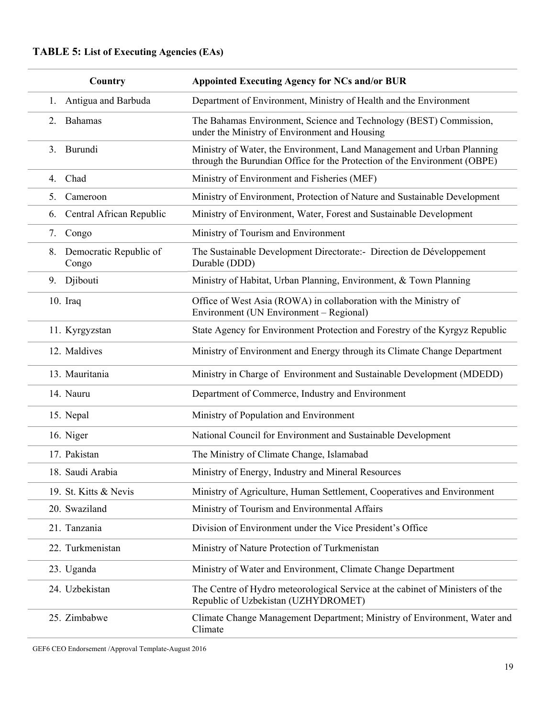# **TABLE 5: List of Executing Agencies (EAs)**

| Country                               | <b>Appointed Executing Agency for NCs and/or BUR</b>                                                                                                |
|---------------------------------------|-----------------------------------------------------------------------------------------------------------------------------------------------------|
| Antigua and Barbuda<br>1.             | Department of Environment, Ministry of Health and the Environment                                                                                   |
| Bahamas<br>2.                         | The Bahamas Environment, Science and Technology (BEST) Commission,<br>under the Ministry of Environment and Housing                                 |
| Burundi<br>3.                         | Ministry of Water, the Environment, Land Management and Urban Planning<br>through the Burundian Office for the Protection of the Environment (OBPE) |
| 4. Chad                               | Ministry of Environment and Fisheries (MEF)                                                                                                         |
| Cameroon<br>5.                        | Ministry of Environment, Protection of Nature and Sustainable Development                                                                           |
| Central African Republic<br>6.        | Ministry of Environment, Water, Forest and Sustainable Development                                                                                  |
| 7.<br>Congo                           | Ministry of Tourism and Environment                                                                                                                 |
| Democratic Republic of<br>8.<br>Congo | The Sustainable Development Directorate:- Direction de Développement<br>Durable (DDD)                                                               |
| Djibouti<br>9.                        | Ministry of Habitat, Urban Planning, Environment, & Town Planning                                                                                   |
| $10.$ Iraq                            | Office of West Asia (ROWA) in collaboration with the Ministry of<br>Environment (UN Environment – Regional)                                         |
| 11. Kyrgyzstan                        | State Agency for Environment Protection and Forestry of the Kyrgyz Republic                                                                         |
| 12. Maldives                          | Ministry of Environment and Energy through its Climate Change Department                                                                            |
| 13. Mauritania                        | Ministry in Charge of Environment and Sustainable Development (MDEDD)                                                                               |
| 14. Nauru                             | Department of Commerce, Industry and Environment                                                                                                    |
| 15. Nepal                             | Ministry of Population and Environment                                                                                                              |
| 16. Niger                             | National Council for Environment and Sustainable Development                                                                                        |
| 17. Pakistan                          | The Ministry of Climate Change, Islamabad                                                                                                           |
| 18. Saudi Arabia                      | Ministry of Energy, Industry and Mineral Resources                                                                                                  |
| 19. St. Kitts & Nevis                 | Ministry of Agriculture, Human Settlement, Cooperatives and Environment                                                                             |
| 20. Swaziland                         | Ministry of Tourism and Environmental Affairs                                                                                                       |
| 21. Tanzania                          | Division of Environment under the Vice President's Office                                                                                           |
| 22. Turkmenistan                      | Ministry of Nature Protection of Turkmenistan                                                                                                       |
| 23. Uganda                            | Ministry of Water and Environment, Climate Change Department                                                                                        |
| 24. Uzbekistan                        | The Centre of Hydro meteorological Service at the cabinet of Ministers of the<br>Republic of Uzbekistan (UZHYDROMET)                                |
| 25. Zimbabwe                          | Climate Change Management Department; Ministry of Environment, Water and<br>Climate                                                                 |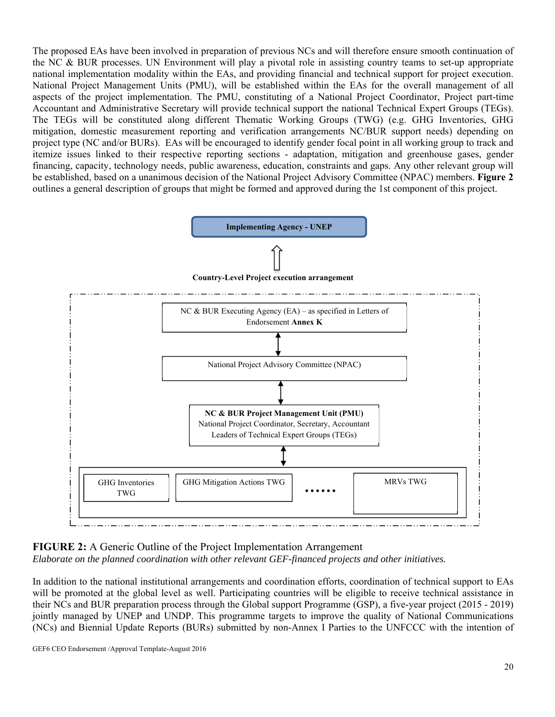The proposed EAs have been involved in preparation of previous NCs and will therefore ensure smooth continuation of the NC & BUR processes. UN Environment will play a pivotal role in assisting country teams to set-up appropriate national implementation modality within the EAs, and providing financial and technical support for project execution. National Project Management Units (PMU), will be established within the EAs for the overall management of all aspects of the project implementation. The PMU, constituting of a National Project Coordinator, Project part-time Accountant and Administrative Secretary will provide technical support the national Technical Expert Groups (TEGs). The TEGs will be constituted along different Thematic Working Groups (TWG) (e.g. GHG Inventories, GHG mitigation, domestic measurement reporting and verification arrangements NC/BUR support needs) depending on project type (NC and/or BURs). EAs will be encouraged to identify gender focal point in all working group to track and itemize issues linked to their respective reporting sections - adaptation, mitigation and greenhouse gases, gender financing, capacity, technology needs, public awareness, education, constraints and gaps. Any other relevant group will be established, based on a unanimous decision of the National Project Advisory Committee (NPAC) members. **Figure 2** outlines a general description of groups that might be formed and approved during the 1st component of this project.



**FIGURE 2:** A Generic Outline of the Project Implementation Arrangement *Elaborate on the planned coordination with other relevant GEF-financed projects and other initiatives.* 

In addition to the national institutional arrangements and coordination efforts, coordination of technical support to EAs will be promoted at the global level as well. Participating countries will be eligible to receive technical assistance in their NCs and BUR preparation process through the Global support Programme (GSP), a five-year project (2015 - 2019) jointly managed by UNEP and UNDP. This programme targets to improve the quality of National Communications (NCs) and Biennial Update Reports (BURs) submitted by non-Annex I Parties to the UNFCCC with the intention of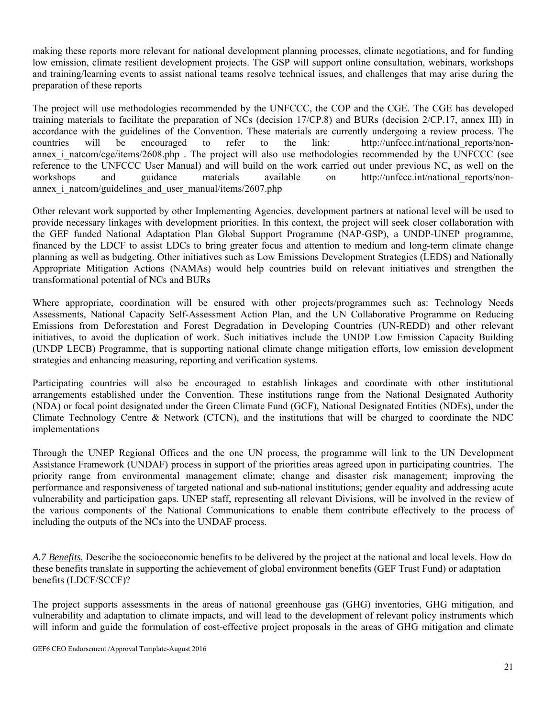making these reports more relevant for national development planning processes, climate negotiations, and for funding low emission, climate resilient development projects. The GSP will support online consultation, webinars, workshops and training/learning events to assist national teams resolve technical issues, and challenges that may arise during the preparation of these reports

The project will use methodologies recommended by the UNFCCC, the COP and the CGE. The CGE has developed training materials to facilitate the preparation of NCs (decision 17/CP.8) and BURs (decision 2/CP.17, annex III) in accordance with the guidelines of the Convention. These materials are currently undergoing a review process. The countries will be encouraged to refer to the link: http://unfccc.int/national\_reports/nonannex i natcom/cge/items/2608.php . The project will also use methodologies recommended by the UNFCCC (see reference to the UNFCCC User Manual) and will build on the work carried out under previous NC, as well on the workshops and guidance materials available on http://unfccc.int/national\_reports/nonannex i\_natcom/guidelines\_and\_user\_manual/items/2607.php

Other relevant work supported by other Implementing Agencies, development partners at national level will be used to provide necessary linkages with development priorities. In this context, the project will seek closer collaboration with the GEF funded National Adaptation Plan Global Support Programme (NAP-GSP), a UNDP-UNEP programme, financed by the LDCF to assist LDCs to bring greater focus and attention to medium and long-term climate change planning as well as budgeting. Other initiatives such as Low Emissions Development Strategies (LEDS) and Nationally Appropriate Mitigation Actions (NAMAs) would help countries build on relevant initiatives and strengthen the transformational potential of NCs and BURs

Where appropriate, coordination will be ensured with other projects/programmes such as: Technology Needs Assessments, National Capacity Self-Assessment Action Plan, and the UN Collaborative Programme on Reducing Emissions from Deforestation and Forest Degradation in Developing Countries (UN-REDD) and other relevant initiatives, to avoid the duplication of work. Such initiatives include the UNDP Low Emission Capacity Building (UNDP LECB) Programme, that is supporting national climate change mitigation efforts, low emission development strategies and enhancing measuring, reporting and verification systems.

Participating countries will also be encouraged to establish linkages and coordinate with other institutional arrangements established under the Convention. These institutions range from the National Designated Authority (NDA) or focal point designated under the Green Climate Fund (GCF), National Designated Entities (NDEs), under the Climate Technology Centre & Network (CTCN), and the institutions that will be charged to coordinate the NDC implementations

Through the UNEP Regional Offices and the one UN process, the programme will link to the UN Development Assistance Framework (UNDAF) process in support of the priorities areas agreed upon in participating countries. The priority range from environmental management climate; change and disaster risk management; improving the performance and responsiveness of targeted national and sub-national institutions; gender equality and addressing acute vulnerability and participation gaps. UNEP staff, representing all relevant Divisions, will be involved in the review of the various components of the National Communications to enable them contribute effectively to the process of including the outputs of the NCs into the UNDAF process.

*A.7 Benefits.* Describe the socioeconomic benefits to be delivered by the project at the national and local levels. How do these benefits translate in supporting the achievement of global environment benefits (GEF Trust Fund) or adaptation benefits (LDCF/SCCF)?

The project supports assessments in the areas of national greenhouse gas (GHG) inventories, GHG mitigation, and vulnerability and adaptation to climate impacts, and will lead to the development of relevant policy instruments which will inform and guide the formulation of cost-effective project proposals in the areas of GHG mitigation and climate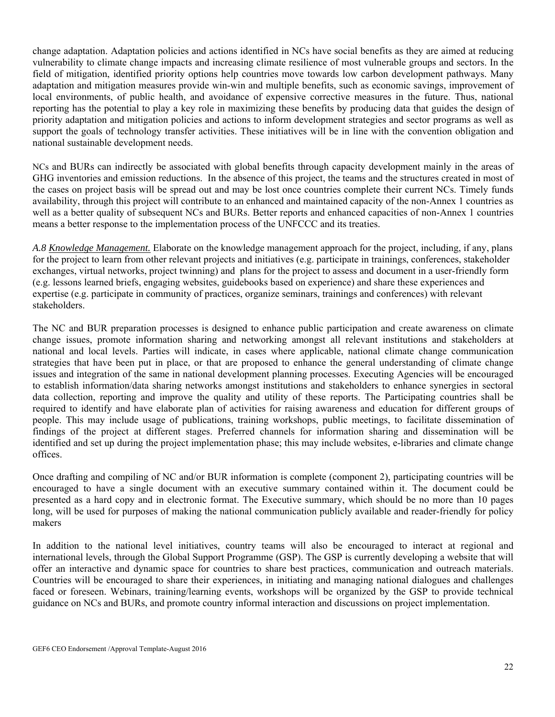change adaptation. Adaptation policies and actions identified in NCs have social benefits as they are aimed at reducing vulnerability to climate change impacts and increasing climate resilience of most vulnerable groups and sectors. In the field of mitigation, identified priority options help countries move towards low carbon development pathways. Many adaptation and mitigation measures provide win-win and multiple benefits, such as economic savings, improvement of local environments, of public health, and avoidance of expensive corrective measures in the future. Thus, national reporting has the potential to play a key role in maximizing these benefits by producing data that guides the design of priority adaptation and mitigation policies and actions to inform development strategies and sector programs as well as support the goals of technology transfer activities. These initiatives will be in line with the convention obligation and national sustainable development needs.

NCs and BURs can indirectly be associated with global benefits through capacity development mainly in the areas of GHG inventories and emission reductions. In the absence of this project, the teams and the structures created in most of the cases on project basis will be spread out and may be lost once countries complete their current NCs. Timely funds availability, through this project will contribute to an enhanced and maintained capacity of the non-Annex 1 countries as well as a better quality of subsequent NCs and BURs. Better reports and enhanced capacities of non-Annex 1 countries means a better response to the implementation process of the UNFCCC and its treaties.

*A.8 Knowledge Management.* Elaborate on the knowledge management approach for the project, including, if any, plans for the project to learn from other relevant projects and initiatives (e.g. participate in trainings, conferences, stakeholder exchanges, virtual networks, project twinning) and plans for the project to assess and document in a user-friendly form (e.g. lessons learned briefs, engaging websites, guidebooks based on experience) and share these experiences and expertise (e.g. participate in community of practices, organize seminars, trainings and conferences) with relevant stakeholders.

The NC and BUR preparation processes is designed to enhance public participation and create awareness on climate change issues, promote information sharing and networking amongst all relevant institutions and stakeholders at national and local levels. Parties will indicate, in cases where applicable, national climate change communication strategies that have been put in place, or that are proposed to enhance the general understanding of climate change issues and integration of the same in national development planning processes. Executing Agencies will be encouraged to establish information/data sharing networks amongst institutions and stakeholders to enhance synergies in sectoral data collection, reporting and improve the quality and utility of these reports. The Participating countries shall be required to identify and have elaborate plan of activities for raising awareness and education for different groups of people. This may include usage of publications, training workshops, public meetings, to facilitate dissemination of findings of the project at different stages. Preferred channels for information sharing and dissemination will be identified and set up during the project implementation phase; this may include websites, e-libraries and climate change offices.

Once drafting and compiling of NC and/or BUR information is complete (component 2), participating countries will be encouraged to have a single document with an executive summary contained within it. The document could be presented as a hard copy and in electronic format. The Executive summary, which should be no more than 10 pages long, will be used for purposes of making the national communication publicly available and reader-friendly for policy makers

In addition to the national level initiatives, country teams will also be encouraged to interact at regional and international levels, through the Global Support Programme (GSP). The GSP is currently developing a website that will offer an interactive and dynamic space for countries to share best practices, communication and outreach materials. Countries will be encouraged to share their experiences, in initiating and managing national dialogues and challenges faced or foreseen. Webinars, training/learning events, workshops will be organized by the GSP to provide technical guidance on NCs and BURs, and promote country informal interaction and discussions on project implementation.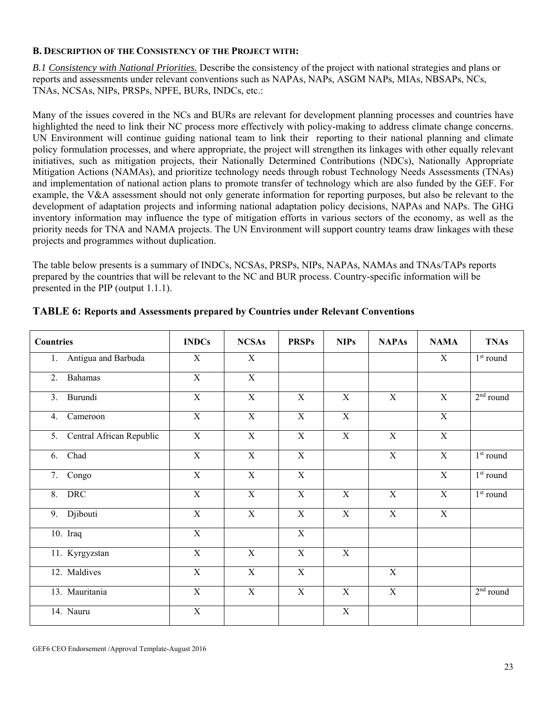#### **B. DESCRIPTION OF THE CONSISTENCY OF THE PROJECT WITH:**

*B.1 Consistency with National Priorities.* Describe the consistency of the project with national strategies and plans or reports and assessments under relevant conventions such as NAPAs, NAPs, ASGM NAPs, MIAs, NBSAPs, NCs, TNAs, NCSAs, NIPs, PRSPs, NPFE, BURs, INDCs, etc.:

Many of the issues covered in the NCs and BURs are relevant for development planning processes and countries have highlighted the need to link their NC process more effectively with policy-making to address climate change concerns. UN Environment will continue guiding national team to link their reporting to their national planning and climate policy formulation processes, and where appropriate, the project will strengthen its linkages with other equally relevant initiatives, such as mitigation projects, their Nationally Determined Contributions (NDCs), Nationally Appropriate Mitigation Actions (NAMAs), and prioritize technology needs through robust Technology Needs Assessments (TNAs) and implementation of national action plans to promote transfer of technology which are also funded by the GEF. For example, the V&A assessment should not only generate information for reporting purposes, but also be relevant to the development of adaptation projects and informing national adaptation policy decisions, NAPAs and NAPs. The GHG inventory information may influence the type of mitigation efforts in various sectors of the economy, as well as the priority needs for TNA and NAMA projects. The UN Environment will support country teams draw linkages with these projects and programmes without duplication.

The table below presents is a summary of INDCs, NCSAs, PRSPs, NIPs, NAPAs, NAMAs and TNAs/TAPs reports prepared by the countries that will be relevant to the NC and BUR process. Country-specific information will be presented in the PIP (output 1.1.1).

| <b>Countries</b>            | <b>INDCs</b>   | <b>NCSAs</b>   | <b>PRSPs</b>   | <b>NIPs</b>    | <b>NAPAs</b>   | <b>NAMA</b>    | <b>TNAs</b>        |
|-----------------------------|----------------|----------------|----------------|----------------|----------------|----------------|--------------------|
| Antigua and Barbuda<br>1.   | X              | X              |                |                |                | $\mathbf X$    | $1st$ round        |
| Bahamas<br>2.               | X              | X              |                |                |                |                |                    |
| Burundi<br>3.               | $\overline{X}$ | $\overline{X}$ | $\overline{X}$ | $\overline{X}$ | $\overline{X}$ | $\overline{X}$ | $2nd$ round        |
| Cameroon<br>4.              | $\overline{X}$ | $\overline{X}$ | $\overline{X}$ | $\overline{X}$ |                | $\mathbf X$    |                    |
| 5. Central African Republic | X              | $\mathbf X$    | $\mathbf X$    | $\mathbf X$    | X              | $\mathbf X$    |                    |
| Chad<br>6.                  | X              | X              | X              |                | X              | $\mathbf X$    | $1^{\rm st}$ round |
| 7. Congo                    | $\overline{X}$ | $\overline{X}$ | X              |                |                | X              | $1st$ round        |
| <b>DRC</b><br>8.            | X              | X              | X              | $\mathbf X$    | X              | $\mathbf X$    | $1st$ round        |
| Djibouti<br>9.              | $\mathbf X$    | $\overline{X}$ | X              | $\overline{X}$ | X              | $\mathbf X$    |                    |
| 10. Iraq                    | $\overline{X}$ |                | $\overline{X}$ |                |                |                |                    |
| 11. Kyrgyzstan              | $\mathbf X$    | $\mathbf X$    | $\mathbf X$    | $\mathbf X$    |                |                |                    |
| 12. Maldives                | $\overline{X}$ | $\overline{X}$ | $\overline{X}$ |                | X              |                |                    |
| 13. Mauritania              | $\mathbf X$    | X              | X              | X              | $\mathbf X$    |                | $2nd$ round        |
| 14. Nauru                   | $\mathbf X$    |                |                | $\mathbf X$    |                |                |                    |

**TABLE 6: Reports and Assessments prepared by Countries under Relevant Conventions**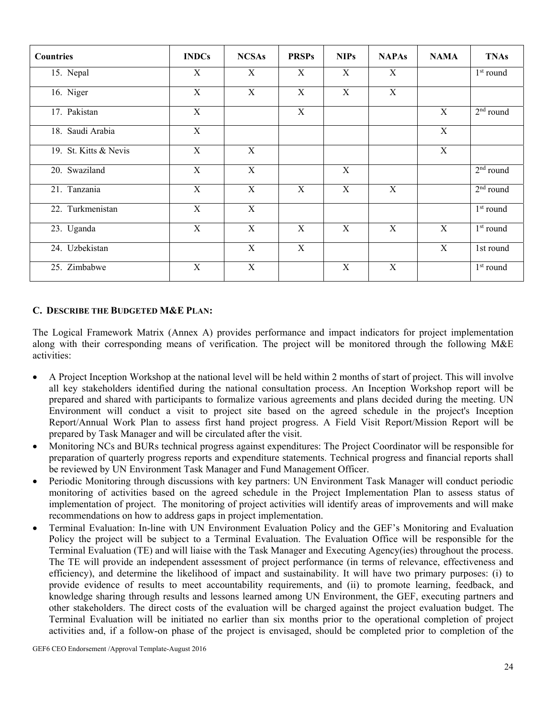| <b>Countries</b>      | <b>INDCs</b> | <b>NCSAs</b> | <b>PRSPs</b> | <b>NIPs</b>  | <b>NAPAs</b> | <b>NAMA</b> | <b>TNAs</b> |
|-----------------------|--------------|--------------|--------------|--------------|--------------|-------------|-------------|
| 15. Nepal             | X            | X            | $\mathbf X$  | $\mathbf X$  | $\mathbf X$  |             | $1st$ round |
| 16. Niger             | X            | $\mathbf X$  | $\mathbf X$  | $\mathbf X$  | $\mathbf X$  |             |             |
| 17. Pakistan          | X            |              | $\mathbf X$  |              |              | X           | $2nd$ round |
| 18. Saudi Arabia      | X            |              |              |              |              | $\mathbf X$ |             |
| 19. St. Kitts & Nevis | X            | X            |              |              |              | X           |             |
| 20. Swaziland         | X            | X            |              | X            |              |             | $2nd$ round |
| 21. Tanzania          | X            | X            | X            | X            | X            |             | $2nd$ round |
| 22. Turkmenistan      | X            | $\mathbf X$  |              |              |              |             | $1st$ round |
| 23. Uganda            | X            | X            | X            | $\mathbf{X}$ | X            | X           | $1st$ round |
| 24. Uzbekistan        |              | X            | X            |              |              | X           | 1st round   |
| 25. Zimbabwe          | $\mathbf X$  | $\mathbf X$  |              | $\mathbf X$  | $\mathbf X$  |             | $1st$ round |

#### **C. DESCRIBE THE BUDGETED M&E PLAN:**

The Logical Framework Matrix (Annex A) provides performance and impact indicators for project implementation along with their corresponding means of verification. The project will be monitored through the following M&E activities:

- A Project Inception Workshop at the national level will be held within 2 months of start of project. This will involve all key stakeholders identified during the national consultation process. An Inception Workshop report will be prepared and shared with participants to formalize various agreements and plans decided during the meeting. UN Environment will conduct a visit to project site based on the agreed schedule in the project's Inception Report/Annual Work Plan to assess first hand project progress. A Field Visit Report/Mission Report will be prepared by Task Manager and will be circulated after the visit.
- Monitoring NCs and BURs technical progress against expenditures: The Project Coordinator will be responsible for preparation of quarterly progress reports and expenditure statements. Technical progress and financial reports shall be reviewed by UN Environment Task Manager and Fund Management Officer.
- Periodic Monitoring through discussions with key partners: UN Environment Task Manager will conduct periodic monitoring of activities based on the agreed schedule in the Project Implementation Plan to assess status of implementation of project. The monitoring of project activities will identify areas of improvements and will make recommendations on how to address gaps in project implementation.
- Terminal Evaluation: In-line with UN Environment Evaluation Policy and the GEF's Monitoring and Evaluation Policy the project will be subject to a Terminal Evaluation. The Evaluation Office will be responsible for the Terminal Evaluation (TE) and will liaise with the Task Manager and Executing Agency(ies) throughout the process. The TE will provide an independent assessment of project performance (in terms of relevance, effectiveness and efficiency), and determine the likelihood of impact and sustainability. It will have two primary purposes: (i) to provide evidence of results to meet accountability requirements, and (ii) to promote learning, feedback, and knowledge sharing through results and lessons learned among UN Environment, the GEF, executing partners and other stakeholders. The direct costs of the evaluation will be charged against the project evaluation budget. The Terminal Evaluation will be initiated no earlier than six months prior to the operational completion of project activities and, if a follow-on phase of the project is envisaged, should be completed prior to completion of the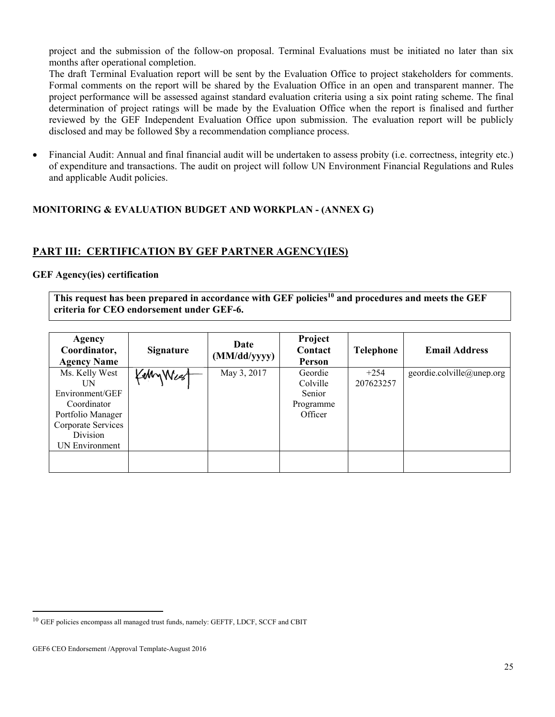project and the submission of the follow-on proposal. Terminal Evaluations must be initiated no later than six months after operational completion.

The draft Terminal Evaluation report will be sent by the Evaluation Office to project stakeholders for comments. Formal comments on the report will be shared by the Evaluation Office in an open and transparent manner. The project performance will be assessed against standard evaluation criteria using a six point rating scheme. The final determination of project ratings will be made by the Evaluation Office when the report is finalised and further reviewed by the GEF Independent Evaluation Office upon submission. The evaluation report will be publicly disclosed and may be followed \$by a recommendation compliance process.

 Financial Audit: Annual and final financial audit will be undertaken to assess probity (i.e. correctness, integrity etc.) of expenditure and transactions. The audit on project will follow UN Environment Financial Regulations and Rules and applicable Audit policies.

### **MONITORING & EVALUATION BUDGET AND WORKPLAN - (ANNEX G)**

### **PART III: CERTIFICATION BY GEF PARTNER AGENCY(IES)**

#### **GEF Agency(ies) certification**

This request has been prepared in accordance with GEF policies<sup>10</sup> and procedures and meets the GEF **criteria for CEO endorsement under GEF-6.**

| Agency<br>Coordinator,<br><b>Agency Name</b>                                                                                    | <b>Signature</b> | Date<br>(MM/dd/yyyy) | Project<br>Contact<br>Person                          | <b>Telephone</b>    | <b>Email Address</b>      |
|---------------------------------------------------------------------------------------------------------------------------------|------------------|----------------------|-------------------------------------------------------|---------------------|---------------------------|
| Ms. Kelly West<br>UN<br>Environment/GEF<br>Coordinator<br>Portfolio Manager<br>Corporate Services<br>Division<br>UN Environment | KellyWee         | May 3, 2017          | Geordie<br>Colville<br>Senior<br>Programme<br>Officer | $+254$<br>207623257 | geordie.colville@unep.org |
|                                                                                                                                 |                  |                      |                                                       |                     |                           |

 $^{10}$  GEF policies encompass all managed trust funds, namely: GEFTF, LDCF, SCCF and CBIT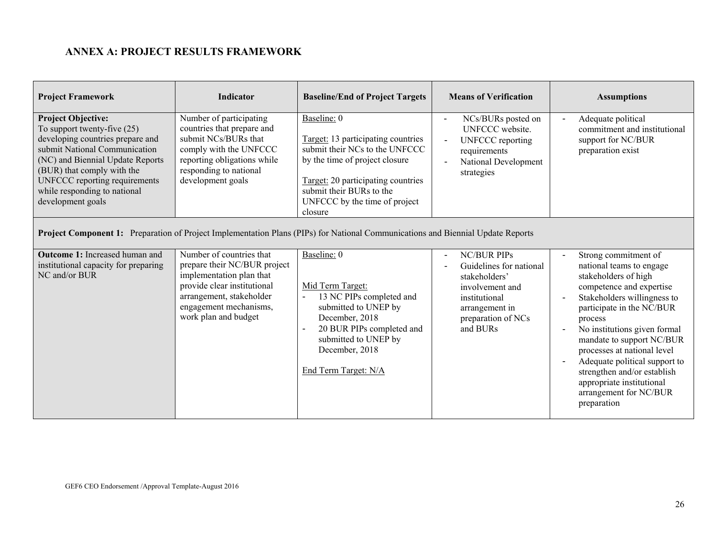## **ANNEX A: PROJECT RESULTS FRAMEWORK**

| <b>Project Framework</b>                                                                                                                                                                                                                                                                | <b>Indicator</b>                                                                                                                                                                                  | <b>Baseline/End of Project Targets</b>                                                                                                                                                                                              | <b>Means of Verification</b>                                                                                                                                                       | <b>Assumptions</b>                                                                                                                                                                                                                                                                                                                                                                                            |
|-----------------------------------------------------------------------------------------------------------------------------------------------------------------------------------------------------------------------------------------------------------------------------------------|---------------------------------------------------------------------------------------------------------------------------------------------------------------------------------------------------|-------------------------------------------------------------------------------------------------------------------------------------------------------------------------------------------------------------------------------------|------------------------------------------------------------------------------------------------------------------------------------------------------------------------------------|---------------------------------------------------------------------------------------------------------------------------------------------------------------------------------------------------------------------------------------------------------------------------------------------------------------------------------------------------------------------------------------------------------------|
| <b>Project Objective:</b><br>To support twenty-five $(25)$<br>developing countries prepare and<br>submit National Communication<br>(NC) and Biennial Update Reports<br>(BUR) that comply with the<br>UNFCCC reporting requirements<br>while responding to national<br>development goals | Number of participating<br>countries that prepare and<br>submit NCs/BURs that<br>comply with the UNFCCC<br>reporting obligations while<br>responding to national<br>development goals             | Baseline: 0<br>Target: 13 participating countries<br>submit their NCs to the UNFCCC<br>by the time of project closure<br>Target: 20 participating countries<br>submit their BURs to the<br>UNFCCC by the time of project<br>closure | NCs/BURs posted on<br>$\overline{\phantom{a}}$<br>UNFCCC website.<br><b>UNFCCC</b> reporting<br>$\sim$<br>requirements<br>National Development<br>strategies                       | Adequate political<br>commitment and institutional<br>support for NC/BUR<br>preparation exist                                                                                                                                                                                                                                                                                                                 |
| Project Component 1: Preparation of Project Implementation Plans (PIPs) for National Communications and Biennial Update Reports                                                                                                                                                         |                                                                                                                                                                                                   |                                                                                                                                                                                                                                     |                                                                                                                                                                                    |                                                                                                                                                                                                                                                                                                                                                                                                               |
| <b>Outcome 1:</b> Increased human and<br>institutional capacity for preparing<br>NC and/or BUR                                                                                                                                                                                          | Number of countries that<br>prepare their NC/BUR project<br>implementation plan that<br>provide clear institutional<br>arrangement, stakeholder<br>engagement mechanisms,<br>work plan and budget | Baseline: 0<br>Mid Term Target:<br>13 NC PIPs completed and<br>submitted to UNEP by<br>December, 2018<br>20 BUR PIPs completed and<br>submitted to UNEP by<br>December, 2018<br>End Term Target: N/A                                | <b>NC/BUR PIPs</b><br>$\overline{\phantom{a}}$<br>Guidelines for national<br>stakeholders'<br>involvement and<br>institutional<br>arrangement in<br>preparation of NCs<br>and BURs | Strong commitment of<br>national teams to engage<br>stakeholders of high<br>competence and expertise<br>Stakeholders willingness to<br>participate in the NC/BUR<br>process<br>No institutions given formal<br>mandate to support NC/BUR<br>processes at national level<br>Adequate political support to<br>strengthen and/or establish<br>appropriate institutional<br>arrangement for NC/BUR<br>preparation |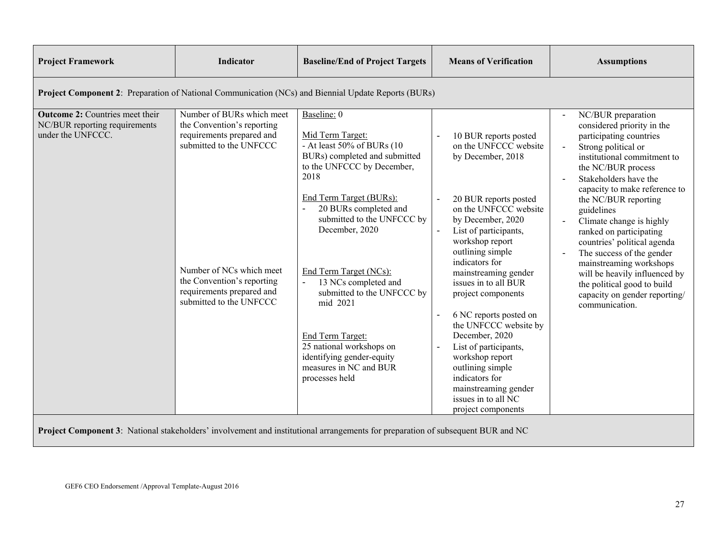| <b>Project Framework</b>                                                                            | Indicator                                                                                                                                                                                                                         | <b>Baseline/End of Project Targets</b>                                                                                                                                                                                                                                                                                                                                                                                                                        | <b>Means of Verification</b>                                                                                                                                                                                                                                                                                                                                                                                                                                                                                                   | <b>Assumptions</b>                                                                                                                                                                                                                                                                                                                                                                                                                                                                                                       |
|-----------------------------------------------------------------------------------------------------|-----------------------------------------------------------------------------------------------------------------------------------------------------------------------------------------------------------------------------------|---------------------------------------------------------------------------------------------------------------------------------------------------------------------------------------------------------------------------------------------------------------------------------------------------------------------------------------------------------------------------------------------------------------------------------------------------------------|--------------------------------------------------------------------------------------------------------------------------------------------------------------------------------------------------------------------------------------------------------------------------------------------------------------------------------------------------------------------------------------------------------------------------------------------------------------------------------------------------------------------------------|--------------------------------------------------------------------------------------------------------------------------------------------------------------------------------------------------------------------------------------------------------------------------------------------------------------------------------------------------------------------------------------------------------------------------------------------------------------------------------------------------------------------------|
| Project Component 2: Preparation of National Communication (NCs) and Biennial Update Reports (BURs) |                                                                                                                                                                                                                                   |                                                                                                                                                                                                                                                                                                                                                                                                                                                               |                                                                                                                                                                                                                                                                                                                                                                                                                                                                                                                                |                                                                                                                                                                                                                                                                                                                                                                                                                                                                                                                          |
| <b>Outcome 2:</b> Countries meet their<br>NC/BUR reporting requirements<br>under the UNFCCC.        | Number of BURs which meet<br>the Convention's reporting<br>requirements prepared and<br>submitted to the UNFCCC<br>Number of NCs which meet<br>the Convention's reporting<br>requirements prepared and<br>submitted to the UNFCCC | Baseline: 0<br>Mid Term Target:<br>- At least 50% of BURs (10<br>BURs) completed and submitted<br>to the UNFCCC by December,<br>2018<br>End Term Target (BURs):<br>20 BURs completed and<br>submitted to the UNFCCC by<br>December, 2020<br>End Term Target (NCs):<br>13 NCs completed and<br>submitted to the UNFCCC by<br>mid 2021<br>End Term Target:<br>25 national workshops on<br>identifying gender-equity<br>measures in NC and BUR<br>processes held | 10 BUR reports posted<br>on the UNFCCC website<br>by December, 2018<br>20 BUR reports posted<br>on the UNFCCC website<br>by December, 2020<br>List of participants,<br>workshop report<br>outlining simple<br>indicators for<br>mainstreaming gender<br>issues in to all BUR<br>project components<br>6 NC reports posted on<br>the UNFCCC website by<br>December, 2020<br>List of participants,<br>workshop report<br>outlining simple<br>indicators for<br>mainstreaming gender<br>issues in to all NC<br>project components | NC/BUR preparation<br>considered priority in the<br>participating countries<br>Strong political or<br>institutional commitment to<br>the NC/BUR process<br>Stakeholders have the<br>capacity to make reference to<br>the NC/BUR reporting<br>guidelines<br>Climate change is highly<br>ranked on participating<br>countries' political agenda<br>The success of the gender<br>mainstreaming workshops<br>will be heavily influenced by<br>the political good to build<br>capacity on gender reporting/<br>communication. |

**Project Component 3**: National stakeholders' involvement and institutional arrangements for preparation of subsequent BUR and NC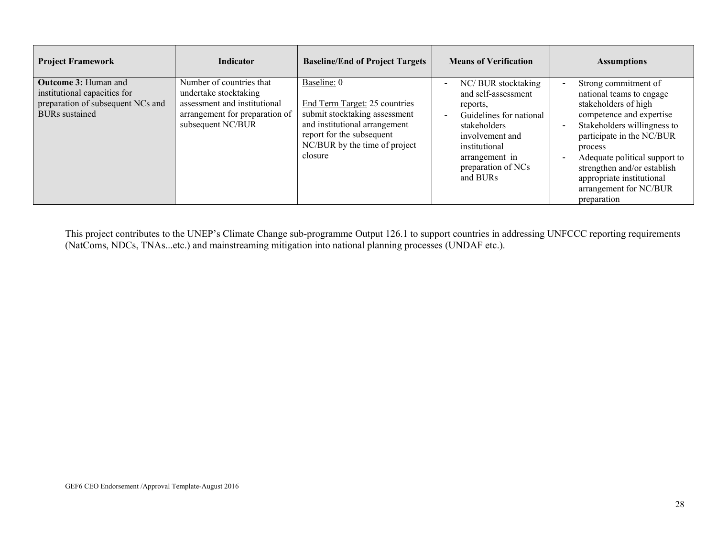| <b>Project Framework</b>                                                                                                  | <b>Indicator</b>                                                                                                                         | <b>Baseline/End of Project Targets</b>                                                                                                                                                  | <b>Means of Verification</b>                                                                                                                                                                                                    | <b>Assumptions</b>                                                                                                                                                                                                                                                                                                |
|---------------------------------------------------------------------------------------------------------------------------|------------------------------------------------------------------------------------------------------------------------------------------|-----------------------------------------------------------------------------------------------------------------------------------------------------------------------------------------|---------------------------------------------------------------------------------------------------------------------------------------------------------------------------------------------------------------------------------|-------------------------------------------------------------------------------------------------------------------------------------------------------------------------------------------------------------------------------------------------------------------------------------------------------------------|
| <b>Outcome 3: Human and</b><br>institutional capacities for<br>preparation of subsequent NCs and<br><b>BURs</b> sustained | Number of countries that<br>undertake stocktaking<br>assessment and institutional<br>arrangement for preparation of<br>subsequent NC/BUR | Baseline: 0<br>End Term Target: 25 countries<br>submit stocktaking assessment<br>and institutional arrangement<br>report for the subsequent<br>NC/BUR by the time of project<br>closure | NC/ BUR stocktaking<br>$\overline{\phantom{a}}$<br>and self-assessment<br>reports,<br>Guidelines for national<br>$\sim$<br>stakeholders<br>involvement and<br>institutional<br>arrangement in<br>preparation of NCs<br>and BURs | Strong commitment of<br>national teams to engage<br>stakeholders of high<br>competence and expertise<br>Stakeholders willingness to<br>participate in the NC/BUR<br>process<br>Adequate political support to<br>strengthen and/or establish<br>appropriate institutional<br>arrangement for NC/BUR<br>preparation |

This project contributes to the UNEP's Climate Change sub-programme Output 126.1 to support countries in addressing UNFCCC reporting requirements (NatComs, NDCs, TNAs...etc.) and mainstreaming mitigation into national planning processes (UNDAF etc.).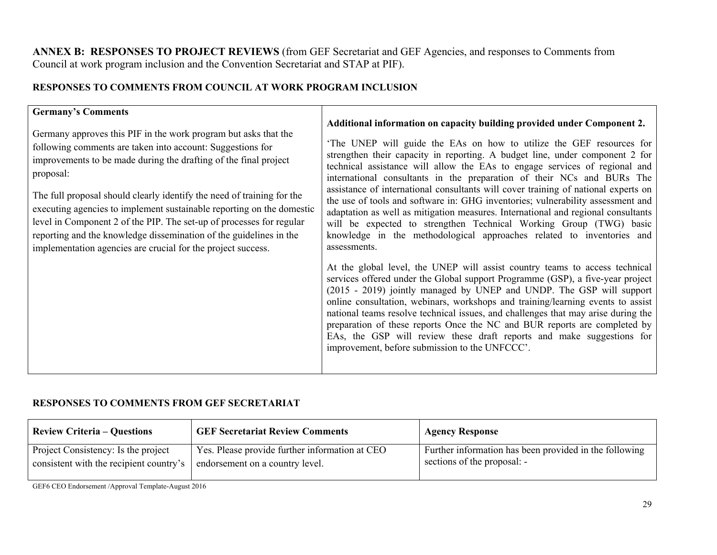**ANNEX B: RESPONSES TO PROJECT REVIEWS** (from GEF Secretariat and GEF Agencies, and responses to Comments from Council at work program inclusion and the Convention Secretariat and STAP at PIF).

# **RESPONSES TO COMMENTS FROM COUNCIL AT WORK PROGRAM INCLUSION**

## **Germany's Comments**

Germany approves this PIF in the work program but asks that the following comments are taken into account: Suggestions for improvements to be made during the drafting of the final project proposal:

The full proposal should clearly identify the need of training for the executing agencies to implement sustainable reporting on the domestic level in Component 2 of the PIP. The set-up of processes for regular reporting and the knowledge dissemination of the guidelines in the implementation agencies are crucial for the project success.

### **Additional information on capacity building provided under Component 2.**

'The UNEP will guide the EAs on how to utilize the GEF resources for strengthen their capacity in reporting. A budget line, under component 2 for technical assistance will allow the EAs to engage services of regional and international consultants in the preparation of their NCs and BURs The assistance of international consultants will cover training of national experts on the use of tools and software in: GHG inventories; vulnerability assessment and adaptation as well as mitigation measures. International and regional consultants will be expected to strengthen Technical Working Group (TWG) basic knowledge in the methodological approaches related to inventories and assessments.

At the global level, the UNEP will assist country teams to access technical services offered under the Global support Programme (GSP), a five-year project (2015 - 2019) jointly managed by UNEP and UNDP. The GSP will support online consultation, webinars, workshops and training/learning events to assist national teams resolve technical issues, and challenges that may arise during the preparation of these reports Once the NC and BUR reports are completed by EAs, the GSP will review these draft reports and make suggestions for improvement, before submission to the UNFCCC'.

## **RESPONSES TO COMMENTS FROM GEF SECRETARIAT**

| <b>Review Criteria – Questions</b>      | <b>GEF Secretariat Review Comments</b>         | <b>Agency Response</b>                                 |
|-----------------------------------------|------------------------------------------------|--------------------------------------------------------|
| Project Consistency: Is the project     | Yes. Please provide further information at CEO | Further information has been provided in the following |
| consistent with the recipient country's | endorsement on a country level.                | sections of the proposal: -                            |
|                                         |                                                |                                                        |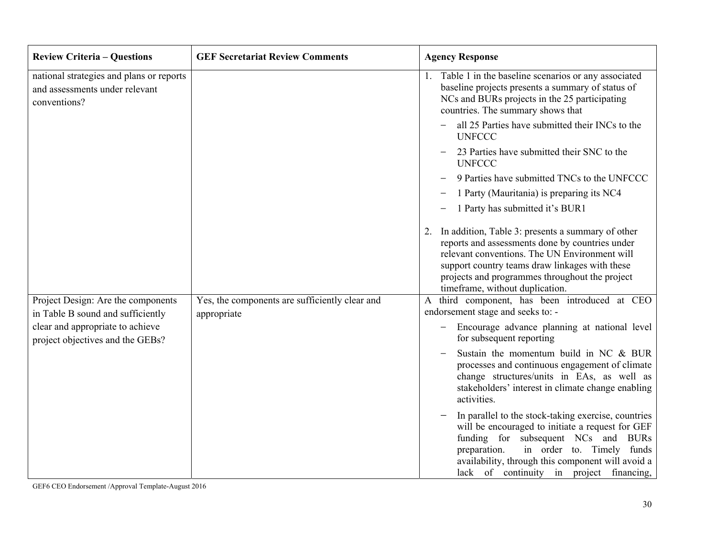| <b>Review Criteria – Questions</b>                                                         | <b>GEF Secretariat Review Comments</b>                        | <b>Agency Response</b>                                                                                                                                                                                                                                                                             |
|--------------------------------------------------------------------------------------------|---------------------------------------------------------------|----------------------------------------------------------------------------------------------------------------------------------------------------------------------------------------------------------------------------------------------------------------------------------------------------|
| national strategies and plans or reports<br>and assessments under relevant<br>conventions? |                                                               | 1. Table 1 in the baseline scenarios or any associated<br>baseline projects presents a summary of status of<br>NCs and BURs projects in the 25 participating<br>countries. The summary shows that                                                                                                  |
|                                                                                            |                                                               | all 25 Parties have submitted their INCs to the<br><b>UNFCCC</b>                                                                                                                                                                                                                                   |
|                                                                                            |                                                               | 23 Parties have submitted their SNC to the<br><b>UNFCCC</b>                                                                                                                                                                                                                                        |
|                                                                                            |                                                               | 9 Parties have submitted TNCs to the UNFCCC                                                                                                                                                                                                                                                        |
|                                                                                            |                                                               | 1 Party (Mauritania) is preparing its NC4                                                                                                                                                                                                                                                          |
|                                                                                            |                                                               | 1 Party has submitted it's BUR1                                                                                                                                                                                                                                                                    |
|                                                                                            |                                                               | In addition, Table 3: presents a summary of other<br>2.<br>reports and assessments done by countries under<br>relevant conventions. The UN Environment will<br>support country teams draw linkages with these<br>projects and programmes throughout the project<br>timeframe, without duplication. |
| Project Design: Are the components<br>in Table B sound and sufficiently                    | Yes, the components are sufficiently clear and<br>appropriate | third component, has been introduced at CEO<br>A<br>endorsement stage and seeks to: -                                                                                                                                                                                                              |
| clear and appropriate to achieve<br>project objectives and the GEBs?                       |                                                               | Encourage advance planning at national level<br>$\qquad \qquad -$<br>for subsequent reporting                                                                                                                                                                                                      |
|                                                                                            |                                                               | Sustain the momentum build in NC & BUR<br>processes and continuous engagement of climate<br>change structures/units in EAs, as well as<br>stakeholders' interest in climate change enabling<br>activities.                                                                                         |
|                                                                                            |                                                               | In parallel to the stock-taking exercise, countries<br>will be encouraged to initiate a request for GEF<br>funding for subsequent NCs and BURs<br>in order to. Timely funds<br>preparation.<br>availability, through this component will avoid a<br>lack of continuity in project financing,       |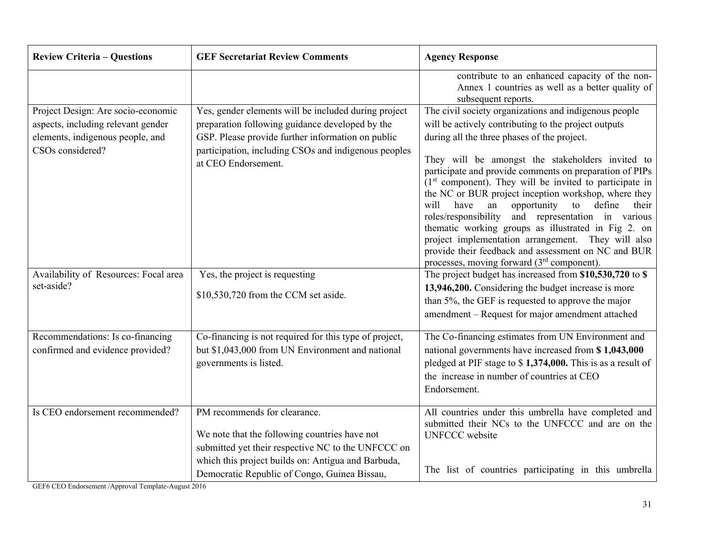| <b>Review Criteria - Questions</b>                                                                                               | <b>GEF Secretariat Review Comments</b>                                                                                                                                                                                                      | <b>Agency Response</b>                                                                                                                                                                                                                                                                                                                                                                                                                                                                                                                                                                                                                                                                                                                       |
|----------------------------------------------------------------------------------------------------------------------------------|---------------------------------------------------------------------------------------------------------------------------------------------------------------------------------------------------------------------------------------------|----------------------------------------------------------------------------------------------------------------------------------------------------------------------------------------------------------------------------------------------------------------------------------------------------------------------------------------------------------------------------------------------------------------------------------------------------------------------------------------------------------------------------------------------------------------------------------------------------------------------------------------------------------------------------------------------------------------------------------------------|
|                                                                                                                                  |                                                                                                                                                                                                                                             | contribute to an enhanced capacity of the non-<br>Annex 1 countries as well as a better quality of<br>subsequent reports.                                                                                                                                                                                                                                                                                                                                                                                                                                                                                                                                                                                                                    |
| Project Design: Are socio-economic<br>aspects, including relevant gender<br>elements, indigenous people, and<br>CSOs considered? | Yes, gender elements will be included during project<br>preparation following guidance developed by the<br>GSP. Please provide further information on public<br>participation, including CSOs and indigenous peoples<br>at CEO Endorsement. | The civil society organizations and indigenous people<br>will be actively contributing to the project outputs<br>during all the three phases of the project.<br>They will be amongst the stakeholders invited to<br>participate and provide comments on preparation of PIPs<br>$(1st component)$ . They will be invited to participate in<br>the NC or BUR project inception workshop, where they<br>opportunity<br>to<br>define<br>will<br>have<br>an<br>their<br>roles/responsibility<br>and representation in various<br>thematic working groups as illustrated in Fig 2. on<br>project implementation arrangement. They will also<br>provide their feedback and assessment on NC and BUR<br>processes, moving forward $(3rd$ component). |
| Availability of Resources: Focal area<br>set-aside?                                                                              | Yes, the project is requesting<br>\$10,530,720 from the CCM set aside.                                                                                                                                                                      | The project budget has increased from \$10,530,720 to \$<br>13,946,200. Considering the budget increase is more<br>than 5%, the GEF is requested to approve the major<br>amendment - Request for major amendment attached                                                                                                                                                                                                                                                                                                                                                                                                                                                                                                                    |
| Recommendations: Is co-financing<br>confirmed and evidence provided?                                                             | Co-financing is not required for this type of project,<br>but \$1,043,000 from UN Environment and national<br>governments is listed.                                                                                                        | The Co-financing estimates from UN Environment and<br>national governments have increased from \$1,043,000<br>pledged at PIF stage to \$1,374,000. This is as a result of<br>the increase in number of countries at CEO<br>Endorsement.                                                                                                                                                                                                                                                                                                                                                                                                                                                                                                      |
| Is CEO endorsement recommended?                                                                                                  | PM recommends for clearance.<br>We note that the following countries have not<br>submitted yet their respective NC to the UNFCCC on<br>which this project builds on: Antigua and Barbuda,<br>Democratic Republic of Congo, Guinea Bissau,   | All countries under this umbrella have completed and<br>submitted their NCs to the UNFCCC and are on the<br><b>UNFCCC</b> website<br>The list of countries participating in this umbrella                                                                                                                                                                                                                                                                                                                                                                                                                                                                                                                                                    |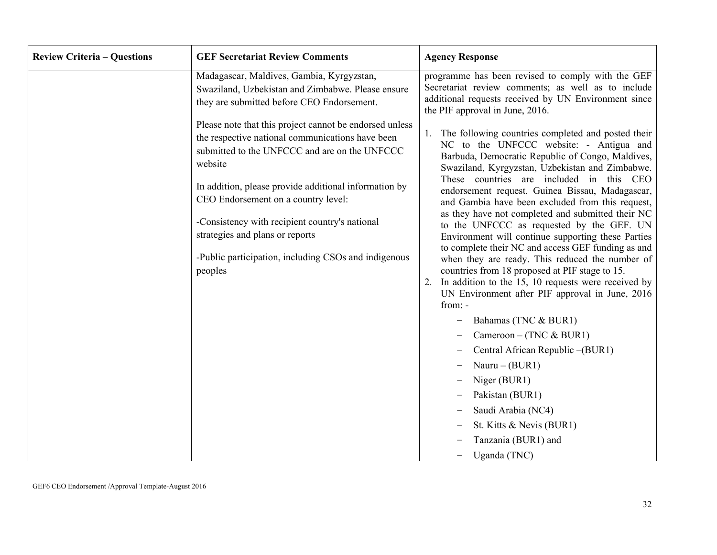| <b>Review Criteria - Questions</b> | <b>GEF Secretariat Review Comments</b>                                                                                                                                                                                                                                                                                                                                                                                          | <b>Agency Response</b>                                                                                                                                                                                                                                                                                                                                                                                                                                                                                                                                                                                                                                                                                                                                                                                                                                                                                                                                                                                                                 |
|------------------------------------|---------------------------------------------------------------------------------------------------------------------------------------------------------------------------------------------------------------------------------------------------------------------------------------------------------------------------------------------------------------------------------------------------------------------------------|----------------------------------------------------------------------------------------------------------------------------------------------------------------------------------------------------------------------------------------------------------------------------------------------------------------------------------------------------------------------------------------------------------------------------------------------------------------------------------------------------------------------------------------------------------------------------------------------------------------------------------------------------------------------------------------------------------------------------------------------------------------------------------------------------------------------------------------------------------------------------------------------------------------------------------------------------------------------------------------------------------------------------------------|
|                                    | Madagascar, Maldives, Gambia, Kyrgyzstan,<br>Swaziland, Uzbekistan and Zimbabwe. Please ensure<br>they are submitted before CEO Endorsement.                                                                                                                                                                                                                                                                                    | programme has been revised to comply with the GEF<br>Secretariat review comments; as well as to include<br>additional requests received by UN Environment since<br>the PIF approval in June, 2016.                                                                                                                                                                                                                                                                                                                                                                                                                                                                                                                                                                                                                                                                                                                                                                                                                                     |
|                                    | Please note that this project cannot be endorsed unless<br>the respective national communications have been<br>submitted to the UNFCCC and are on the UNFCCC<br>website<br>In addition, please provide additional information by<br>CEO Endorsement on a country level:<br>-Consistency with recipient country's national<br>strategies and plans or reports<br>-Public participation, including CSOs and indigenous<br>peoples | The following countries completed and posted their<br>NC to the UNFCCC website: - Antigua and<br>Barbuda, Democratic Republic of Congo, Maldives,<br>Swaziland, Kyrgyzstan, Uzbekistan and Zimbabwe.<br>These countries are included in this CEO<br>endorsement request. Guinea Bissau, Madagascar,<br>and Gambia have been excluded from this request,<br>as they have not completed and submitted their NC<br>to the UNFCCC as requested by the GEF. UN<br>Environment will continue supporting these Parties<br>to complete their NC and access GEF funding as and<br>when they are ready. This reduced the number of<br>countries from 18 proposed at PIF stage to 15.<br>In addition to the 15, 10 requests were received by<br>UN Environment after PIF approval in June, 2016<br>from: -<br>Bahamas (TNC & BUR1)<br>Cameroon – (TNC & BUR1)<br>Central African Republic -(BUR1)<br>Nauru $-$ (BUR1)<br>Niger (BUR1)<br>Pakistan (BUR1)<br>Saudi Arabia (NC4)<br>St. Kitts & Nevis (BUR1)<br>Tanzania (BUR1) and<br>Uganda (TNC) |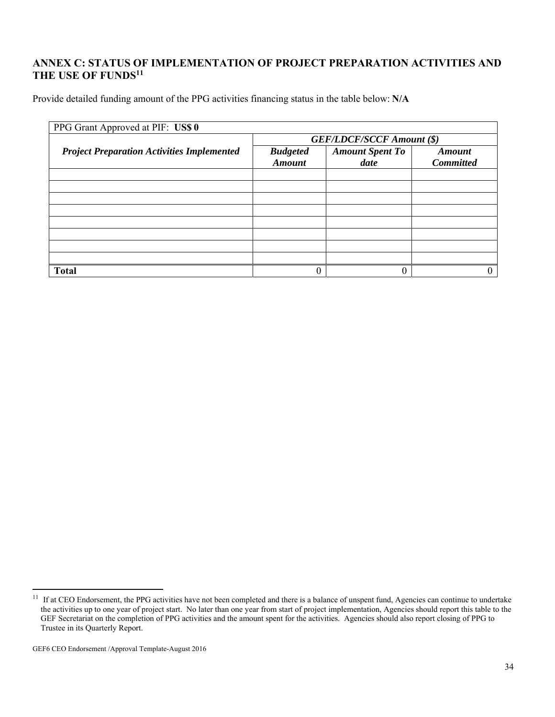# **ANNEX C: STATUS OF IMPLEMENTATION OF PROJECT PREPARATION ACTIVITIES AND THE USE OF FUNDS11**

Provide detailed funding amount of the PPG activities financing status in the table below: **N/A**

| PPG Grant Approved at PIF: US\$ 0                 |                                  |                        |                  |  |  |
|---------------------------------------------------|----------------------------------|------------------------|------------------|--|--|
|                                                   | <b>GEF/LDCF/SCCF Amount (\$)</b> |                        |                  |  |  |
| <b>Project Preparation Activities Implemented</b> | <b>Budgeted</b>                  | <b>Amount Spent To</b> | <b>Amount</b>    |  |  |
|                                                   | <b>Amount</b>                    | date                   | <b>Committed</b> |  |  |
|                                                   |                                  |                        |                  |  |  |
|                                                   |                                  |                        |                  |  |  |
|                                                   |                                  |                        |                  |  |  |
|                                                   |                                  |                        |                  |  |  |
|                                                   |                                  |                        |                  |  |  |
|                                                   |                                  |                        |                  |  |  |
|                                                   |                                  |                        |                  |  |  |
|                                                   |                                  |                        |                  |  |  |
| <b>Total</b>                                      |                                  |                        |                  |  |  |

 $11$  If at CEO Endorsement, the PPG activities have not been completed and there is a balance of unspent fund, Agencies can continue to undertake the activities up to one year of project start. No later than one year from start of project implementation, Agencies should report this table to the GEF Secretariat on the completion of PPG activities and the amount spent for the activities. Agencies should also report closing of PPG to Trustee in its Quarterly Report.

GEF6 CEO Endorsement /Approval Template-August 2016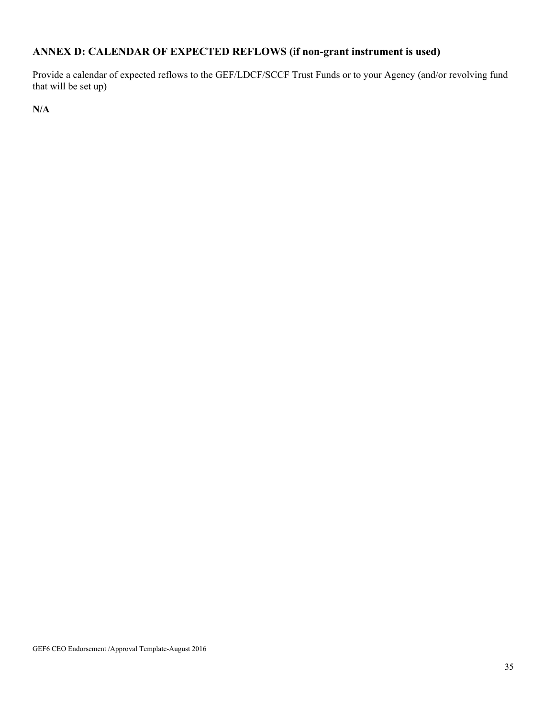# **ANNEX D: CALENDAR OF EXPECTED REFLOWS (if non-grant instrument is used)**

Provide a calendar of expected reflows to the GEF/LDCF/SCCF Trust Funds or to your Agency (and/or revolving fund that will be set up)

**N/A**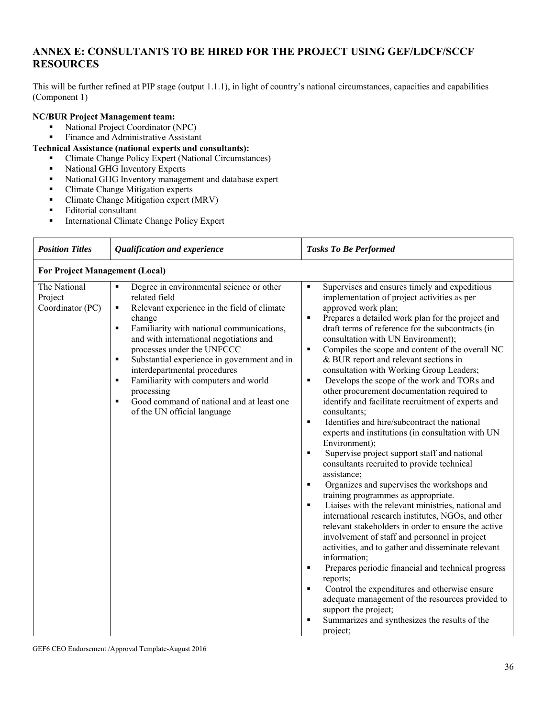# **ANNEX E: CONSULTANTS TO BE HIRED FOR THE PROJECT USING GEF/LDCF/SCCF RESOURCES**

This will be further refined at PIP stage (output 1.1.1), in light of country's national circumstances, capacities and capabilities (Component 1)

#### **NC/BUR Project Management team:**

- National Project Coordinator (NPC)<br>• Finance and Administrative Assistan
- Finance and Administrative Assistant

#### **Technical Assistance (national experts and consultants):**

- Climate Change Policy Expert (National Circumstances)
	- National GHG Inventory Experts
	- National GHG Inventory management and database expert
	- **Climate Change Mitigation experts**
	- Climate Change Mitigation expert (MRV)
	- **Editorial consultant**
	- **International Climate Change Policy Expert**

| <b>Position Titles</b>                      | Qualification and experience                                                                                                                                                                                                                                                                                                                                                                                                                                                                                                           | <b>Tasks To Be Performed</b>                                                                                                                                                                                                                                                                                                                                                                                                                                                                                                                                                                                                                                                                                                                                                                                                                                                                                                                                                                                                                                                                                                                                                                                                                                                                                                                                                                                                                                                                                                                                                                                        |  |  |
|---------------------------------------------|----------------------------------------------------------------------------------------------------------------------------------------------------------------------------------------------------------------------------------------------------------------------------------------------------------------------------------------------------------------------------------------------------------------------------------------------------------------------------------------------------------------------------------------|---------------------------------------------------------------------------------------------------------------------------------------------------------------------------------------------------------------------------------------------------------------------------------------------------------------------------------------------------------------------------------------------------------------------------------------------------------------------------------------------------------------------------------------------------------------------------------------------------------------------------------------------------------------------------------------------------------------------------------------------------------------------------------------------------------------------------------------------------------------------------------------------------------------------------------------------------------------------------------------------------------------------------------------------------------------------------------------------------------------------------------------------------------------------------------------------------------------------------------------------------------------------------------------------------------------------------------------------------------------------------------------------------------------------------------------------------------------------------------------------------------------------------------------------------------------------------------------------------------------------|--|--|
|                                             | <b>For Project Management (Local)</b>                                                                                                                                                                                                                                                                                                                                                                                                                                                                                                  |                                                                                                                                                                                                                                                                                                                                                                                                                                                                                                                                                                                                                                                                                                                                                                                                                                                                                                                                                                                                                                                                                                                                                                                                                                                                                                                                                                                                                                                                                                                                                                                                                     |  |  |
| The National<br>Project<br>Coordinator (PC) | Degree in environmental science or other<br>$\blacksquare$<br>related field<br>Relevant experience in the field of climate<br>٠<br>change<br>Familiarity with national communications,<br>$\blacksquare$<br>and with international negotiations and<br>processes under the UNFCCC<br>Substantial experience in government and in<br>$\blacksquare$<br>interdepartmental procedures<br>Familiarity with computers and world<br>$\blacksquare$<br>processing<br>Good command of national and at least one<br>of the UN official language | Supervises and ensures timely and expeditious<br>$\blacksquare$<br>implementation of project activities as per<br>approved work plan;<br>Prepares a detailed work plan for the project and<br>$\blacksquare$<br>draft terms of reference for the subcontracts (in<br>consultation with UN Environment);<br>Compiles the scope and content of the overall NC<br>$\blacksquare$<br>& BUR report and relevant sections in<br>consultation with Working Group Leaders;<br>Develops the scope of the work and TORs and<br>$\blacksquare$<br>other procurement documentation required to<br>identify and facilitate recruitment of experts and<br>consultants;<br>Identifies and hire/subcontract the national<br>$\blacksquare$<br>experts and institutions (in consultation with UN<br>Environment);<br>Supervise project support staff and national<br>$\blacksquare$<br>consultants recruited to provide technical<br>assistance;<br>Organizes and supervises the workshops and<br>$\blacksquare$<br>training programmes as appropriate.<br>Liaises with the relevant ministries, national and<br>international research institutes, NGOs, and other<br>relevant stakeholders in order to ensure the active<br>involvement of staff and personnel in project<br>activities, and to gather and disseminate relevant<br>information;<br>Prepares periodic financial and technical progress<br>п<br>reports;<br>Control the expenditures and otherwise ensure<br>$\blacksquare$<br>adequate management of the resources provided to<br>support the project;<br>Summarizes and synthesizes the results of the<br>project; |  |  |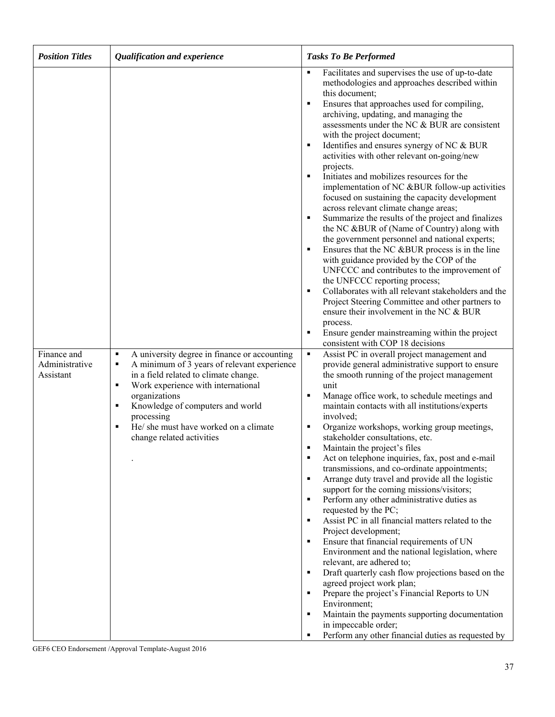| <b>Position Titles</b>                     | Qualification and experience                                                                                                                                                                                                                                                                                                                 | <b>Tasks To Be Performed</b>                                                                                                                                                                                                                                                                                                                                                                                                                                                                                                                                                                                                                                                                                                                                                                                                                                                                                                                                                                                                                                                                                                                                                                                                       |
|--------------------------------------------|----------------------------------------------------------------------------------------------------------------------------------------------------------------------------------------------------------------------------------------------------------------------------------------------------------------------------------------------|------------------------------------------------------------------------------------------------------------------------------------------------------------------------------------------------------------------------------------------------------------------------------------------------------------------------------------------------------------------------------------------------------------------------------------------------------------------------------------------------------------------------------------------------------------------------------------------------------------------------------------------------------------------------------------------------------------------------------------------------------------------------------------------------------------------------------------------------------------------------------------------------------------------------------------------------------------------------------------------------------------------------------------------------------------------------------------------------------------------------------------------------------------------------------------------------------------------------------------|
|                                            |                                                                                                                                                                                                                                                                                                                                              | Facilitates and supervises the use of up-to-date<br>٠<br>methodologies and approaches described within<br>this document;<br>Ensures that approaches used for compiling,<br>٠<br>archiving, updating, and managing the<br>assessments under the NC & BUR are consistent<br>with the project document;<br>Identifies and ensures synergy of NC & BUR<br>٠<br>activities with other relevant on-going/new<br>projects.<br>Initiates and mobilizes resources for the<br>implementation of NC &BUR follow-up activities<br>focused on sustaining the capacity development<br>across relevant climate change areas;<br>Summarize the results of the project and finalizes<br>٠<br>the NC &BUR of (Name of Country) along with<br>the government personnel and national experts;<br>Ensures that the NC &BUR process is in the line<br>٠<br>with guidance provided by the COP of the<br>UNFCCC and contributes to the improvement of<br>the UNFCCC reporting process;<br>Collaborates with all relevant stakeholders and the<br>٠<br>Project Steering Committee and other partners to<br>ensure their involvement in the NC & BUR<br>process.<br>Ensure gender mainstreaming within the project<br>٠<br>consistent with COP 18 decisions  |
| Finance and<br>Administrative<br>Assistant | A university degree in finance or accounting<br>٠<br>A minimum of 3 years of relevant experience<br>٠<br>in a field related to climate change.<br>Work experience with international<br>٠<br>organizations<br>Knowledge of computers and world<br>٠<br>processing<br>He/ she must have worked on a climate<br>٠<br>change related activities | Assist PC in overall project management and<br>٠<br>provide general administrative support to ensure<br>the smooth running of the project management<br>unit<br>Manage office work, to schedule meetings and<br>٠<br>maintain contacts with all institutions/experts<br>involved;<br>Organize workshops, working group meetings,<br>п<br>stakeholder consultations, etc.<br>Maintain the project's files<br>п<br>Act on telephone inquiries, fax, post and e-mail<br>п<br>transmissions, and co-ordinate appointments;<br>Arrange duty travel and provide all the logistic<br>٠<br>support for the coming missions/visitors;<br>Perform any other administrative duties as<br>٠<br>requested by the PC;<br>Assist PC in all financial matters related to the<br>٠<br>Project development;<br>Ensure that financial requirements of UN<br>٠<br>Environment and the national legislation, where<br>relevant, are adhered to;<br>Draft quarterly cash flow projections based on the<br>п<br>agreed project work plan;<br>Prepare the project's Financial Reports to UN<br>٠<br>Environment;<br>Maintain the payments supporting documentation<br>٠<br>in impeccable order;<br>Perform any other financial duties as requested by<br>٠ |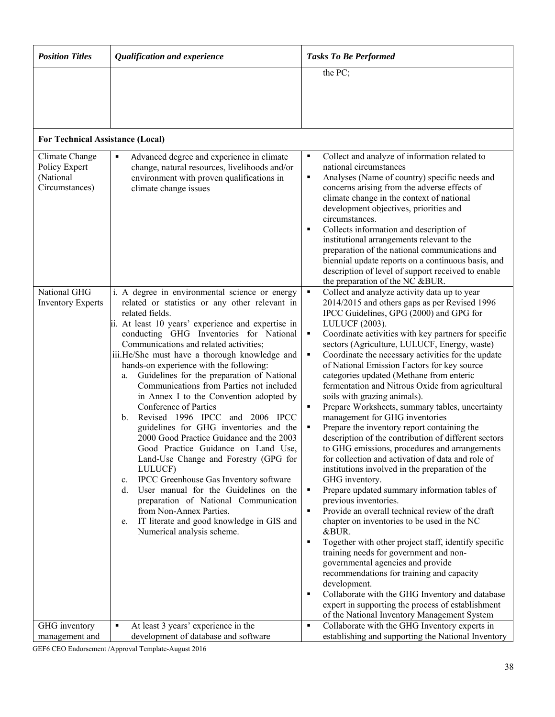| <b>Position Titles</b>                                         | Qualification and experience                                                                                                                                                                                                                                                                                                                                                                                                                                                                                                                                                                                                                                                                                                                                                                                                                                                                                                                                                                                             | <b>Tasks To Be Performed</b>                                                                                                                                                                                                                                                                                                                                                                                                                                                                                                                                                                                                                                                                                                                                                                                                                                                                                                                                                                                                                                                                                                                                                                                                                                                                                                                                                                                                                                                              |
|----------------------------------------------------------------|--------------------------------------------------------------------------------------------------------------------------------------------------------------------------------------------------------------------------------------------------------------------------------------------------------------------------------------------------------------------------------------------------------------------------------------------------------------------------------------------------------------------------------------------------------------------------------------------------------------------------------------------------------------------------------------------------------------------------------------------------------------------------------------------------------------------------------------------------------------------------------------------------------------------------------------------------------------------------------------------------------------------------|-------------------------------------------------------------------------------------------------------------------------------------------------------------------------------------------------------------------------------------------------------------------------------------------------------------------------------------------------------------------------------------------------------------------------------------------------------------------------------------------------------------------------------------------------------------------------------------------------------------------------------------------------------------------------------------------------------------------------------------------------------------------------------------------------------------------------------------------------------------------------------------------------------------------------------------------------------------------------------------------------------------------------------------------------------------------------------------------------------------------------------------------------------------------------------------------------------------------------------------------------------------------------------------------------------------------------------------------------------------------------------------------------------------------------------------------------------------------------------------------|
|                                                                |                                                                                                                                                                                                                                                                                                                                                                                                                                                                                                                                                                                                                                                                                                                                                                                                                                                                                                                                                                                                                          | the PC;                                                                                                                                                                                                                                                                                                                                                                                                                                                                                                                                                                                                                                                                                                                                                                                                                                                                                                                                                                                                                                                                                                                                                                                                                                                                                                                                                                                                                                                                                   |
| <b>For Technical Assistance (Local)</b>                        |                                                                                                                                                                                                                                                                                                                                                                                                                                                                                                                                                                                                                                                                                                                                                                                                                                                                                                                                                                                                                          |                                                                                                                                                                                                                                                                                                                                                                                                                                                                                                                                                                                                                                                                                                                                                                                                                                                                                                                                                                                                                                                                                                                                                                                                                                                                                                                                                                                                                                                                                           |
| Climate Change<br>Policy Expert<br>(National<br>Circumstances) | Advanced degree and experience in climate<br>٠<br>change, natural resources, livelihoods and/or<br>environment with proven qualifications in<br>climate change issues                                                                                                                                                                                                                                                                                                                                                                                                                                                                                                                                                                                                                                                                                                                                                                                                                                                    | Collect and analyze of information related to<br>٠<br>national circumstances<br>Analyses (Name of country) specific needs and<br>٠<br>concerns arising from the adverse effects of<br>climate change in the context of national<br>development objectives, priorities and<br>circumstances.<br>Collects information and description of<br>п<br>institutional arrangements relevant to the<br>preparation of the national communications and<br>biennial update reports on a continuous basis, and<br>description of level of support received to enable<br>the preparation of the NC &BUR.                                                                                                                                                                                                                                                                                                                                                                                                                                                                                                                                                                                                                                                                                                                                                                                                                                                                                                |
| National GHG<br><b>Inventory Experts</b>                       | i. A degree in environmental science or energy<br>related or statistics or any other relevant in<br>related fields.<br>ii. At least 10 years' experience and expertise in<br>conducting GHG Inventories for National<br>Communications and related activities;<br>iii.He/She must have a thorough knowledge and<br>hands-on experience with the following:<br>Guidelines for the preparation of National<br>a.<br>Communications from Parties not included<br>in Annex I to the Convention adopted by<br>Conference of Parties<br>Revised 1996 IPCC and 2006 IPCC<br>$\mathbf{b}$ .<br>guidelines for GHG inventories and the<br>2000 Good Practice Guidance and the 2003<br>Good Practice Guidance on Land Use,<br>Land-Use Change and Forestry (GPG for<br>LULUCF)<br>IPCC Greenhouse Gas Inventory software<br>c.<br>User manual for the Guidelines on the<br>d.<br>preparation of National Communication<br>from Non-Annex Parties.<br>IT literate and good knowledge in GIS and<br>e.<br>Numerical analysis scheme. | Collect and analyze activity data up to year<br>$\blacksquare$<br>2014/2015 and others gaps as per Revised 1996<br>IPCC Guidelines, GPG (2000) and GPG for<br>LULUCF (2003).<br>Coordinate activities with key partners for specific<br>٠<br>sectors (Agriculture, LULUCF, Energy, waste)<br>Coordinate the necessary activities for the update<br>٠<br>of National Emission Factors for key source<br>categories updated (Methane from enteric<br>fermentation and Nitrous Oxide from agricultural<br>soils with grazing animals).<br>Prepare Worksheets, summary tables, uncertainty<br>٠<br>management for GHG inventories<br>Prepare the inventory report containing the<br>٠<br>description of the contribution of different sectors<br>to GHG emissions, procedures and arrangements<br>for collection and activation of data and role of<br>institutions involved in the preparation of the<br>GHG inventory.<br>Prepare updated summary information tables of<br>٠<br>previous inventories.<br>Provide an overall technical review of the draft<br>٠<br>chapter on inventories to be used in the NC<br>&BUR.<br>Together with other project staff, identify specific<br>٠<br>training needs for government and non-<br>governmental agencies and provide<br>recommendations for training and capacity<br>development.<br>Collaborate with the GHG Inventory and database<br>п<br>expert in supporting the process of establishment<br>of the National Inventory Management System |
| GHG inventory                                                  | At least 3 years' experience in the<br>٠                                                                                                                                                                                                                                                                                                                                                                                                                                                                                                                                                                                                                                                                                                                                                                                                                                                                                                                                                                                 | Collaborate with the GHG Inventory experts in<br>٠                                                                                                                                                                                                                                                                                                                                                                                                                                                                                                                                                                                                                                                                                                                                                                                                                                                                                                                                                                                                                                                                                                                                                                                                                                                                                                                                                                                                                                        |
| management and                                                 | development of database and software                                                                                                                                                                                                                                                                                                                                                                                                                                                                                                                                                                                                                                                                                                                                                                                                                                                                                                                                                                                     | establishing and supporting the National Inventory                                                                                                                                                                                                                                                                                                                                                                                                                                                                                                                                                                                                                                                                                                                                                                                                                                                                                                                                                                                                                                                                                                                                                                                                                                                                                                                                                                                                                                        |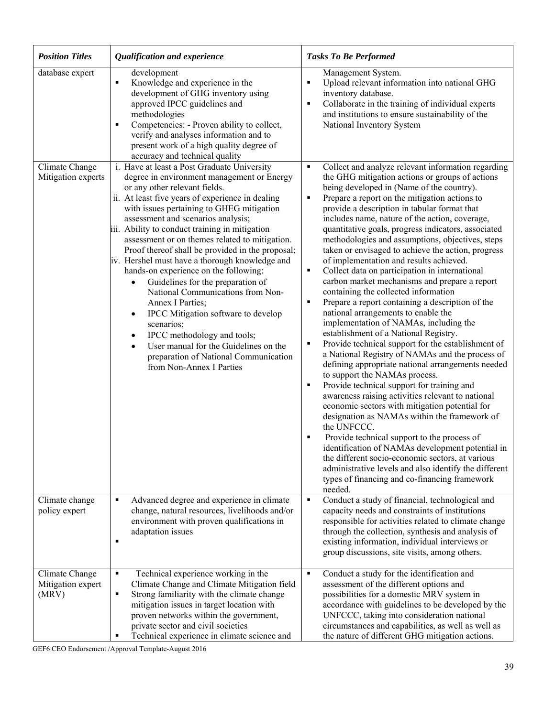| <b>Position Titles</b>                       | Qualification and experience                                                                                                                                                                                                                                                                                                                                                                                                                                                                                                                                                                                                                                                                                                                                                                                                                                | <b>Tasks To Be Performed</b>                                                                                                                                                                                                                                                                                                                                                                                                                                                                                                                                                                                                                                                                                                                                                                                                                                                                                                                                                                                                                                                                                                                                                                                                                                                                                                                                                                                                                                                                                                                                                 |
|----------------------------------------------|-------------------------------------------------------------------------------------------------------------------------------------------------------------------------------------------------------------------------------------------------------------------------------------------------------------------------------------------------------------------------------------------------------------------------------------------------------------------------------------------------------------------------------------------------------------------------------------------------------------------------------------------------------------------------------------------------------------------------------------------------------------------------------------------------------------------------------------------------------------|------------------------------------------------------------------------------------------------------------------------------------------------------------------------------------------------------------------------------------------------------------------------------------------------------------------------------------------------------------------------------------------------------------------------------------------------------------------------------------------------------------------------------------------------------------------------------------------------------------------------------------------------------------------------------------------------------------------------------------------------------------------------------------------------------------------------------------------------------------------------------------------------------------------------------------------------------------------------------------------------------------------------------------------------------------------------------------------------------------------------------------------------------------------------------------------------------------------------------------------------------------------------------------------------------------------------------------------------------------------------------------------------------------------------------------------------------------------------------------------------------------------------------------------------------------------------------|
| database expert                              | development<br>Knowledge and experience in the<br>٠<br>development of GHG inventory using<br>approved IPCC guidelines and<br>methodologies<br>Competencies: - Proven ability to collect,<br>п<br>verify and analyses information and to<br>present work of a high quality degree of<br>accuracy and technical quality                                                                                                                                                                                                                                                                                                                                                                                                                                                                                                                                       | Management System.<br>Upload relevant information into national GHG<br>п<br>inventory database.<br>Collaborate in the training of individual experts<br>п<br>and institutions to ensure sustainability of the<br>National Inventory System                                                                                                                                                                                                                                                                                                                                                                                                                                                                                                                                                                                                                                                                                                                                                                                                                                                                                                                                                                                                                                                                                                                                                                                                                                                                                                                                   |
| Climate Change<br>Mitigation experts         | i. Have at least a Post Graduate University<br>degree in environment management or Energy<br>or any other relevant fields.<br>ii. At least five years of experience in dealing<br>with issues pertaining to GHEG mitigation<br>assessment and scenarios analysis;<br>iii. Ability to conduct training in mitigation<br>assessment or on themes related to mitigation.<br>Proof thereof shall be provided in the proposal;<br>iv. Hershel must have a thorough knowledge and<br>hands-on experience on the following:<br>Guidelines for the preparation of<br>National Communications from Non-<br>Annex I Parties;<br>IPCC Mitigation software to develop<br>$\bullet$<br>scenarios;<br>IPCC methodology and tools;<br>$\bullet$<br>User manual for the Guidelines on the<br>$\bullet$<br>preparation of National Communication<br>from Non-Annex I Parties | Collect and analyze relevant information regarding<br>Е<br>the GHG mitigation actions or groups of actions<br>being developed in (Name of the country).<br>Prepare a report on the mitigation actions to<br>٠<br>provide a description in tabular format that<br>includes name, nature of the action, coverage,<br>quantitative goals, progress indicators, associated<br>methodologies and assumptions, objectives, steps<br>taken or envisaged to achieve the action, progress<br>of implementation and results achieved.<br>Collect data on participation in international<br>٠<br>carbon market mechanisms and prepare a report<br>containing the collected information<br>Prepare a report containing a description of the<br>п<br>national arrangements to enable the<br>implementation of NAMAs, including the<br>establishment of a National Registry.<br>Provide technical support for the establishment of<br>Е<br>a National Registry of NAMAs and the process of<br>defining appropriate national arrangements needed<br>to support the NAMAs process.<br>Provide technical support for training and<br>Е<br>awareness raising activities relevant to national<br>economic sectors with mitigation potential for<br>designation as NAMAs within the framework of<br>the UNFCCC.<br>Provide technical support to the process of<br>г<br>identification of NAMAs development potential in<br>the different socio-economic sectors, at various<br>administrative levels and also identify the different<br>types of financing and co-financing framework<br>needed. |
| Climate change<br>policy expert              | Advanced degree and experience in climate<br>٠<br>change, natural resources, livelihoods and/or<br>environment with proven qualifications in<br>adaptation issues<br>п                                                                                                                                                                                                                                                                                                                                                                                                                                                                                                                                                                                                                                                                                      | Conduct a study of financial, technological and<br>٠<br>capacity needs and constraints of institutions<br>responsible for activities related to climate change<br>through the collection, synthesis and analysis of<br>existing information, individual interviews or<br>group discussions, site visits, among others.                                                                                                                                                                                                                                                                                                                                                                                                                                                                                                                                                                                                                                                                                                                                                                                                                                                                                                                                                                                                                                                                                                                                                                                                                                                       |
| Climate Change<br>Mitigation expert<br>(MRV) | Technical experience working in the<br>$\blacksquare$<br>Climate Change and Climate Mitigation field<br>Strong familiarity with the climate change<br>٠<br>mitigation issues in target location with<br>proven networks within the government,<br>private sector and civil societies<br>Technical experience in climate science and<br>٠                                                                                                                                                                                                                                                                                                                                                                                                                                                                                                                    | Conduct a study for the identification and<br>٠<br>assessment of the different options and<br>possibilities for a domestic MRV system in<br>accordance with guidelines to be developed by the<br>UNFCCC, taking into consideration national<br>circumstances and capabilities, as well as well as<br>the nature of different GHG mitigation actions.                                                                                                                                                                                                                                                                                                                                                                                                                                                                                                                                                                                                                                                                                                                                                                                                                                                                                                                                                                                                                                                                                                                                                                                                                         |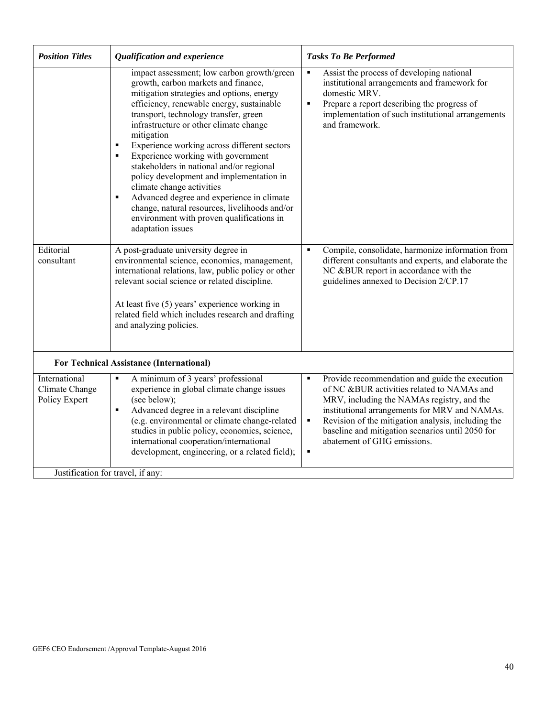| Assist the process of developing national<br>impact assessment; low carbon growth/green<br>$\blacksquare$<br>growth, carbon markets and finance,<br>institutional arrangements and framework for<br>mitigation strategies and options, energy<br>domestic MRV.<br>efficiency, renewable energy, sustainable<br>Prepare a report describing the progress of<br>$\blacksquare$<br>transport, technology transfer, green<br>implementation of such institutional arrangements<br>infrastructure or other climate change<br>and framework.<br>mitigation<br>Experience working across different sectors<br>٠<br>Experience working with government<br>٠<br>stakeholders in national and/or regional<br>policy development and implementation in<br>climate change activities<br>Advanced degree and experience in climate<br>٠<br>change, natural resources, livelihoods and/or<br>environment with proven qualifications in<br>adaptation issues<br>Editorial<br>A post-graduate university degree in<br>Compile, consolidate, harmonize information from<br>$\blacksquare$<br>environmental science, economics, management,<br>different consultants and experts, and elaborate the<br>consultant<br>international relations, law, public policy or other<br>NC &BUR report in accordance with the<br>relevant social science or related discipline.<br>guidelines annexed to Decision 2/CP.17<br>At least five (5) years' experience working in<br>related field which includes research and drafting<br>and analyzing policies.<br><b>For Technical Assistance (International)</b><br>Provide recommendation and guide the execution<br>International<br>A minimum of 3 years' professional<br>٠<br>$\blacksquare$<br>experience in global climate change issues<br>of NC &BUR activities related to NAMAs and<br>Climate Change<br>Policy Expert<br>(see below);<br>MRV, including the NAMAs registry, and the<br>Advanced degree in a relevant discipline<br>institutional arrangements for MRV and NAMAs.<br>٠<br>(e.g. environmental or climate change-related<br>$\blacksquare$<br>Revision of the mitigation analysis, including the<br>studies in public policy, economics, science,<br>baseline and mitigation scenarios until 2050 for<br>international cooperation/international<br>abatement of GHG emissions.<br>development, engineering, or a related field); | <b>Position Titles</b> | Qualification and experience | <b>Tasks To Be Performed</b> |
|-----------------------------------------------------------------------------------------------------------------------------------------------------------------------------------------------------------------------------------------------------------------------------------------------------------------------------------------------------------------------------------------------------------------------------------------------------------------------------------------------------------------------------------------------------------------------------------------------------------------------------------------------------------------------------------------------------------------------------------------------------------------------------------------------------------------------------------------------------------------------------------------------------------------------------------------------------------------------------------------------------------------------------------------------------------------------------------------------------------------------------------------------------------------------------------------------------------------------------------------------------------------------------------------------------------------------------------------------------------------------------------------------------------------------------------------------------------------------------------------------------------------------------------------------------------------------------------------------------------------------------------------------------------------------------------------------------------------------------------------------------------------------------------------------------------------------------------------------------------------------------------------------------------------------------------------------------------------------------------------------------------------------------------------------------------------------------------------------------------------------------------------------------------------------------------------------------------------------------------------------------------------------------------------------------------------------------------------------------------------------------|------------------------|------------------------------|------------------------------|
|                                                                                                                                                                                                                                                                                                                                                                                                                                                                                                                                                                                                                                                                                                                                                                                                                                                                                                                                                                                                                                                                                                                                                                                                                                                                                                                                                                                                                                                                                                                                                                                                                                                                                                                                                                                                                                                                                                                                                                                                                                                                                                                                                                                                                                                                                                                                                                             |                        |                              |                              |
|                                                                                                                                                                                                                                                                                                                                                                                                                                                                                                                                                                                                                                                                                                                                                                                                                                                                                                                                                                                                                                                                                                                                                                                                                                                                                                                                                                                                                                                                                                                                                                                                                                                                                                                                                                                                                                                                                                                                                                                                                                                                                                                                                                                                                                                                                                                                                                             |                        |                              |                              |
|                                                                                                                                                                                                                                                                                                                                                                                                                                                                                                                                                                                                                                                                                                                                                                                                                                                                                                                                                                                                                                                                                                                                                                                                                                                                                                                                                                                                                                                                                                                                                                                                                                                                                                                                                                                                                                                                                                                                                                                                                                                                                                                                                                                                                                                                                                                                                                             |                        |                              |                              |
| Justification for travel, if any:                                                                                                                                                                                                                                                                                                                                                                                                                                                                                                                                                                                                                                                                                                                                                                                                                                                                                                                                                                                                                                                                                                                                                                                                                                                                                                                                                                                                                                                                                                                                                                                                                                                                                                                                                                                                                                                                                                                                                                                                                                                                                                                                                                                                                                                                                                                                           |                        |                              |                              |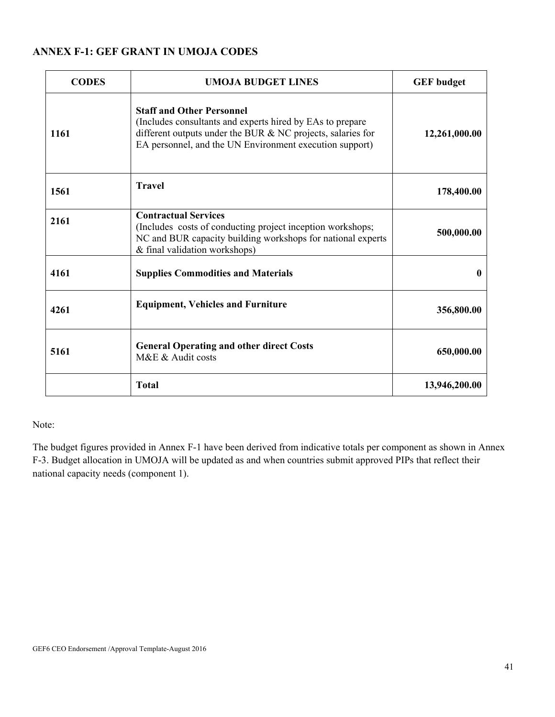# **ANNEX F-1: GEF GRANT IN UMOJA CODES**

| <b>CODES</b> | <b>UMOJA BUDGET LINES</b>                                                                                                                                                                                               | <b>GEF</b> budget |
|--------------|-------------------------------------------------------------------------------------------------------------------------------------------------------------------------------------------------------------------------|-------------------|
| 1161         | <b>Staff and Other Personnel</b><br>(Includes consultants and experts hired by EAs to prepare<br>different outputs under the BUR & NC projects, salaries for<br>EA personnel, and the UN Environment execution support) | 12,261,000.00     |
| 1561         | <b>Travel</b>                                                                                                                                                                                                           | 178,400.00        |
| 2161         | <b>Contractual Services</b><br>(Includes costs of conducting project inception workshops;<br>NC and BUR capacity building workshops for national experts<br>& final validation workshops)                               | 500,000.00        |
| 4161         | <b>Supplies Commodities and Materials</b>                                                                                                                                                                               | 0                 |
| 4261         | <b>Equipment, Vehicles and Furniture</b>                                                                                                                                                                                | 356,800.00        |
| 5161         | <b>General Operating and other direct Costs</b><br>M&E & Audit costs                                                                                                                                                    | 650,000.00        |
|              | <b>Total</b>                                                                                                                                                                                                            | 13,946,200.00     |

Note:

The budget figures provided in Annex F-1 have been derived from indicative totals per component as shown in Annex F-3. Budget allocation in UMOJA will be updated as and when countries submit approved PIPs that reflect their national capacity needs (component 1).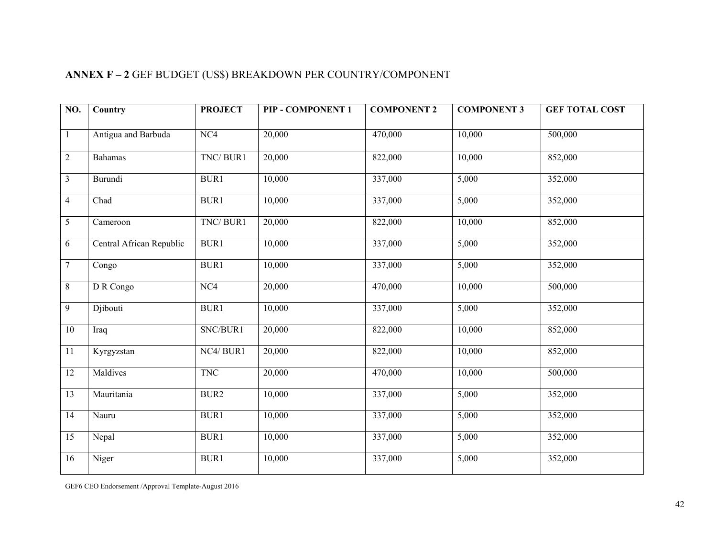| N0.            | Country                  | <b>PROJECT</b> | PIP - COMPONENT 1 | <b>COMPONENT 2</b> | <b>COMPONENT 3</b> | <b>GEF TOTAL COST</b> |
|----------------|--------------------------|----------------|-------------------|--------------------|--------------------|-----------------------|
|                |                          |                |                   |                    |                    |                       |
| $\overline{1}$ | Antigua and Barbuda      | NC4            | 20,000            | 470,000            | 10,000             | 500,000               |
| $\overline{2}$ | Bahamas                  | TNC/BUR1       | 20,000            | 822,000            | 10,000             | 852,000               |
|                | Burundi                  | BUR1           | 10,000            | 337,000            | 5,000              | 352,000               |
| $\overline{4}$ | Chad                     | BUR1           | 10,000            | 337,000            | 5,000              | 352,000               |
| 5              | Cameroon                 | TNC/BUR1       | 20,000            | 822,000            | 10,000             | 852,000               |
| 6              | Central African Republic | BUR1           | 10,000            | 337,000            | 5,000              | 352,000               |
| $\overline{7}$ | Congo                    | <b>BUR1</b>    | 10,000            | 337,000            | 5,000              | 352,000               |
| $\overline{8}$ | D R Congo                | NC4            | 20,000            | 470,000            | 10,000             | 500,000               |
| 9              | Djibouti                 | BUR1           | 10,000            | 337,000            | 5,000              | 352,000               |
| 10             | Iraq                     | SNC/BUR1       | 20,000            | 822,000            | 10,000             | 852,000               |
| 11             | Kyrgyzstan               | NC4/BUR1       | 20,000            | 822,000            | 10,000             | 852,000               |
| 12             | Maldives                 | <b>TNC</b>     | 20,000            | 470,000            | 10,000             | 500,000               |
| 13             | Mauritania               | BUR2           | 10,000            | 337,000            | 5,000              | 352,000               |
| 14             | Nauru                    | BUR1           | 10,000            | 337,000            | 5,000              | 352,000               |
| 15             | Nepal                    | BUR1           | 10,000            | 337,000            | 5,000              | 352,000               |
| 16             | Niger                    | <b>BUR1</b>    | 10,000            | 337,000            | 5,000              | 352,000               |

# **ANNEX F – 2** GEF BUDGET (US\$) BREAKDOWN PER COUNTRY/COMPONENT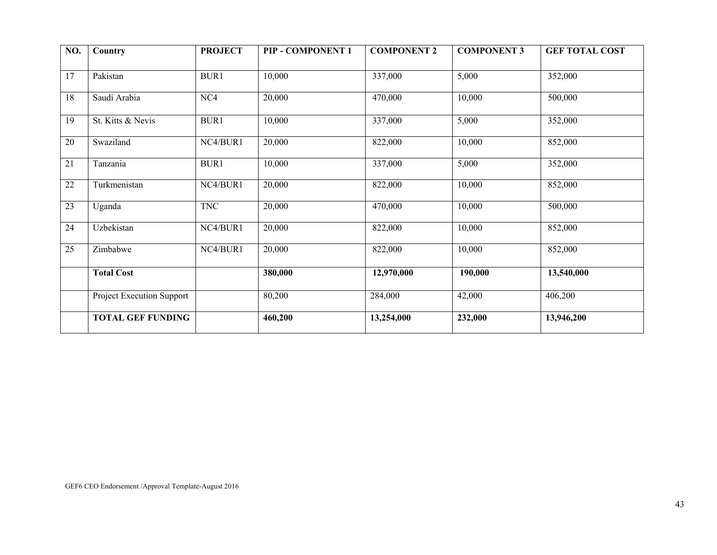| NO. | Country                   | <b>PROJECT</b> | PIP - COMPONENT 1 | <b>COMPONENT 2</b> | <b>COMPONENT 3</b> | <b>GEF TOTAL COST</b> |
|-----|---------------------------|----------------|-------------------|--------------------|--------------------|-----------------------|
|     |                           |                |                   |                    |                    |                       |
| 17  | Pakistan                  | <b>BUR1</b>    | 10,000            | 337,000            | 5,000              | 352,000               |
| 18  | Saudi Arabia              | NC4            | 20,000            | 470,000            | 10,000             | 500,000               |
| 19  | St. Kitts & Nevis         | <b>BUR1</b>    | 10,000            | 337,000            | 5,000              | 352,000               |
| 20  | Swaziland                 | NC4/BUR1       | 20,000            | 822,000            | 10,000             | 852,000               |
| 21  | Tanzania                  | BUR1           | 10,000            | 337,000            | 5,000              | 352,000               |
| 22  | Turkmenistan              | NC4/BUR1       | 20,000            | 822,000            | 10,000             | 852,000               |
| 23  | Uganda                    | <b>TNC</b>     | 20,000            | 470,000            | 10,000             | 500,000               |
| 24  | Uzbekistan                | NC4/BUR1       | 20,000            | 822,000            | 10,000             | 852,000               |
| 25  | Zimbabwe                  | NC4/BUR1       | 20,000            | 822,000            | 10,000             | 852,000               |
|     | <b>Total Cost</b>         |                | 380,000           | 12,970,000         | 190,000            | 13,540,000            |
|     | Project Execution Support |                | 80,200            | 284,000            | 42,000             | 406,200               |
|     | <b>TOTAL GEF FUNDING</b>  |                | 460,200           | 13,254,000         | 232,000            | 13,946,200            |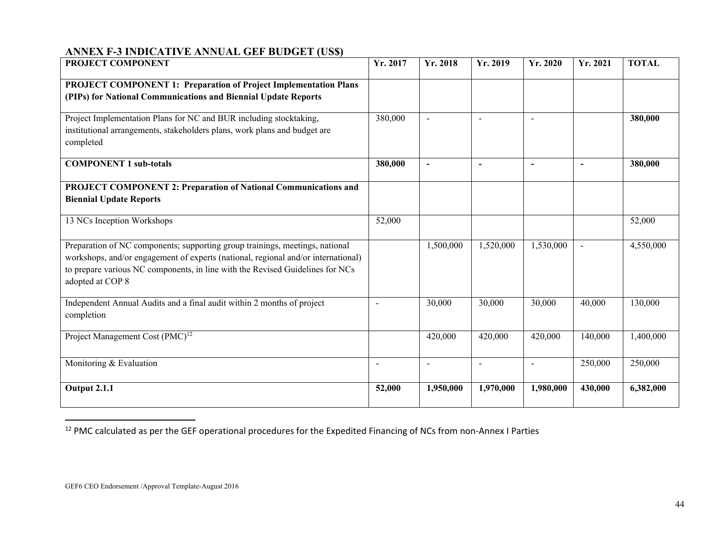# **ANNEX F-3 INDICATIVE ANNUAL GEF BUDGET (US\$)**

| PROJECT COMPONENT                                                                                                                                                                                                                                                      | Yr. 2017                 | Yr. 2018                 | Yr. 2019                 | Yr. 2020       | Yr. 2021       | <b>TOTAL</b>           |
|------------------------------------------------------------------------------------------------------------------------------------------------------------------------------------------------------------------------------------------------------------------------|--------------------------|--------------------------|--------------------------|----------------|----------------|------------------------|
| <b>PROJECT COMPONENT 1: Preparation of Project Implementation Plans</b><br>(PIPs) for National Communications and Biennial Update Reports                                                                                                                              |                          |                          |                          |                |                |                        |
| Project Implementation Plans for NC and BUR including stocktaking,<br>institutional arrangements, stakeholders plans, work plans and budget are<br>completed                                                                                                           | 380,000                  | $\sim$                   | $\sim$                   |                |                | 380,000                |
| <b>COMPONENT 1 sub-totals</b>                                                                                                                                                                                                                                          | 380,000                  | $\overline{\phantom{a}}$ | $\overline{\phantom{a}}$ | $\blacksquare$ | $\blacksquare$ | 380,000                |
| <b>PROJECT COMPONENT 2: Preparation of National Communications and</b><br><b>Biennial Update Reports</b>                                                                                                                                                               |                          |                          |                          |                |                |                        |
| 13 NCs Inception Workshops                                                                                                                                                                                                                                             | 52,000                   |                          |                          |                |                | 52,000                 |
| Preparation of NC components; supporting group trainings, meetings, national<br>workshops, and/or engagement of experts (national, regional and/or international)<br>to prepare various NC components, in line with the Revised Guidelines for NCs<br>adopted at COP 8 |                          | 1,500,000                | 1,520,000                | 1,530,000      |                | 4,550,000              |
| Independent Annual Audits and a final audit within 2 months of project<br>completion                                                                                                                                                                                   | $\overline{\phantom{a}}$ | 30,000                   | 30,000                   | 30,000         | 40,000         | 130,000                |
| Project Management Cost (PMC) <sup>12</sup>                                                                                                                                                                                                                            |                          | 420,000                  | 420,000                  | 420,000        | 140,000        | $\overline{1,}400,000$ |
| Monitoring & Evaluation                                                                                                                                                                                                                                                | $\overline{\phantom{a}}$ | $\overline{\phantom{a}}$ | $\blacksquare$           | $\blacksquare$ | 250,000        | 250,000                |
| <b>Output 2.1.1</b>                                                                                                                                                                                                                                                    | 52,000                   | 1,950,000                | 1,970,000                | 1,980,000      | 430,000        | 6,382,000              |

<sup>&</sup>lt;sup>12</sup> PMC calculated as per the GEF operational procedures for the Expedited Financing of NCs from non-Annex I Parties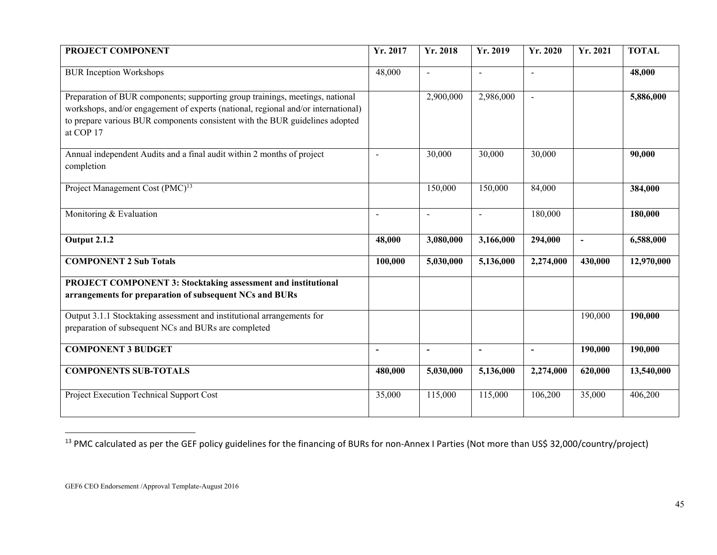| PROJECT COMPONENT                                                                                                                                                                                                                                               | Yr. 2017                 | Yr. 2018                 | Yr. 2019                 | Yr. 2020       | Yr. 2021       | <b>TOTAL</b> |
|-----------------------------------------------------------------------------------------------------------------------------------------------------------------------------------------------------------------------------------------------------------------|--------------------------|--------------------------|--------------------------|----------------|----------------|--------------|
| <b>BUR</b> Inception Workshops                                                                                                                                                                                                                                  | 48,000                   | $\overline{a}$           | $\blacksquare$           | $\blacksquare$ |                | 48,000       |
| Preparation of BUR components; supporting group trainings, meetings, national<br>workshops, and/or engagement of experts (national, regional and/or international)<br>to prepare various BUR components consistent with the BUR guidelines adopted<br>at COP 17 |                          | 2,900,000                | 2,986,000                |                |                | 5,886,000    |
| Annual independent Audits and a final audit within 2 months of project<br>completion                                                                                                                                                                            | L,                       | 30,000                   | 30,000                   | 30,000         |                | 90,000       |
| Project Management Cost (PMC) <sup>13</sup>                                                                                                                                                                                                                     |                          | 150,000                  | 150,000                  | 84,000         |                | 384,000      |
| Monitoring & Evaluation                                                                                                                                                                                                                                         | $\overline{\phantom{a}}$ | $\overline{\phantom{a}}$ | $\overline{\phantom{a}}$ | 180,000        |                | 180,000      |
| <b>Output 2.1.2</b>                                                                                                                                                                                                                                             | 48,000                   | 3,080,000                | 3,166,000                | 294,000        | $\blacksquare$ | 6,588,000    |
| <b>COMPONENT 2 Sub Totals</b>                                                                                                                                                                                                                                   | 100,000                  | 5,030,000                | 5,136,000                | 2,274,000      | 430,000        | 12,970,000   |
| PROJECT COMPONENT 3: Stocktaking assessment and institutional<br>arrangements for preparation of subsequent NCs and BURs                                                                                                                                        |                          |                          |                          |                |                |              |
| Output 3.1.1 Stocktaking assessment and institutional arrangements for<br>preparation of subsequent NCs and BURs are completed                                                                                                                                  |                          |                          |                          |                | 190,000        | 190,000      |
| <b>COMPONENT 3 BUDGET</b>                                                                                                                                                                                                                                       | $\overline{a}$           | $\overline{\phantom{a}}$ | $\blacksquare$           | $\blacksquare$ | 190,000        | 190,000      |
| <b>COMPONENTS SUB-TOTALS</b>                                                                                                                                                                                                                                    | 480,000                  | 5,030,000                | 5,136,000                | 2,274,000      | 620,000        | 13,540,000   |
| Project Execution Technical Support Cost                                                                                                                                                                                                                        | 35,000                   | 115,000                  | 115,000                  | 106,200        | 35,000         | 406,200      |

<sup>&</sup>lt;sup>13</sup> PMC calculated as per the GEF policy guidelines for the financing of BURs for non-Annex I Parties (Not more than US\$ 32,000/country/project)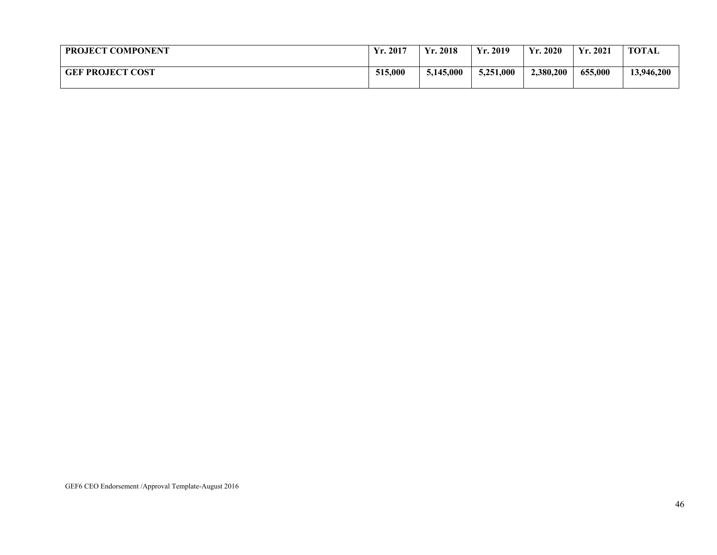| <b>PROJECT COMPONENT</b> | Yr. 2017 | Yr. 2018<br>$\mathbf{V}\mathbf{r}$ | $\ldots$ 2019<br>$\mathbf{v}$ . | 2020<br>$\mathbf{v}$ | Yr. 2021 | <b>TOTAL</b> |
|--------------------------|----------|------------------------------------|---------------------------------|----------------------|----------|--------------|
| <b>GEF PROJECT COST</b>  | 515,000  | 5,145,000                          | 5,251,000<br>ل گەل              | 2,380,200            | 655,000  | 13,946,200   |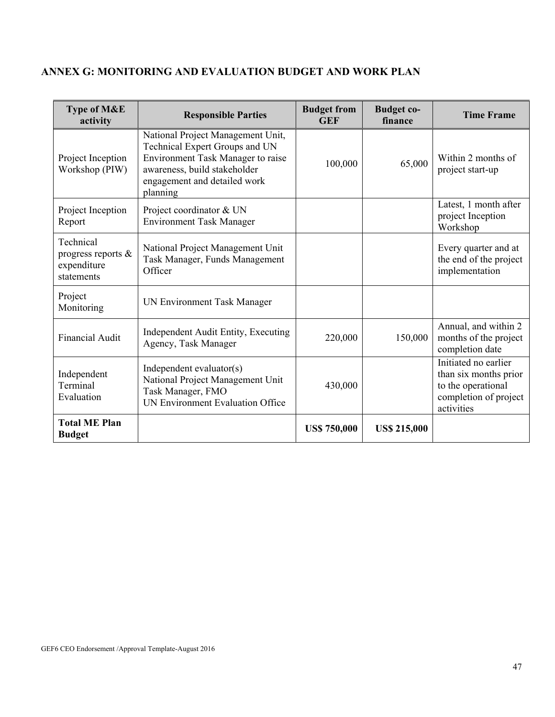| Type of M&E<br>activity                                      | <b>Responsible Parties</b>                                                                                                                                                           | <b>Budget from</b><br><b>GEF</b> | <b>Budget co-</b><br>finance | <b>Time Frame</b>                                                                                          |
|--------------------------------------------------------------|--------------------------------------------------------------------------------------------------------------------------------------------------------------------------------------|----------------------------------|------------------------------|------------------------------------------------------------------------------------------------------------|
| Project Inception<br>Workshop (PIW)                          | National Project Management Unit,<br>Technical Expert Groups and UN<br>Environment Task Manager to raise<br>awareness, build stakeholder<br>engagement and detailed work<br>planning | 100,000                          | 65,000                       | Within 2 months of<br>project start-up                                                                     |
| Project Inception<br>Report                                  | Project coordinator & UN<br><b>Environment Task Manager</b>                                                                                                                          |                                  |                              | Latest, 1 month after<br>project Inception<br>Workshop                                                     |
| Technical<br>progress reports &<br>expenditure<br>statements | National Project Management Unit<br>Task Manager, Funds Management<br>Officer                                                                                                        |                                  |                              | Every quarter and at<br>the end of the project<br>implementation                                           |
| Project<br>Monitoring                                        | UN Environment Task Manager                                                                                                                                                          |                                  |                              |                                                                                                            |
| <b>Financial Audit</b>                                       | Independent Audit Entity, Executing<br>Agency, Task Manager                                                                                                                          | 220,000                          | 150,000                      | Annual, and within 2<br>months of the project<br>completion date                                           |
| Independent<br>Terminal<br>Evaluation                        | Independent evaluator(s)<br>National Project Management Unit<br>Task Manager, FMO<br>UN Environment Evaluation Office                                                                | 430,000                          |                              | Initiated no earlier<br>than six months prior<br>to the operational<br>completion of project<br>activities |
| <b>Total ME Plan</b><br><b>Budget</b>                        |                                                                                                                                                                                      | <b>US\$ 750,000</b>              | <b>US\$ 215,000</b>          |                                                                                                            |

# **ANNEX G: MONITORING AND EVALUATION BUDGET AND WORK PLAN**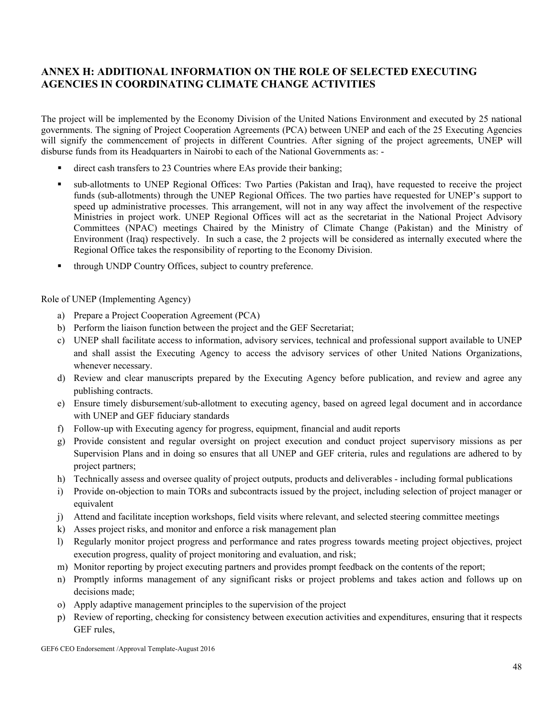# **ANNEX H: ADDITIONAL INFORMATION ON THE ROLE OF SELECTED EXECUTING AGENCIES IN COORDINATING CLIMATE CHANGE ACTIVITIES**

The project will be implemented by the Economy Division of the United Nations Environment and executed by 25 national governments. The signing of Project Cooperation Agreements (PCA) between UNEP and each of the 25 Executing Agencies will signify the commencement of projects in different Countries. After signing of the project agreements, UNEP will disburse funds from its Headquarters in Nairobi to each of the National Governments as: -

- direct cash transfers to 23 Countries where EAs provide their banking;
- sub-allotments to UNEP Regional Offices: Two Parties (Pakistan and Iraq), have requested to receive the project funds (sub-allotments) through the UNEP Regional Offices. The two parties have requested for UNEP's support to speed up administrative processes. This arrangement, will not in any way affect the involvement of the respective Ministries in project work. UNEP Regional Offices will act as the secretariat in the National Project Advisory Committees (NPAC) meetings Chaired by the Ministry of Climate Change (Pakistan) and the Ministry of Environment (Iraq) respectively. In such a case, the 2 projects will be considered as internally executed where the Regional Office takes the responsibility of reporting to the Economy Division.
- through UNDP Country Offices, subject to country preference.

Role of UNEP (Implementing Agency)

- a) Prepare a Project Cooperation Agreement (PCA)
- b) Perform the liaison function between the project and the GEF Secretariat;
- c) UNEP shall facilitate access to information, advisory services, technical and professional support available to UNEP and shall assist the Executing Agency to access the advisory services of other United Nations Organizations, whenever necessary.
- d) Review and clear manuscripts prepared by the Executing Agency before publication, and review and agree any publishing contracts.
- e) Ensure timely disbursement/sub-allotment to executing agency, based on agreed legal document and in accordance with UNEP and GEF fiduciary standards
- f) Follow-up with Executing agency for progress, equipment, financial and audit reports
- g) Provide consistent and regular oversight on project execution and conduct project supervisory missions as per Supervision Plans and in doing so ensures that all UNEP and GEF criteria, rules and regulations are adhered to by project partners;
- h) Technically assess and oversee quality of project outputs, products and deliverables including formal publications
- i) Provide on-objection to main TORs and subcontracts issued by the project, including selection of project manager or equivalent
- j) Attend and facilitate inception workshops, field visits where relevant, and selected steering committee meetings
- k) Asses project risks, and monitor and enforce a risk management plan
- l) Regularly monitor project progress and performance and rates progress towards meeting project objectives, project execution progress, quality of project monitoring and evaluation, and risk;
- m) Monitor reporting by project executing partners and provides prompt feedback on the contents of the report;
- n) Promptly informs management of any significant risks or project problems and takes action and follows up on decisions made;
- o) Apply adaptive management principles to the supervision of the project
- p) Review of reporting, checking for consistency between execution activities and expenditures, ensuring that it respects GEF rules,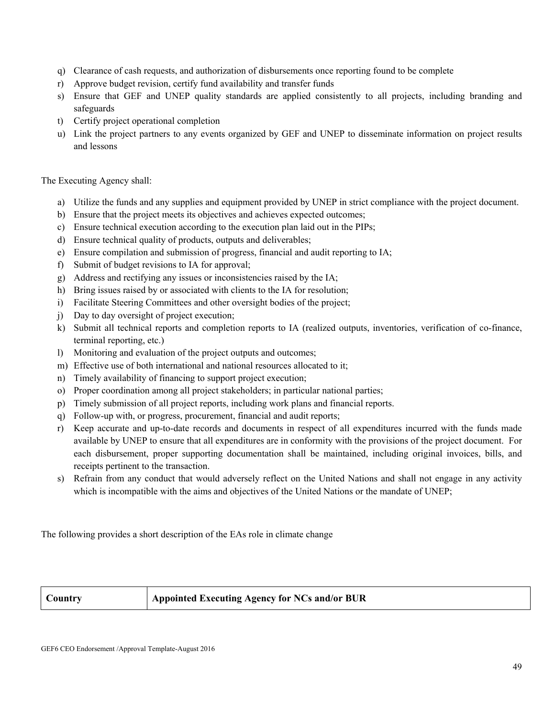- q) Clearance of cash requests, and authorization of disbursements once reporting found to be complete
- r) Approve budget revision, certify fund availability and transfer funds
- s) Ensure that GEF and UNEP quality standards are applied consistently to all projects, including branding and safeguards
- t) Certify project operational completion
- u) Link the project partners to any events organized by GEF and UNEP to disseminate information on project results and lessons

#### The Executing Agency shall:

- a) Utilize the funds and any supplies and equipment provided by UNEP in strict compliance with the project document.
- b) Ensure that the project meets its objectives and achieves expected outcomes;
- c) Ensure technical execution according to the execution plan laid out in the PIPs;
- d) Ensure technical quality of products, outputs and deliverables;
- e) Ensure compilation and submission of progress, financial and audit reporting to IA;
- f) Submit of budget revisions to IA for approval;
- g) Address and rectifying any issues or inconsistencies raised by the IA;
- h) Bring issues raised by or associated with clients to the IA for resolution;
- i) Facilitate Steering Committees and other oversight bodies of the project;
- j) Day to day oversight of project execution;
- k) Submit all technical reports and completion reports to IA (realized outputs, inventories, verification of co-finance, terminal reporting, etc.)
- l) Monitoring and evaluation of the project outputs and outcomes;
- m) Effective use of both international and national resources allocated to it;
- n) Timely availability of financing to support project execution;
- o) Proper coordination among all project stakeholders; in particular national parties;
- p) Timely submission of all project reports, including work plans and financial reports.
- q) Follow-up with, or progress, procurement, financial and audit reports;
- r) Keep accurate and up-to-date records and documents in respect of all expenditures incurred with the funds made available by UNEP to ensure that all expenditures are in conformity with the provisions of the project document. For each disbursement, proper supporting documentation shall be maintained, including original invoices, bills, and receipts pertinent to the transaction.
- s) Refrain from any conduct that would adversely reflect on the United Nations and shall not engage in any activity which is incompatible with the aims and objectives of the United Nations or the mandate of UNEP;

The following provides a short description of the EAs role in climate change

### **Country Appointed Executing Agency for NCs and/or BUR**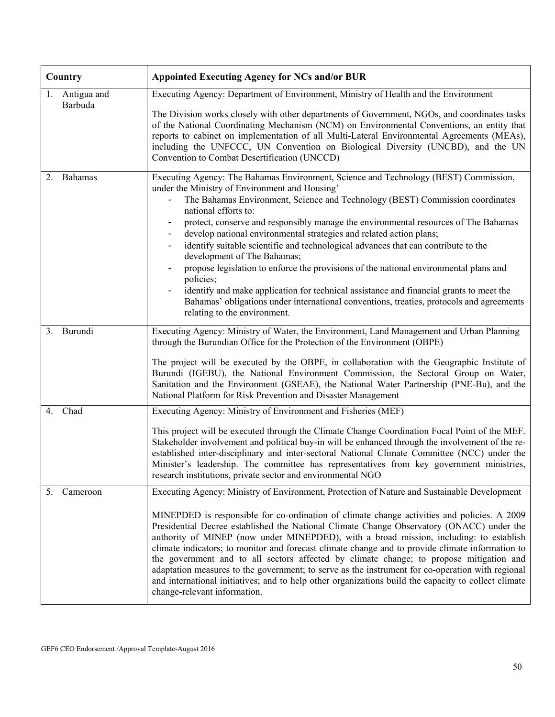| Country                   | <b>Appointed Executing Agency for NCs and/or BUR</b>                                                                                                                                                                                                                                                                                                                                                                                                                                                                                                                                                                                                                                                                                                                                                                                                            |
|---------------------------|-----------------------------------------------------------------------------------------------------------------------------------------------------------------------------------------------------------------------------------------------------------------------------------------------------------------------------------------------------------------------------------------------------------------------------------------------------------------------------------------------------------------------------------------------------------------------------------------------------------------------------------------------------------------------------------------------------------------------------------------------------------------------------------------------------------------------------------------------------------------|
| 1. Antigua and<br>Barbuda | Executing Agency: Department of Environment, Ministry of Health and the Environment<br>The Division works closely with other departments of Government, NGOs, and coordinates tasks<br>of the National Coordinating Mechanism (NCM) on Environmental Conventions, an entity that<br>reports to cabinet on implementation of all Multi-Lateral Environmental Agreements (MEAs),<br>including the UNFCCC, UN Convention on Biological Diversity (UNCBD), and the UN<br>Convention to Combat Desertification (UNCCD)                                                                                                                                                                                                                                                                                                                                               |
| Bahamas<br>2.             | Executing Agency: The Bahamas Environment, Science and Technology (BEST) Commission,<br>under the Ministry of Environment and Housing'<br>The Bahamas Environment, Science and Technology (BEST) Commission coordinates<br>national efforts to:<br>protect, conserve and responsibly manage the environmental resources of The Bahamas<br>develop national environmental strategies and related action plans;<br>identify suitable scientific and technological advances that can contribute to the<br>development of The Bahamas;<br>propose legislation to enforce the provisions of the national environmental plans and<br>policies;<br>identify and make application for technical assistance and financial grants to meet the<br>Bahamas' obligations under international conventions, treaties, protocols and agreements<br>relating to the environment. |
| Burundi<br>3.             | Executing Agency: Ministry of Water, the Environment, Land Management and Urban Planning<br>through the Burundian Office for the Protection of the Environment (OBPE)<br>The project will be executed by the OBPE, in collaboration with the Geographic Institute of<br>Burundi (IGEBU), the National Environment Commission, the Sectoral Group on Water,<br>Sanitation and the Environment (GSEAE), the National Water Partnership (PNE-Bu), and the<br>National Platform for Risk Prevention and Disaster Management                                                                                                                                                                                                                                                                                                                                         |
| Chad<br>4.                | Executing Agency: Ministry of Environment and Fisheries (MEF)<br>This project will be executed through the Climate Change Coordination Focal Point of the MEF.<br>Stakeholder involvement and political buy-in will be enhanced through the involvement of the re-<br>established inter-disciplinary and inter-sectoral National Climate Committee (NCC) under the<br>Minister's leadership. The committee has representatives from key government ministries,<br>research institutions, private sector and environmental NGO                                                                                                                                                                                                                                                                                                                                   |
| 5.<br>Cameroon            | Executing Agency: Ministry of Environment, Protection of Nature and Sustainable Development<br>MINEPDED is responsible for co-ordination of climate change activities and policies. A 2009<br>Presidential Decree established the National Climate Change Observatory (ONACC) under the<br>authority of MINEP (now under MINEPDED), with a broad mission, including: to establish<br>climate indicators; to monitor and forecast climate change and to provide climate information to<br>the government and to all sectors affected by climate change; to propose mitigation and<br>adaptation measures to the government; to serve as the instrument for co-operation with regional<br>and international initiatives; and to help other organizations build the capacity to collect climate<br>change-relevant information.                                    |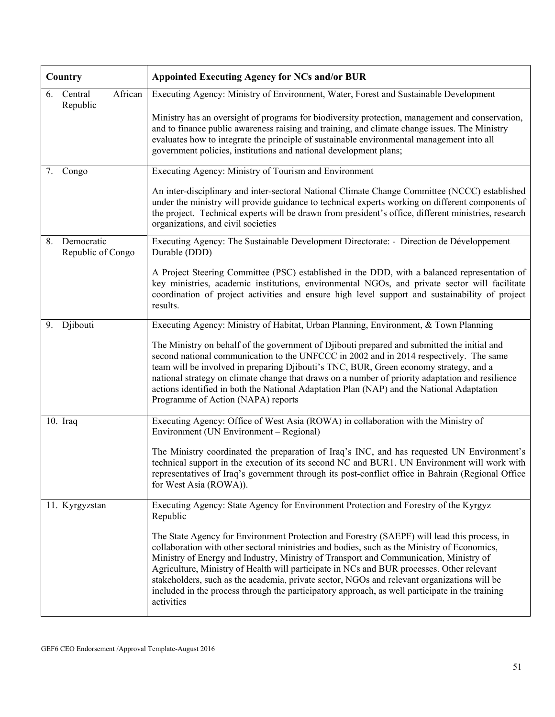| Country                               | <b>Appointed Executing Agency for NCs and/or BUR</b>                                                                                                                                                                                                                                                                                                                                                                                                                                                                                                                                             |
|---------------------------------------|--------------------------------------------------------------------------------------------------------------------------------------------------------------------------------------------------------------------------------------------------------------------------------------------------------------------------------------------------------------------------------------------------------------------------------------------------------------------------------------------------------------------------------------------------------------------------------------------------|
| African<br>6.<br>Central<br>Republic  | Executing Agency: Ministry of Environment, Water, Forest and Sustainable Development<br>Ministry has an oversight of programs for biodiversity protection, management and conservation,<br>and to finance public awareness raising and training, and climate change issues. The Ministry<br>evaluates how to integrate the principle of sustainable environmental management into all<br>government policies, institutions and national development plans;                                                                                                                                       |
| Congo<br>7.                           | Executing Agency: Ministry of Tourism and Environment                                                                                                                                                                                                                                                                                                                                                                                                                                                                                                                                            |
|                                       | An inter-disciplinary and inter-sectoral National Climate Change Committee (NCCC) established<br>under the ministry will provide guidance to technical experts working on different components of<br>the project. Technical experts will be drawn from president's office, different ministries, research<br>organizations, and civil societies                                                                                                                                                                                                                                                  |
| Democratic<br>8.<br>Republic of Congo | Executing Agency: The Sustainable Development Directorate: - Direction de Développement<br>Durable (DDD)                                                                                                                                                                                                                                                                                                                                                                                                                                                                                         |
|                                       | A Project Steering Committee (PSC) established in the DDD, with a balanced representation of<br>key ministries, academic institutions, environmental NGOs, and private sector will facilitate<br>coordination of project activities and ensure high level support and sustainability of project<br>results.                                                                                                                                                                                                                                                                                      |
| Djibouti<br>9.                        | Executing Agency: Ministry of Habitat, Urban Planning, Environment, & Town Planning                                                                                                                                                                                                                                                                                                                                                                                                                                                                                                              |
|                                       | The Ministry on behalf of the government of Djibouti prepared and submitted the initial and<br>second national communication to the UNFCCC in 2002 and in 2014 respectively. The same<br>team will be involved in preparing Djibouti's TNC, BUR, Green economy strategy, and a<br>national strategy on climate change that draws on a number of priority adaptation and resilience<br>actions identified in both the National Adaptation Plan (NAP) and the National Adaptation<br>Programme of Action (NAPA) reports                                                                            |
| $10.$ Iraq                            | Executing Agency: Office of West Asia (ROWA) in collaboration with the Ministry of<br>Environment (UN Environment – Regional)                                                                                                                                                                                                                                                                                                                                                                                                                                                                    |
|                                       | The Ministry coordinated the preparation of Iraq's INC, and has requested UN Environment's<br>technical support in the execution of its second NC and BUR1. UN Environment will work with<br>representatives of Iraq's government through its post-conflict office in Bahrain (Regional Office<br>for West Asia (ROWA)).                                                                                                                                                                                                                                                                         |
| 11. Kyrgyzstan                        | Executing Agency: State Agency for Environment Protection and Forestry of the Kyrgyz<br>Republic                                                                                                                                                                                                                                                                                                                                                                                                                                                                                                 |
|                                       | The State Agency for Environment Protection and Forestry (SAEPF) will lead this process, in<br>collaboration with other sectoral ministries and bodies, such as the Ministry of Economics,<br>Ministry of Energy and Industry, Ministry of Transport and Communication, Ministry of<br>Agriculture, Ministry of Health will participate in NCs and BUR processes. Other relevant<br>stakeholders, such as the academia, private sector, NGOs and relevant organizations will be<br>included in the process through the participatory approach, as well participate in the training<br>activities |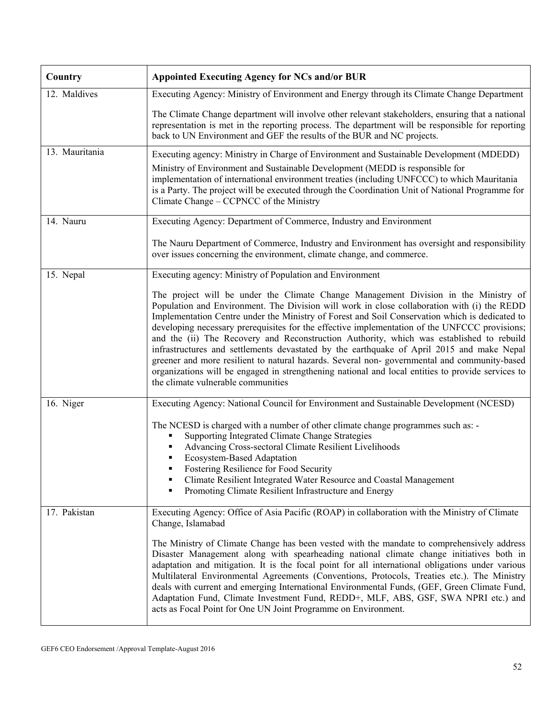| Country        | <b>Appointed Executing Agency for NCs and/or BUR</b>                                                                                                                                                                                                                                                                                                                                                                                                                                                                                                                                                                                                                                                                                                                                                                     |
|----------------|--------------------------------------------------------------------------------------------------------------------------------------------------------------------------------------------------------------------------------------------------------------------------------------------------------------------------------------------------------------------------------------------------------------------------------------------------------------------------------------------------------------------------------------------------------------------------------------------------------------------------------------------------------------------------------------------------------------------------------------------------------------------------------------------------------------------------|
| 12. Maldives   | Executing Agency: Ministry of Environment and Energy through its Climate Change Department                                                                                                                                                                                                                                                                                                                                                                                                                                                                                                                                                                                                                                                                                                                               |
|                | The Climate Change department will involve other relevant stakeholders, ensuring that a national<br>representation is met in the reporting process. The department will be responsible for reporting<br>back to UN Environment and GEF the results of the BUR and NC projects.                                                                                                                                                                                                                                                                                                                                                                                                                                                                                                                                           |
| 13. Mauritania | Executing agency: Ministry in Charge of Environment and Sustainable Development (MDEDD)<br>Ministry of Environment and Sustainable Development (MEDD is responsible for<br>implementation of international environment treaties (including UNFCCC) to which Mauritania<br>is a Party. The project will be executed through the Coordination Unit of National Programme for<br>Climate Change – CCPNCC of the Ministry                                                                                                                                                                                                                                                                                                                                                                                                    |
| 14. Nauru      | Executing Agency: Department of Commerce, Industry and Environment                                                                                                                                                                                                                                                                                                                                                                                                                                                                                                                                                                                                                                                                                                                                                       |
|                | The Nauru Department of Commerce, Industry and Environment has oversight and responsibility<br>over issues concerning the environment, climate change, and commerce.                                                                                                                                                                                                                                                                                                                                                                                                                                                                                                                                                                                                                                                     |
| 15. Nepal      | Executing agency: Ministry of Population and Environment                                                                                                                                                                                                                                                                                                                                                                                                                                                                                                                                                                                                                                                                                                                                                                 |
|                | The project will be under the Climate Change Management Division in the Ministry of<br>Population and Environment. The Division will work in close collaboration with (i) the REDD<br>Implementation Centre under the Ministry of Forest and Soil Conservation which is dedicated to<br>developing necessary prerequisites for the effective implementation of the UNFCCC provisions;<br>and the (ii) The Recovery and Reconstruction Authority, which was established to rebuild<br>infrastructures and settlements devastated by the earthquake of April 2015 and make Nepal<br>greener and more resilient to natural hazards. Several non-governmental and community-based<br>organizations will be engaged in strengthening national and local entities to provide services to<br>the climate vulnerable communities |
| 16. Niger      | Executing Agency: National Council for Environment and Sustainable Development (NCESD)                                                                                                                                                                                                                                                                                                                                                                                                                                                                                                                                                                                                                                                                                                                                   |
|                | The NCESD is charged with a number of other climate change programmes such as: -<br>Supporting Integrated Climate Change Strategies<br>Advancing Cross-sectoral Climate Resilient Livelihoods<br>Ecosystem-Based Adaptation<br>Fostering Resilience for Food Security<br>Climate Resilient Integrated Water Resource and Coastal Management<br>٠<br>Promoting Climate Resilient Infrastructure and Energy<br>٠                                                                                                                                                                                                                                                                                                                                                                                                           |
| 17. Pakistan   | Executing Agency: Office of Asia Pacific (ROAP) in collaboration with the Ministry of Climate<br>Change, Islamabad                                                                                                                                                                                                                                                                                                                                                                                                                                                                                                                                                                                                                                                                                                       |
|                | The Ministry of Climate Change has been vested with the mandate to comprehensively address<br>Disaster Management along with spearheading national climate change initiatives both in<br>adaptation and mitigation. It is the focal point for all international obligations under various<br>Multilateral Environmental Agreements (Conventions, Protocols, Treaties etc.). The Ministry<br>deals with current and emerging International Environmental Funds, (GEF, Green Climate Fund,<br>Adaptation Fund, Climate Investment Fund, REDD+, MLF, ABS, GSF, SWA NPRI etc.) and<br>acts as Focal Point for One UN Joint Programme on Environment.                                                                                                                                                                         |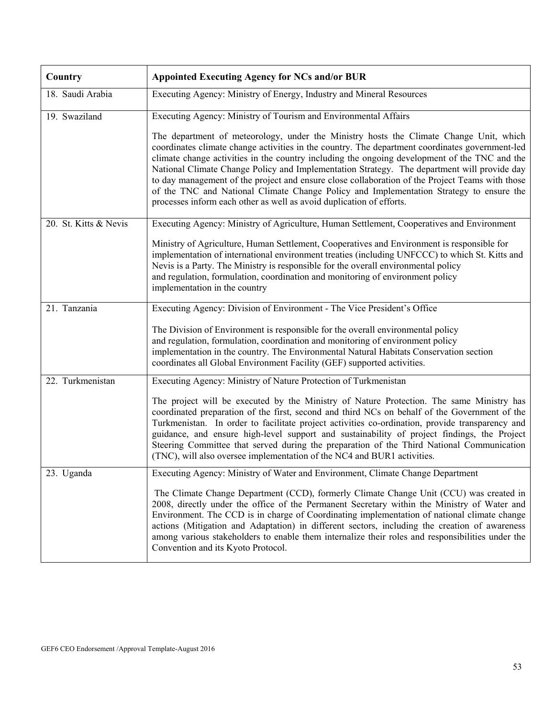| Country               | <b>Appointed Executing Agency for NCs and/or BUR</b>                                                                                                                                                                                                                                                                                                                                                                                                                                                                                                                                                                                                            |  |  |  |  |  |  |  |  |  |
|-----------------------|-----------------------------------------------------------------------------------------------------------------------------------------------------------------------------------------------------------------------------------------------------------------------------------------------------------------------------------------------------------------------------------------------------------------------------------------------------------------------------------------------------------------------------------------------------------------------------------------------------------------------------------------------------------------|--|--|--|--|--|--|--|--|--|
| 18. Saudi Arabia      | Executing Agency: Ministry of Energy, Industry and Mineral Resources                                                                                                                                                                                                                                                                                                                                                                                                                                                                                                                                                                                            |  |  |  |  |  |  |  |  |  |
| 19. Swaziland         | Executing Agency: Ministry of Tourism and Environmental Affairs                                                                                                                                                                                                                                                                                                                                                                                                                                                                                                                                                                                                 |  |  |  |  |  |  |  |  |  |
|                       | The department of meteorology, under the Ministry hosts the Climate Change Unit, which<br>coordinates climate change activities in the country. The department coordinates government-led<br>climate change activities in the country including the ongoing development of the TNC and the<br>National Climate Change Policy and Implementation Strategy. The department will provide day<br>to day management of the project and ensure close collaboration of the Project Teams with those<br>of the TNC and National Climate Change Policy and Implementation Strategy to ensure the<br>processes inform each other as well as avoid duplication of efforts. |  |  |  |  |  |  |  |  |  |
| 20. St. Kitts & Nevis | Executing Agency: Ministry of Agriculture, Human Settlement, Cooperatives and Environment                                                                                                                                                                                                                                                                                                                                                                                                                                                                                                                                                                       |  |  |  |  |  |  |  |  |  |
|                       | Ministry of Agriculture, Human Settlement, Cooperatives and Environment is responsible for<br>implementation of international environment treaties (including UNFCCC) to which St. Kitts and<br>Nevis is a Party. The Ministry is responsible for the overall environmental policy<br>and regulation, formulation, coordination and monitoring of environment policy<br>implementation in the country                                                                                                                                                                                                                                                           |  |  |  |  |  |  |  |  |  |
| 21. Tanzania          | Executing Agency: Division of Environment - The Vice President's Office                                                                                                                                                                                                                                                                                                                                                                                                                                                                                                                                                                                         |  |  |  |  |  |  |  |  |  |
|                       | The Division of Environment is responsible for the overall environmental policy<br>and regulation, formulation, coordination and monitoring of environment policy<br>implementation in the country. The Environmental Natural Habitats Conservation section<br>coordinates all Global Environment Facility (GEF) supported activities.                                                                                                                                                                                                                                                                                                                          |  |  |  |  |  |  |  |  |  |
| 22. Turkmenistan      | Executing Agency: Ministry of Nature Protection of Turkmenistan                                                                                                                                                                                                                                                                                                                                                                                                                                                                                                                                                                                                 |  |  |  |  |  |  |  |  |  |
|                       | The project will be executed by the Ministry of Nature Protection. The same Ministry has<br>coordinated preparation of the first, second and third NCs on behalf of the Government of the<br>Turkmenistan. In order to facilitate project activities co-ordination, provide transparency and<br>guidance, and ensure high-level support and sustainability of project findings, the Project<br>Steering Committee that served during the preparation of the Third National Communication<br>(TNC), will also oversee implementation of the NC4 and BUR1 activities.                                                                                             |  |  |  |  |  |  |  |  |  |
| 23. Uganda            | Executing Agency: Ministry of Water and Environment, Climate Change Department                                                                                                                                                                                                                                                                                                                                                                                                                                                                                                                                                                                  |  |  |  |  |  |  |  |  |  |
|                       | The Climate Change Department (CCD), formerly Climate Change Unit (CCU) was created in<br>2008, directly under the office of the Permanent Secretary within the Ministry of Water and<br>Environment. The CCD is in charge of Coordinating implementation of national climate change<br>actions (Mitigation and Adaptation) in different sectors, including the creation of awareness<br>among various stakeholders to enable them internalize their roles and responsibilities under the<br>Convention and its Kyoto Protocol.                                                                                                                                 |  |  |  |  |  |  |  |  |  |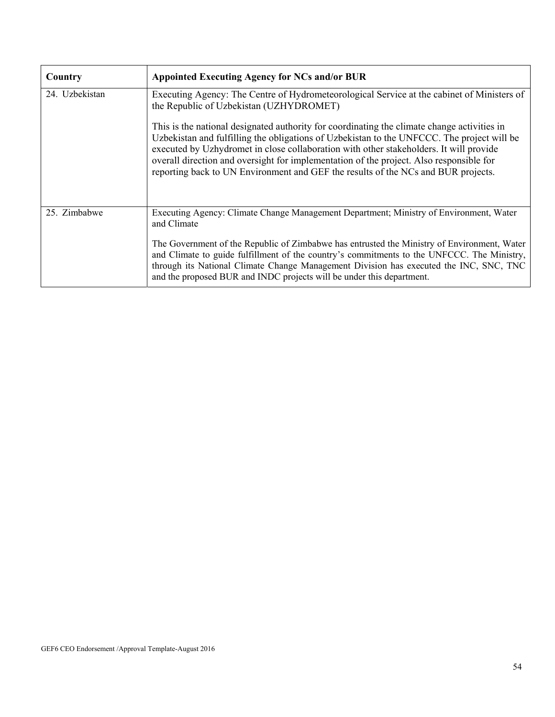| Country        | <b>Appointed Executing Agency for NCs and/or BUR</b>                                                                                                                                                                                                                                                                                                                                                                                                                |
|----------------|---------------------------------------------------------------------------------------------------------------------------------------------------------------------------------------------------------------------------------------------------------------------------------------------------------------------------------------------------------------------------------------------------------------------------------------------------------------------|
| 24. Uzbekistan | Executing Agency: The Centre of Hydrometeorological Service at the cabinet of Ministers of<br>the Republic of Uzbekistan (UZHYDROMET)                                                                                                                                                                                                                                                                                                                               |
|                | This is the national designated authority for coordinating the climate change activities in<br>Uzbekistan and fulfilling the obligations of Uzbekistan to the UNFCCC. The project will be<br>executed by Uzhydromet in close collaboration with other stakeholders. It will provide<br>overall direction and oversight for implementation of the project. Also responsible for<br>reporting back to UN Environment and GEF the results of the NCs and BUR projects. |
| 25. Zimbabwe   | Executing Agency: Climate Change Management Department; Ministry of Environment, Water<br>and Climate                                                                                                                                                                                                                                                                                                                                                               |
|                | The Government of the Republic of Zimbabwe has entrusted the Ministry of Environment, Water<br>and Climate to guide fulfillment of the country's commitments to the UNFCCC. The Ministry,<br>through its National Climate Change Management Division has executed the INC, SNC, TNC<br>and the proposed BUR and INDC projects will be under this department.                                                                                                        |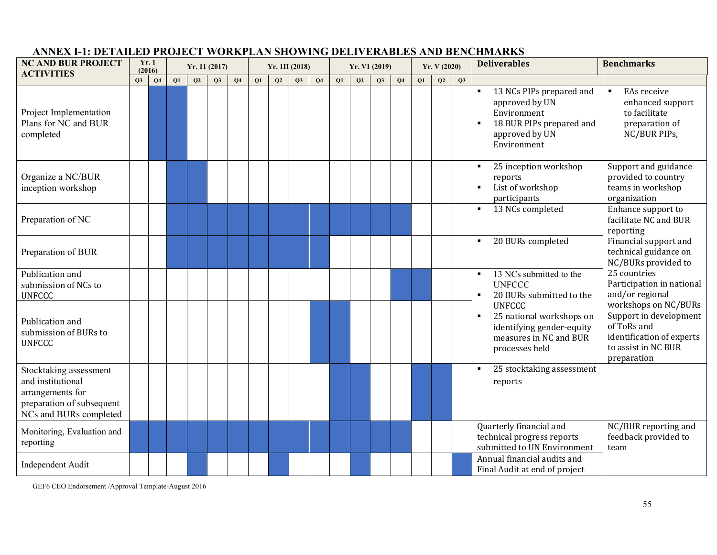| <b>NC AND BUR PROJECT</b><br><b>ACTIVITIES</b>                                                                         |    | Yr.1<br>(2016) |    |    | Yr. 11 (2017) |                |    |    | Yr. 1II (2018) |                |           | Yr. V1 (2019) |    |                |           | Yr. V(2020) |    | <b>Deliverables</b>                                                                                                     | <b>Benchmarks</b>                                                                                                                |
|------------------------------------------------------------------------------------------------------------------------|----|----------------|----|----|---------------|----------------|----|----|----------------|----------------|-----------|---------------|----|----------------|-----------|-------------|----|-------------------------------------------------------------------------------------------------------------------------|----------------------------------------------------------------------------------------------------------------------------------|
|                                                                                                                        | Q3 | Q <sub>4</sub> | Q1 | Q2 | Q3            | Q <sub>4</sub> | Q1 | Q2 | Q3             | Q <sub>4</sub> | <b>O1</b> | Q2            | Q3 | Q <sub>4</sub> | <b>O1</b> | Q2          | Q3 |                                                                                                                         |                                                                                                                                  |
| Project Implementation<br>Plans for NC and BUR<br>completed                                                            |    |                |    |    |               |                |    |    |                |                |           |               |    |                |           |             |    | 13 NCs PIPs prepared and<br>approved by UN<br>Environment<br>18 BUR PIPs prepared and<br>approved by UN<br>Environment  | EAs receive<br>$\blacksquare$<br>enhanced support<br>to facilitate<br>preparation of<br>NC/BUR PIPs,                             |
| Organize a NC/BUR<br>inception workshop                                                                                |    |                |    |    |               |                |    |    |                |                |           |               |    |                |           |             |    | 25 inception workshop<br>reports<br>List of workshop<br>participants                                                    | Support and guidance<br>provided to country<br>teams in workshop<br>organization                                                 |
| Preparation of NC                                                                                                      |    |                |    |    |               |                |    |    |                |                |           |               |    |                |           |             |    | 13 NCs completed                                                                                                        | Enhance support to<br>facilitate NC and BUR<br>reporting                                                                         |
| Preparation of BUR                                                                                                     |    |                |    |    |               |                |    |    |                |                |           |               |    |                |           |             |    | 20 BURs completed                                                                                                       | Financial support and<br>technical guidance on<br>NC/BURs provided to                                                            |
| Publication and<br>submission of NCs to<br><b>UNFCCC</b>                                                               |    |                |    |    |               |                |    |    |                |                |           |               |    |                |           |             |    | 13 NCs submitted to the<br><b>UNFCCC</b><br>20 BURs submitted to the                                                    | 25 countries<br>Participation in national<br>and/or regional                                                                     |
| Publication and<br>submission of BURs to<br><b>UNFCCC</b>                                                              |    |                |    |    |               |                |    |    |                |                |           |               |    |                |           |             |    | <b>UNFCCC</b><br>25 national workshops on<br>٠<br>identifying gender-equity<br>measures in NC and BUR<br>processes held | workshops on NC/BURs<br>Support in development<br>of ToRs and<br>identification of experts<br>to assist in NC BUR<br>preparation |
| Stocktaking assessment<br>and institutional<br>arrangements for<br>preparation of subsequent<br>NCs and BURs completed |    |                |    |    |               |                |    |    |                |                |           |               |    |                |           |             |    | 25 stocktaking assessment<br>reports                                                                                    |                                                                                                                                  |
| Monitoring, Evaluation and<br>reporting                                                                                |    |                |    |    |               |                |    |    |                |                |           |               |    |                |           |             |    | Quarterly financial and<br>technical progress reports<br>submitted to UN Environment                                    | NC/BUR reporting and<br>feedback provided to<br>team                                                                             |
| Independent Audit                                                                                                      |    |                |    |    |               |                |    |    |                |                |           |               |    |                |           |             |    | Annual financial audits and<br>Final Audit at end of project                                                            |                                                                                                                                  |

## **ANNEX I-1: DETAILED PROJECT WORKPLAN SHOWING DELIVERABLES AND BENCHMARKS**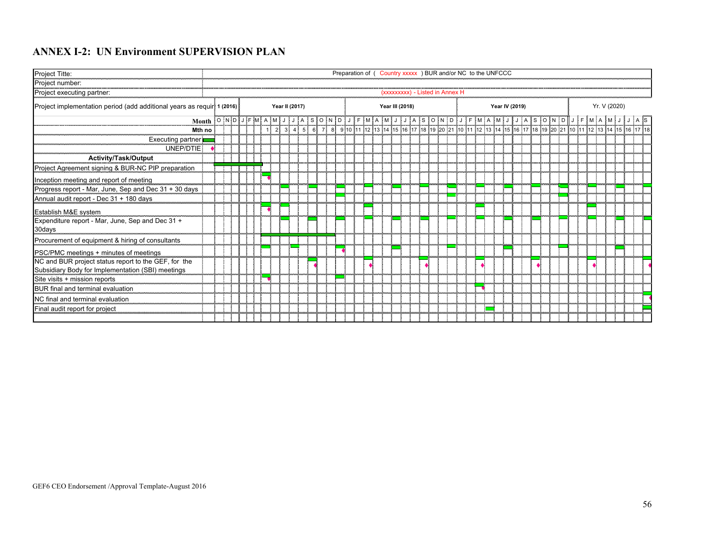## **ANNEX I-2: UN Environment SUPERVISION PLAN**

| Project Titte:                                                                                            |  | Preparation of ( Country xxxxx ) BUR and/or NC to the UNFCCC |  |  |  |  |   |  |                |   |  |  |  |                                |  |  |  |  |  |                |  |  |  |                                                                                                          |  |              |  |  |
|-----------------------------------------------------------------------------------------------------------|--|--------------------------------------------------------------|--|--|--|--|---|--|----------------|---|--|--|--|--------------------------------|--|--|--|--|--|----------------|--|--|--|----------------------------------------------------------------------------------------------------------|--|--------------|--|--|
| Project number:                                                                                           |  |                                                              |  |  |  |  |   |  |                |   |  |  |  |                                |  |  |  |  |  |                |  |  |  |                                                                                                          |  |              |  |  |
| Project executing partner:                                                                                |  |                                                              |  |  |  |  |   |  |                |   |  |  |  | (xxxxxxxx) - Listed in Annex H |  |  |  |  |  |                |  |  |  |                                                                                                          |  |              |  |  |
| Project implementation period (add additional years as requir 1 (2016)                                    |  |                                                              |  |  |  |  |   |  | Year II (2017) |   |  |  |  | Year III (2018)                |  |  |  |  |  | Year IV (2019) |  |  |  |                                                                                                          |  | Yr. V (2020) |  |  |
| Month                                                                                                     |  |                                                              |  |  |  |  |   |  |                |   |  |  |  |                                |  |  |  |  |  |                |  |  |  |                                                                                                          |  |              |  |  |
| Mth no                                                                                                    |  |                                                              |  |  |  |  | 2 |  | 3415           | 6 |  |  |  |                                |  |  |  |  |  |                |  |  |  | 7 8 9 10 11 12 13 14 15 16 17 18 19 20 21 10 11 12 13 14 15 16 17 18 19 20 21 10 11 12 13 14 15 16 17 18 |  |              |  |  |
| Executing partner                                                                                         |  |                                                              |  |  |  |  |   |  |                |   |  |  |  |                                |  |  |  |  |  |                |  |  |  |                                                                                                          |  |              |  |  |
| UNEP/DTIE                                                                                                 |  |                                                              |  |  |  |  |   |  |                |   |  |  |  |                                |  |  |  |  |  |                |  |  |  |                                                                                                          |  |              |  |  |
| <b>Activity/Task/Output</b>                                                                               |  |                                                              |  |  |  |  |   |  |                |   |  |  |  |                                |  |  |  |  |  |                |  |  |  |                                                                                                          |  |              |  |  |
| Project Agreement signing & BUR-NC PIP preparation                                                        |  |                                                              |  |  |  |  |   |  |                |   |  |  |  |                                |  |  |  |  |  |                |  |  |  |                                                                                                          |  |              |  |  |
| Inception meeting and report of meeting                                                                   |  |                                                              |  |  |  |  |   |  |                |   |  |  |  |                                |  |  |  |  |  |                |  |  |  |                                                                                                          |  |              |  |  |
| Progress report - Mar, June, Sep and Dec 31 + 30 days                                                     |  |                                                              |  |  |  |  |   |  |                |   |  |  |  |                                |  |  |  |  |  |                |  |  |  |                                                                                                          |  |              |  |  |
| Annual audit report - Dec 31 + 180 days                                                                   |  |                                                              |  |  |  |  |   |  |                |   |  |  |  |                                |  |  |  |  |  |                |  |  |  |                                                                                                          |  |              |  |  |
| Establish M&E system                                                                                      |  |                                                              |  |  |  |  |   |  |                |   |  |  |  |                                |  |  |  |  |  |                |  |  |  |                                                                                                          |  |              |  |  |
| Expenditure report - Mar, June, Sep and Dec 31 +<br>30days                                                |  |                                                              |  |  |  |  |   |  |                |   |  |  |  |                                |  |  |  |  |  |                |  |  |  |                                                                                                          |  |              |  |  |
| Procurement of equipment & hiring of consultants                                                          |  |                                                              |  |  |  |  |   |  |                |   |  |  |  |                                |  |  |  |  |  |                |  |  |  |                                                                                                          |  |              |  |  |
| PSC/PMC meetings + minutes of meetings                                                                    |  |                                                              |  |  |  |  |   |  |                |   |  |  |  |                                |  |  |  |  |  |                |  |  |  |                                                                                                          |  |              |  |  |
| NC and BUR project status report to the GEF, for the<br>Subsidiary Body for Implementation (SBI) meetings |  |                                                              |  |  |  |  |   |  |                |   |  |  |  |                                |  |  |  |  |  |                |  |  |  |                                                                                                          |  |              |  |  |
| Site visits + mission reports                                                                             |  |                                                              |  |  |  |  |   |  |                |   |  |  |  |                                |  |  |  |  |  |                |  |  |  |                                                                                                          |  |              |  |  |
| <b>BUR</b> final and terminal evaluation                                                                  |  |                                                              |  |  |  |  |   |  |                |   |  |  |  |                                |  |  |  |  |  |                |  |  |  |                                                                                                          |  |              |  |  |
| <b>INC</b> final and terminal evaluation                                                                  |  |                                                              |  |  |  |  |   |  |                |   |  |  |  |                                |  |  |  |  |  |                |  |  |  |                                                                                                          |  |              |  |  |
| Final audit report for project                                                                            |  |                                                              |  |  |  |  |   |  |                |   |  |  |  |                                |  |  |  |  |  |                |  |  |  |                                                                                                          |  |              |  |  |
|                                                                                                           |  |                                                              |  |  |  |  |   |  |                |   |  |  |  |                                |  |  |  |  |  |                |  |  |  |                                                                                                          |  |              |  |  |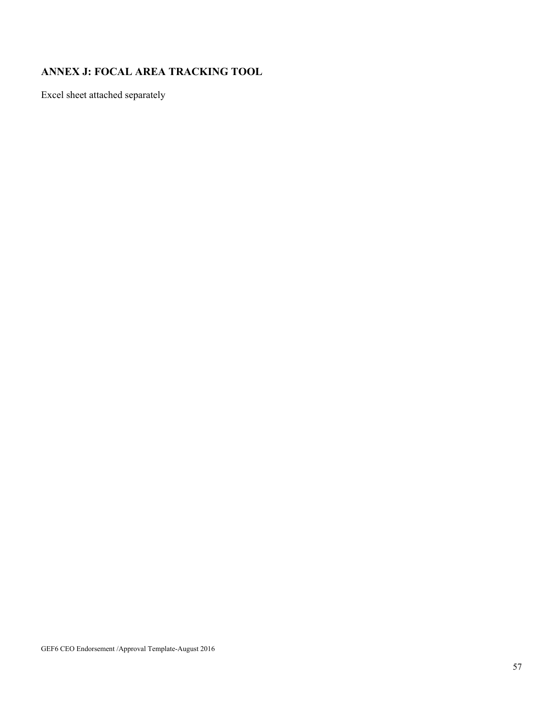# **ANNEX J: FOCAL AREA TRACKING TOOL**

Excel sheet attached separately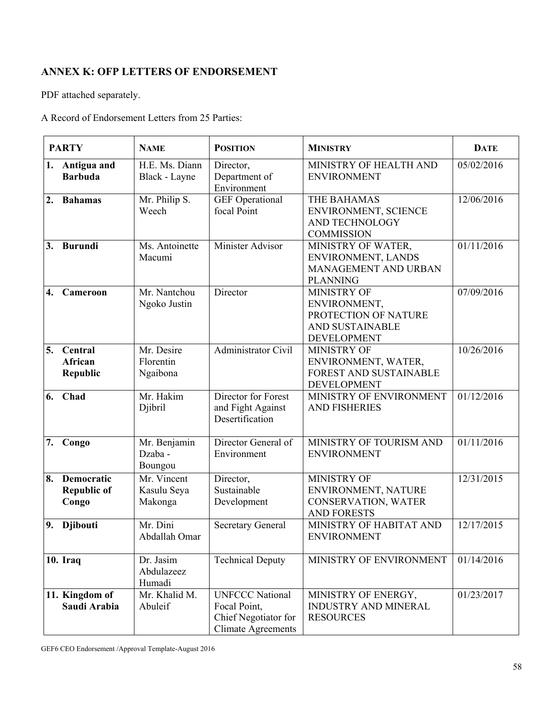# **ANNEX K: OFP LETTERS OF ENDORSEMENT**

PDF attached separately.

A Record of Endorsement Letters from 25 Parties:

|    | <b>PARTY</b>                              | <b>NAME</b>                           | <b>POSITION</b>                                                                             | <b>MINISTRY</b>                                                                              | <b>DATE</b> |
|----|-------------------------------------------|---------------------------------------|---------------------------------------------------------------------------------------------|----------------------------------------------------------------------------------------------|-------------|
|    | 1. Antigua and<br><b>Barbuda</b>          | H.E. Ms. Diann<br>Black - Layne       | Director,<br>Department of<br>Environment                                                   | MINISTRY OF HEALTH AND<br><b>ENVIRONMENT</b>                                                 | 05/02/2016  |
| 2. | <b>Bahamas</b>                            | Mr. Philip S.<br>Weech                | <b>GEF</b> Operational<br>focal Point                                                       | THE BAHAMAS<br>ENVIRONMENT, SCIENCE<br>AND TECHNOLOGY<br><b>COMMISSION</b>                   | 12/06/2016  |
| 3. | <b>Burundi</b>                            | Ms. Antoinette<br>Macumi              | Minister Advisor                                                                            | MINISTRY OF WATER,<br>ENVIRONMENT, LANDS<br>MANAGEMENT AND URBAN<br><b>PLANNING</b>          | 01/11/2016  |
| 4. | Cameroon                                  | Mr. Nantchou<br>Ngoko Justin          | Director                                                                                    | MINISTRY OF<br>ENVIRONMENT,<br>PROTECTION OF NATURE<br>AND SUSTAINABLE<br><b>DEVELOPMENT</b> | 07/09/2016  |
| 5. | Central<br>African<br><b>Republic</b>     | Mr. Desire<br>Florentin<br>Ngaibona   | Administrator Civil                                                                         | <b>MINISTRY OF</b><br>ENVIRONMENT, WATER,<br>FOREST AND SUSTAINABLE<br><b>DEVELOPMENT</b>    | 10/26/2016  |
| 6. | Chad                                      | Mr. Hakim<br>Djibril                  | Director for Forest<br>and Fight Against<br>Desertification                                 | MINISTRY OF ENVIRONMENT<br><b>AND FISHERIES</b>                                              | 01/12/2016  |
| 7. | Congo                                     | Mr. Benjamin<br>Dzaba -<br>Boungou    | Director General of<br>Environment                                                          | MINISTRY OF TOURISM AND<br><b>ENVIRONMENT</b>                                                | 01/11/2016  |
| 8. | Democratic<br><b>Republic of</b><br>Congo | Mr. Vincent<br>Kasulu Seya<br>Makonga | Director,<br>Sustainable<br>Development                                                     | MINISTRY OF<br>ENVIRONMENT, NATURE<br>CONSERVATION, WATER<br><b>AND FORESTS</b>              | 12/31/2015  |
| 9. | <b>Djibouti</b>                           | Mr. Dini<br>Abdallah Omar             | <b>Secretary General</b>                                                                    | MINISTRY OF HABITAT AND<br><b>ENVIRONMENT</b>                                                | 12/17/2015  |
|    | <b>10. Iraq</b>                           | Dr. Jasim<br>Abdulazeez<br>Humadi     | <b>Technical Deputy</b>                                                                     | MINISTRY OF ENVIRONMENT                                                                      | 01/14/2016  |
|    | 11. Kingdom of<br>Saudi Arabia            | Mr. Khalid M.<br>Abuleif              | <b>UNFCCC National</b><br>Focal Point,<br>Chief Negotiator for<br><b>Climate Agreements</b> | MINISTRY OF ENERGY,<br>INDUSTRY AND MINERAL<br><b>RESOURCES</b>                              | 01/23/2017  |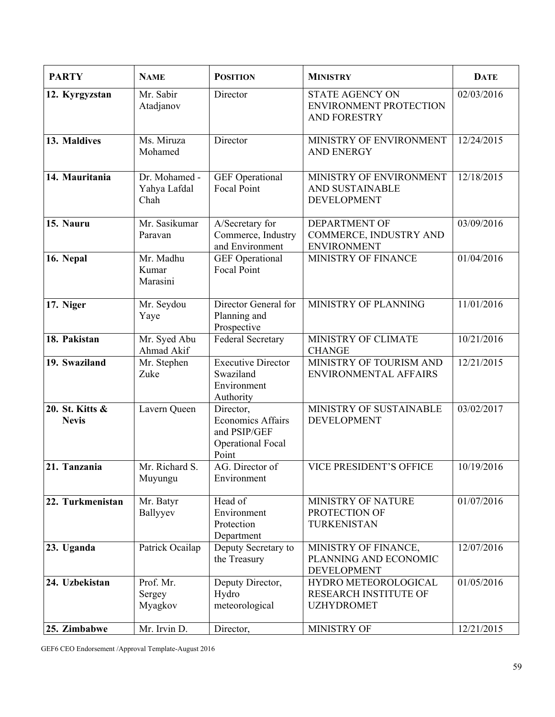| <b>PARTY</b>                    | <b>NAME</b>                           | <b>POSITION</b>                                                                            | <b>MINISTRY</b>                                                                | <b>DATE</b> |
|---------------------------------|---------------------------------------|--------------------------------------------------------------------------------------------|--------------------------------------------------------------------------------|-------------|
| 12. Kyrgyzstan                  | Mr. Sabir<br>Atadjanov                | Director                                                                                   | <b>STATE AGENCY ON</b><br><b>ENVIRONMENT PROTECTION</b><br><b>AND FORESTRY</b> | 02/03/2016  |
| 13. Maldives                    | Ms. Miruza<br>Mohamed                 | Director                                                                                   | MINISTRY OF ENVIRONMENT<br><b>AND ENERGY</b>                                   | 12/24/2015  |
| 14. Mauritania                  | Dr. Mohamed -<br>Yahya Lafdal<br>Chah | <b>GEF</b> Operational<br>Focal Point                                                      | MINISTRY OF ENVIRONMENT<br>AND SUSTAINABLE<br><b>DEVELOPMENT</b>               | 12/18/2015  |
| 15. Nauru                       | Mr. Sasikumar<br>Paravan              | A/Secretary for<br>Commerce, Industry<br>and Environment                                   | <b>DEPARTMENT OF</b><br>COMMERCE, INDUSTRY AND<br><b>ENVIRONMENT</b>           | 03/09/2016  |
| 16. Nepal                       | Mr. Madhu<br>Kumar<br>Marasini        | <b>GEF</b> Operational<br><b>Focal Point</b>                                               | <b>MINISTRY OF FINANCE</b>                                                     | 01/04/2016  |
| 17. Niger                       | Mr. Seydou<br>Yaye                    | Director General for<br>Planning and<br>Prospective                                        | MINISTRY OF PLANNING                                                           | 11/01/2016  |
| 18. Pakistan                    | Mr. Syed Abu<br>Ahmad Akif            | <b>Federal Secretary</b>                                                                   | MINISTRY OF CLIMATE<br><b>CHANGE</b>                                           | 10/21/2016  |
| 19. Swaziland                   | Mr. Stephen<br>Zuke                   | <b>Executive Director</b><br>Swaziland<br>Environment<br>Authority                         | MINISTRY OF TOURISM AND<br>ENVIRONMENTAL AFFAIRS                               | 12/21/2015  |
| 20. St. Kitts &<br><b>Nevis</b> | Lavern Queen                          | Director,<br><b>Economics Affairs</b><br>and PSIP/GEF<br><b>Operational Focal</b><br>Point | MINISTRY OF SUSTAINABLE<br><b>DEVELOPMENT</b>                                  | 03/02/2017  |
| 21. Tanzania                    | Mr. Richard S.<br>Muyungu             | AG. Director of<br>Environment                                                             | VICE PRESIDENT'S OFFICE                                                        | 10/19/2016  |
| 22. Turkmenistan                | Mr. Batyr<br>Ballyyev                 | Head of<br>Environment<br>Protection<br>Department                                         | MINISTRY OF NATURE<br>PROTECTION OF<br>TURKENISTAN                             | 01/07/2016  |
| 23. Uganda                      | Patrick Ocailap                       | Deputy Secretary to<br>the Treasury                                                        | MINISTRY OF FINANCE,<br>PLANNING AND ECONOMIC<br><b>DEVELOPMENT</b>            | 12/07/2016  |
| 24. Uzbekistan                  | Prof. Mr.<br>Sergey<br>Myagkov        | Deputy Director,<br>Hydro<br>meteorological                                                | HYDRO METEOROLOGICAL<br><b>RESEARCH INSTITUTE OF</b><br><b>UZHYDROMET</b>      | 01/05/2016  |
| 25. Zimbabwe                    | Mr. Irvin D.                          | Director,                                                                                  | MINISTRY OF                                                                    | 12/21/2015  |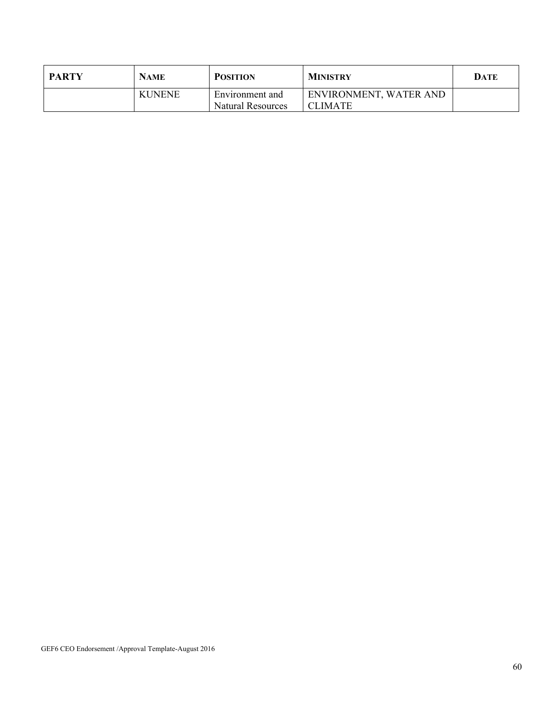| <b>PARTY</b> | NAME          | <b>POSITION</b>   | <b>MINISTRY</b>        | DATE |
|--------------|---------------|-------------------|------------------------|------|
|              | <b>KUNENE</b> | Environment and   | ENVIRONMENT, WATER AND |      |
|              |               | Natural Resources | <b>CLIMATE</b>         |      |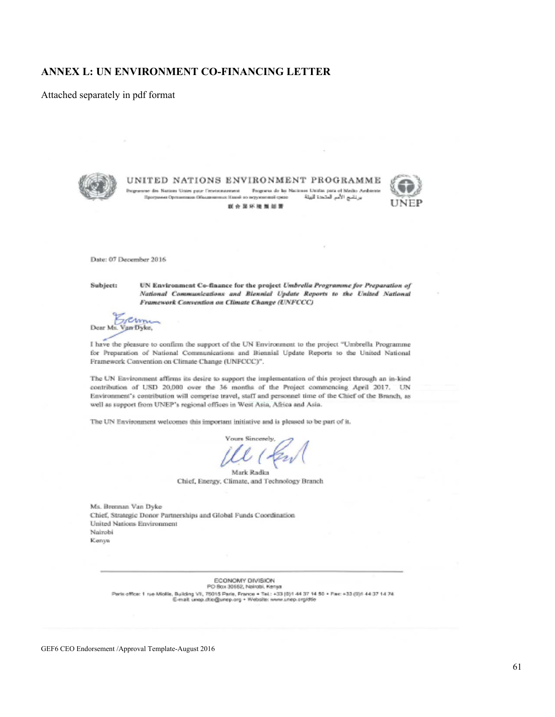### **ANNEX L: UN ENVIRONMENT CO-FINANCING LETTER**

Attached separately in pdf format



UNITED NATIONS ENVIRONMENT PROGRAMME

se des Nations Unies paur l'environnement - Frogueux de las Naciones Unidas para el Melho Ardon برنامج الأمم المتحدة للبيئة Программа Организация Объединализма Иланй по перуизионной средо 联合国环境集划署



Date: 07 December 2016

Subject:

UN Environment Co-finance for the project Umbrella Programme for Preparation of National Communications and Biennial Update Reports to the United National Framework Convention on Climate Change (UNFCCC)

schmin Dear Ms. Van Dyke,

I have the pleasure to confirm the support of the UN Environment to the project "Umbrella Programme for Preparation of National Communications and Biennial Update Reports to the United National Framework Convention on Climate Change (UNFCCC)".

The UN Environment affirms its desire to support the implementation of this project through an in-kind contribution of USD 20,000 over the 36 months of the Project commencing April 2017. UN Environment's contribution will comprise travel, staff and personnel time of the Chief of the Branch, as well as support from UNEP's regional offices in West Asia, Africa and Asia.

The UN Environment welcomes this important initiative and is pleased to be part of it.

ours Sincerely

Mark Radka Chief, Energy, Climate, and Technology Branch

Ms. Brennan Van Dyke Chief, Strategic Donor Partnerships and Global Funds Coordination United Nations Environment Nairobi Kenya

> ECONOMY DIVISION PO Box 30652, Nairobi, Kenya Paris office: 1 rue Miolile, Building VII, 75015 Paris, France + Tel.: +33 (9)1 44 37 14 50 + Pac: +33 (0)1 44 37 14 74<br>E-mail: unep.dile@unep.org + Website: www.unep.org/dfie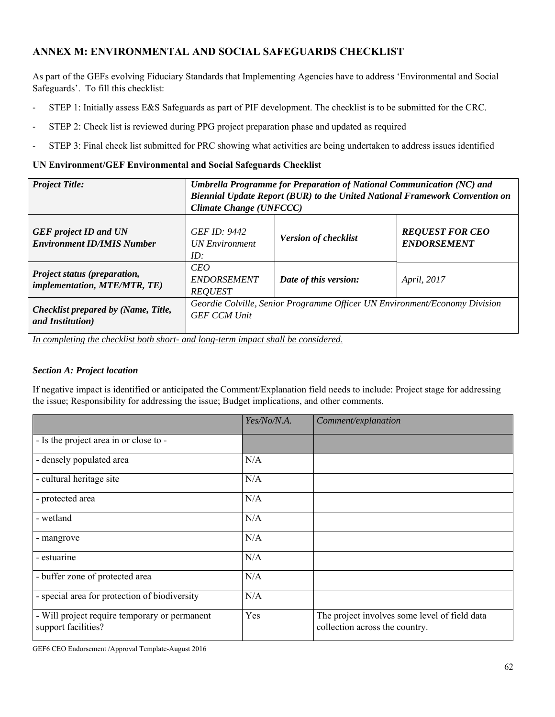# **ANNEX M: ENVIRONMENTAL AND SOCIAL SAFEGUARDS CHECKLIST**

As part of the GEFs evolving Fiduciary Standards that Implementing Agencies have to address 'Environmental and Social Safeguards'. To fill this checklist:

- ‐ STEP 1: Initially assess E&S Safeguards as part of PIF development. The checklist is to be submitted for the CRC.
- ‐ STEP 2: Check list is reviewed during PPG project preparation phase and updated as required
- ‐ STEP 3: Final check list submitted for PRC showing what activities are being undertaken to address issues identified

#### **UN Environment/GEF Environmental and Social Safeguards Checklist**

| <b>Project Title:</b>                                                           | Umbrella Programme for Preparation of National Communication (NC) and<br>Biennial Update Report (BUR) to the United National Framework Convention on<br>Climate Change (UNFCCC) |                             |                                              |  |
|---------------------------------------------------------------------------------|---------------------------------------------------------------------------------------------------------------------------------------------------------------------------------|-----------------------------|----------------------------------------------|--|
| <b>GEF</b> project <b>ID</b> and <b>UN</b><br><b>Environment ID/IMIS Number</b> | <b>GEF ID: 9442</b><br><b>UN Environment</b><br>ID:                                                                                                                             | <b>Version of checklist</b> | <b>REQUEST FOR CEO</b><br><b>ENDORSEMENT</b> |  |
| Project status (preparation,<br><i>implementation, MTE/MTR, TE)</i>             | CEO<br><b>ENDORSEMENT</b><br><b>REQUEST</b>                                                                                                                                     | Date of this version:       | April, 2017                                  |  |
| Checklist prepared by (Name, Title,<br>and Institution)<br>                     | Geordie Colville, Senior Programme Officer UN Environment/Economy Division<br><b>GEF CCM Unit</b><br>$\mathbf{r}$                                                               |                             |                                              |  |

*In completing the checklist both short- and long-term impact shall be considered*.

#### *Section A: Project location*

If negative impact is identified or anticipated the Comment/Explanation field needs to include: Project stage for addressing the issue; Responsibility for addressing the issue; Budget implications, and other comments.

|                                                                      | Yes/No/N.A. | Comment/explanation                                                             |
|----------------------------------------------------------------------|-------------|---------------------------------------------------------------------------------|
| - Is the project area in or close to -                               |             |                                                                                 |
| - densely populated area                                             | N/A         |                                                                                 |
| - cultural heritage site                                             | N/A         |                                                                                 |
| - protected area                                                     | N/A         |                                                                                 |
| - wetland                                                            | N/A         |                                                                                 |
| - mangrove                                                           | N/A         |                                                                                 |
| - estuarine                                                          | N/A         |                                                                                 |
| - buffer zone of protected area                                      | N/A         |                                                                                 |
| - special area for protection of biodiversity                        | N/A         |                                                                                 |
| - Will project require temporary or permanent<br>support facilities? | Yes         | The project involves some level of field data<br>collection across the country. |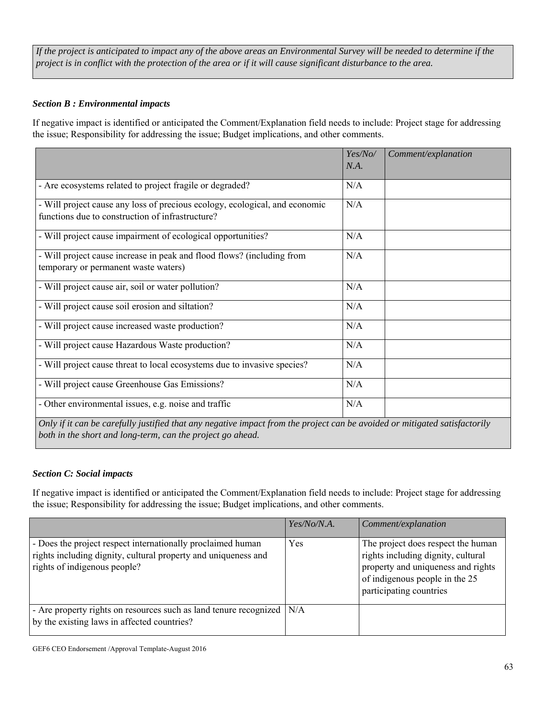*If the project is anticipated to impact any of the above areas an Environmental Survey will be needed to determine if the project is in conflict with the protection of the area or if it will cause significant disturbance to the area.* 

### *Section B : Environmental impacts*

If negative impact is identified or anticipated the Comment/Explanation field needs to include: Project stage for addressing the issue; Responsibility for addressing the issue; Budget implications, and other comments.

|                                                                                                                                                                                          | Yes/No/ | Comment/explanation |
|------------------------------------------------------------------------------------------------------------------------------------------------------------------------------------------|---------|---------------------|
|                                                                                                                                                                                          | N.A.    |                     |
| - Are ecosystems related to project fragile or degraded?                                                                                                                                 | N/A     |                     |
| - Will project cause any loss of precious ecology, ecological, and economic<br>functions due to construction of infrastructure?                                                          | N/A     |                     |
| - Will project cause impairment of ecological opportunities?                                                                                                                             | N/A     |                     |
| - Will project cause increase in peak and flood flows? (including from<br>temporary or permanent waste waters)                                                                           | N/A     |                     |
| - Will project cause air, soil or water pollution?                                                                                                                                       | N/A     |                     |
| - Will project cause soil erosion and siltation?                                                                                                                                         | N/A     |                     |
| - Will project cause increased waste production?                                                                                                                                         | N/A     |                     |
| - Will project cause Hazardous Waste production?                                                                                                                                         | N/A     |                     |
| - Will project cause threat to local ecosystems due to invasive species?                                                                                                                 | N/A     |                     |
| - Will project cause Greenhouse Gas Emissions?                                                                                                                                           | N/A     |                     |
| - Other environmental issues, e.g. noise and traffic                                                                                                                                     | N/A     |                     |
| Only if it can be carefully justified that any negative impact from the project can be avoided or mitigated satisfactorily<br>both in the short and long-term, can the project go ahead. |         |                     |

### *Section C: Social impacts*

If negative impact is identified or anticipated the Comment/Explanation field needs to include: Project stage for addressing the issue; Responsibility for addressing the issue; Budget implications, and other comments.

|                                                                                                                                                               | Yes/No/N.A. | Comment/explanation                                                                                                                                                         |
|---------------------------------------------------------------------------------------------------------------------------------------------------------------|-------------|-----------------------------------------------------------------------------------------------------------------------------------------------------------------------------|
| - Does the project respect internationally proclaimed human<br>rights including dignity, cultural property and uniqueness and<br>rights of indigenous people? | Yes         | The project does respect the human<br>rights including dignity, cultural<br>property and uniqueness and rights<br>of indigenous people in the 25<br>participating countries |
| - Are property rights on resources such as land tenure recognized<br>by the existing laws in affected countries?                                              | N/A         |                                                                                                                                                                             |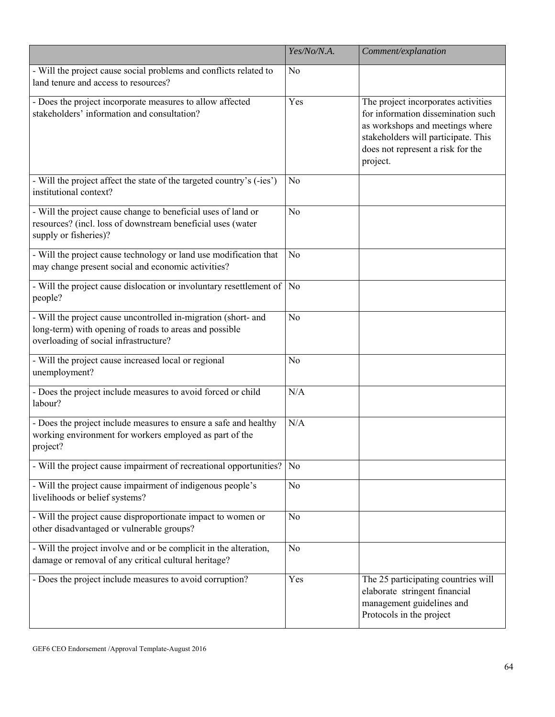|                                                                                                                                                                   | Yes/No/N.A.    | Comment/explanation                                                                                                                                                                                  |
|-------------------------------------------------------------------------------------------------------------------------------------------------------------------|----------------|------------------------------------------------------------------------------------------------------------------------------------------------------------------------------------------------------|
| - Will the project cause social problems and conflicts related to<br>land tenure and access to resources?                                                         | N <sub>o</sub> |                                                                                                                                                                                                      |
| - Does the project incorporate measures to allow affected<br>stakeholders' information and consultation?                                                          | Yes            | The project incorporates activities<br>for information dissemination such<br>as workshops and meetings where<br>stakeholders will participate. This<br>does not represent a risk for the<br>project. |
| - Will the project affect the state of the targeted country's (-ies')<br>institutional context?                                                                   | N <sub>o</sub> |                                                                                                                                                                                                      |
| - Will the project cause change to beneficial uses of land or<br>resources? (incl. loss of downstream beneficial uses (water<br>supply or fisheries)?             | N <sub>o</sub> |                                                                                                                                                                                                      |
| - Will the project cause technology or land use modification that<br>may change present social and economic activities?                                           | N <sub>o</sub> |                                                                                                                                                                                                      |
| - Will the project cause dislocation or involuntary resettlement of<br>people?                                                                                    | N <sub>o</sub> |                                                                                                                                                                                                      |
| - Will the project cause uncontrolled in-migration (short- and<br>long-term) with opening of roads to areas and possible<br>overloading of social infrastructure? | N <sub>o</sub> |                                                                                                                                                                                                      |
| - Will the project cause increased local or regional<br>unemployment?                                                                                             | No             |                                                                                                                                                                                                      |
| - Does the project include measures to avoid forced or child<br>labour?                                                                                           | N/A            |                                                                                                                                                                                                      |
| - Does the project include measures to ensure a safe and healthy<br>working environment for workers employed as part of the<br>project?                           | N/A            |                                                                                                                                                                                                      |
| - Will the project cause impairment of recreational opportunities?                                                                                                | N <sub>o</sub> |                                                                                                                                                                                                      |
| - Will the project cause impairment of indigenous people's<br>livelihoods or belief systems?                                                                      | N <sub>o</sub> |                                                                                                                                                                                                      |
| - Will the project cause disproportionate impact to women or<br>other disadvantaged or vulnerable groups?                                                         | N <sub>o</sub> |                                                                                                                                                                                                      |
| - Will the project involve and or be complicit in the alteration,<br>damage or removal of any critical cultural heritage?                                         | N <sub>o</sub> |                                                                                                                                                                                                      |
| - Does the project include measures to avoid corruption?                                                                                                          | Yes            | The 25 participating countries will<br>elaborate stringent financial<br>management guidelines and<br>Protocols in the project                                                                        |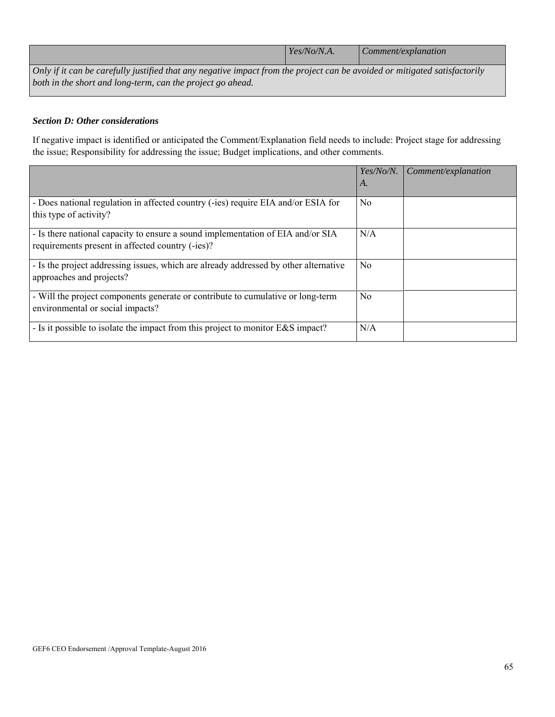|                                                                                                                                   | Yes/No/N.A. | <i>Comment/explanation</i> |  |
|-----------------------------------------------------------------------------------------------------------------------------------|-------------|----------------------------|--|
| $\Box$ Only if it can be carefully justified that any negative impact from the project can be avoided or mitigated satisfactorily |             |                            |  |

*Only if it can be carefully justified that any negative impact from the project can be avoided or mitigated satisfactorily both in the short and long-term, can the project go ahead.* 

### *Section D: Other considerations*

If negative impact is identified or anticipated the Comment/Explanation field needs to include: Project stage for addressing the issue; Responsibility for addressing the issue; Budget implications, and other comments.

|                                                                                                                                     | Yes/No/N.      | Comment/explanation |
|-------------------------------------------------------------------------------------------------------------------------------------|----------------|---------------------|
|                                                                                                                                     | A.             |                     |
| - Does national regulation in affected country (-ies) require EIA and/or ESIA for<br>this type of activity?                         | No             |                     |
| - Is there national capacity to ensure a sound implementation of EIA and/or SIA<br>requirements present in affected country (-ies)? | N/A            |                     |
| - Is the project addressing issues, which are already addressed by other alternative<br>approaches and projects?                    | N <sub>0</sub> |                     |
| - Will the project components generate or contribute to cumulative or long-term<br>environmental or social impacts?                 | No             |                     |
| - Is it possible to isolate the impact from this project to monitor E&S impact?                                                     | N/A            |                     |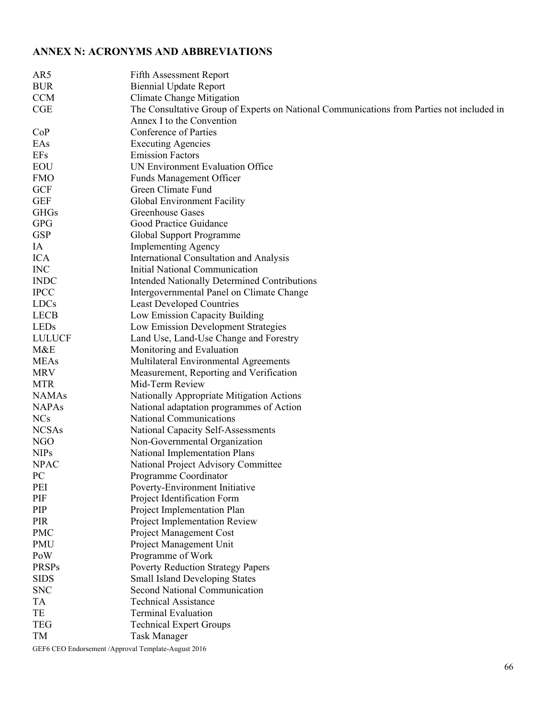# **ANNEX N: ACRONYMS AND ABBREVIATIONS**

| AR5           | <b>Fifth Assessment Report</b>                                                            |
|---------------|-------------------------------------------------------------------------------------------|
| <b>BUR</b>    | <b>Biennial Update Report</b>                                                             |
| <b>CCM</b>    | <b>Climate Change Mitigation</b>                                                          |
| CGE           | The Consultative Group of Experts on National Communications from Parties not included in |
|               | Annex I to the Convention                                                                 |
| CoP           | Conference of Parties                                                                     |
| EAs           | <b>Executing Agencies</b>                                                                 |
| <b>EFs</b>    | <b>Emission Factors</b>                                                                   |
| EOU           | UN Environment Evaluation Office                                                          |
| <b>FMO</b>    | <b>Funds Management Officer</b>                                                           |
| <b>GCF</b>    | Green Climate Fund                                                                        |
| <b>GEF</b>    | Global Environment Facility                                                               |
| <b>GHGs</b>   | Greenhouse Gases                                                                          |
| <b>GPG</b>    | Good Practice Guidance                                                                    |
| <b>GSP</b>    | Global Support Programme                                                                  |
| IA            | <b>Implementing Agency</b>                                                                |
| <b>ICA</b>    | International Consultation and Analysis                                                   |
| <b>INC</b>    | Initial National Communication                                                            |
| <b>INDC</b>   |                                                                                           |
| <b>IPCC</b>   | <b>Intended Nationally Determined Contributions</b>                                       |
|               | Intergovernmental Panel on Climate Change                                                 |
| <b>LDCs</b>   | <b>Least Developed Countries</b>                                                          |
| <b>LECB</b>   | Low Emission Capacity Building                                                            |
| LEDs          | Low Emission Development Strategies                                                       |
| <b>LULUCF</b> | Land Use, Land-Use Change and Forestry                                                    |
| M&E           | Monitoring and Evaluation                                                                 |
| <b>MEAs</b>   | Multilateral Environmental Agreements                                                     |
| <b>MRV</b>    | Measurement, Reporting and Verification                                                   |
| <b>MTR</b>    | Mid-Term Review                                                                           |
| <b>NAMAs</b>  | Nationally Appropriate Mitigation Actions                                                 |
| <b>NAPAs</b>  | National adaptation programmes of Action                                                  |
| <b>NCs</b>    | National Communications                                                                   |
| <b>NCSAs</b>  | National Capacity Self-Assessments                                                        |
| NGO           | Non-Governmental Organization                                                             |
| <b>NIPs</b>   | National Implementation Plans                                                             |
| <b>NPAC</b>   | National Project Advisory Committee                                                       |
| PC            | Programme Coordinator                                                                     |
| PEI           | Poverty-Environment Initiative                                                            |
| PIF           | Project Identification Form                                                               |
| PIP           | Project Implementation Plan                                                               |
| PIR           | Project Implementation Review                                                             |
| <b>PMC</b>    | Project Management Cost                                                                   |
| PMU           | Project Management Unit                                                                   |
| PoW           | Programme of Work                                                                         |
| <b>PRSPs</b>  | <b>Poverty Reduction Strategy Papers</b>                                                  |
| <b>SIDS</b>   | <b>Small Island Developing States</b>                                                     |
| <b>SNC</b>    | <b>Second National Communication</b>                                                      |
| TA            | <b>Technical Assistance</b>                                                               |
| TE            | <b>Terminal Evaluation</b>                                                                |
| <b>TEG</b>    | <b>Technical Expert Groups</b>                                                            |
| TM            | <b>Task Manager</b>                                                                       |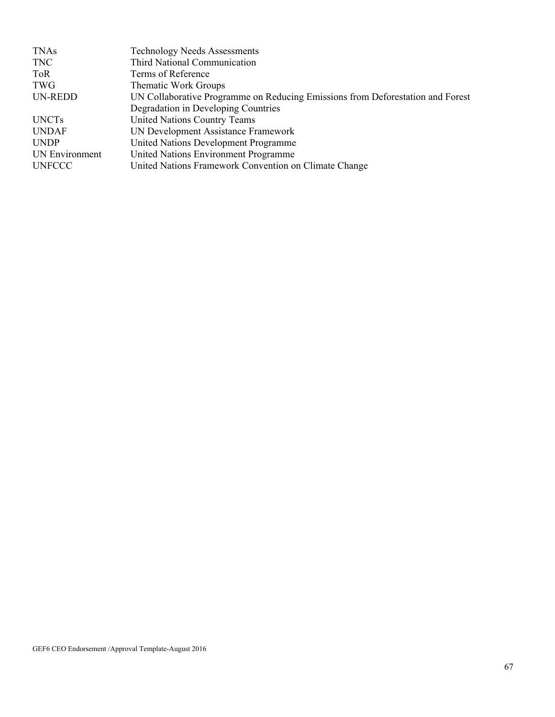| <b>TNAs</b>           | <b>Technology Needs Assessments</b>                                            |
|-----------------------|--------------------------------------------------------------------------------|
| <b>TNC</b>            | Third National Communication                                                   |
| <b>ToR</b>            | Terms of Reference                                                             |
| TWG                   | Thematic Work Groups                                                           |
| UN-REDD               | UN Collaborative Programme on Reducing Emissions from Deforestation and Forest |
|                       | Degradation in Developing Countries                                            |
| <b>UNCTs</b>          | <b>United Nations Country Teams</b>                                            |
| <b>UNDAF</b>          | UN Development Assistance Framework                                            |
| <b>UNDP</b>           | United Nations Development Programme                                           |
| <b>UN Environment</b> | United Nations Environment Programme                                           |
| <b>UNFCCC</b>         | United Nations Framework Convention on Climate Change                          |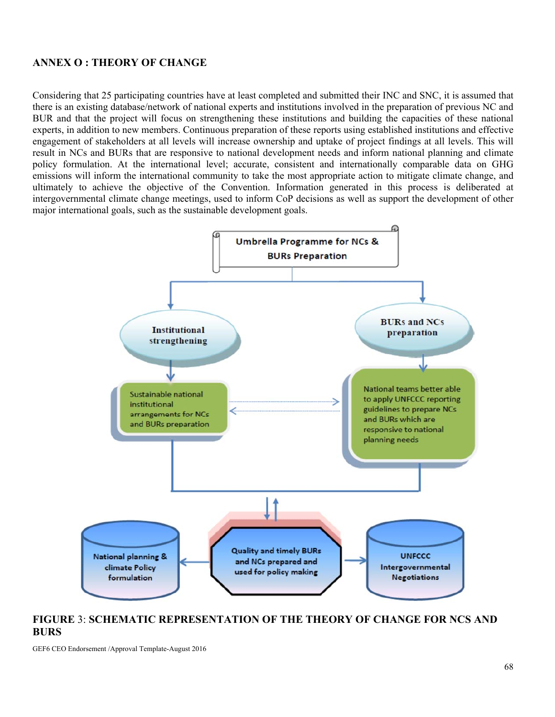## **ANNEX O : THEORY OF CHANGE**

Considering that 25 participating countries have at least completed and submitted their INC and SNC, it is assumed that there is an existing database/network of national experts and institutions involved in the preparation of previous NC and BUR and that the project will focus on strengthening these institutions and building the capacities of these national experts, in addition to new members. Continuous preparation of these reports using established institutions and effective engagement of stakeholders at all levels will increase ownership and uptake of project findings at all levels. This will result in NCs and BURs that are responsive to national development needs and inform national planning and climate policy formulation. At the international level; accurate, consistent and internationally comparable data on GHG emissions will inform the international community to take the most appropriate action to mitigate climate change, and ultimately to achieve the objective of the Convention. Information generated in this process is deliberated at intergovernmental climate change meetings, used to inform CoP decisions as well as support the development of other major international goals, such as the sustainable development goals.



### **FIGURE** 3: **SCHEMATIC REPRESENTATION OF THE THEORY OF CHANGE FOR NCS AND BURS**